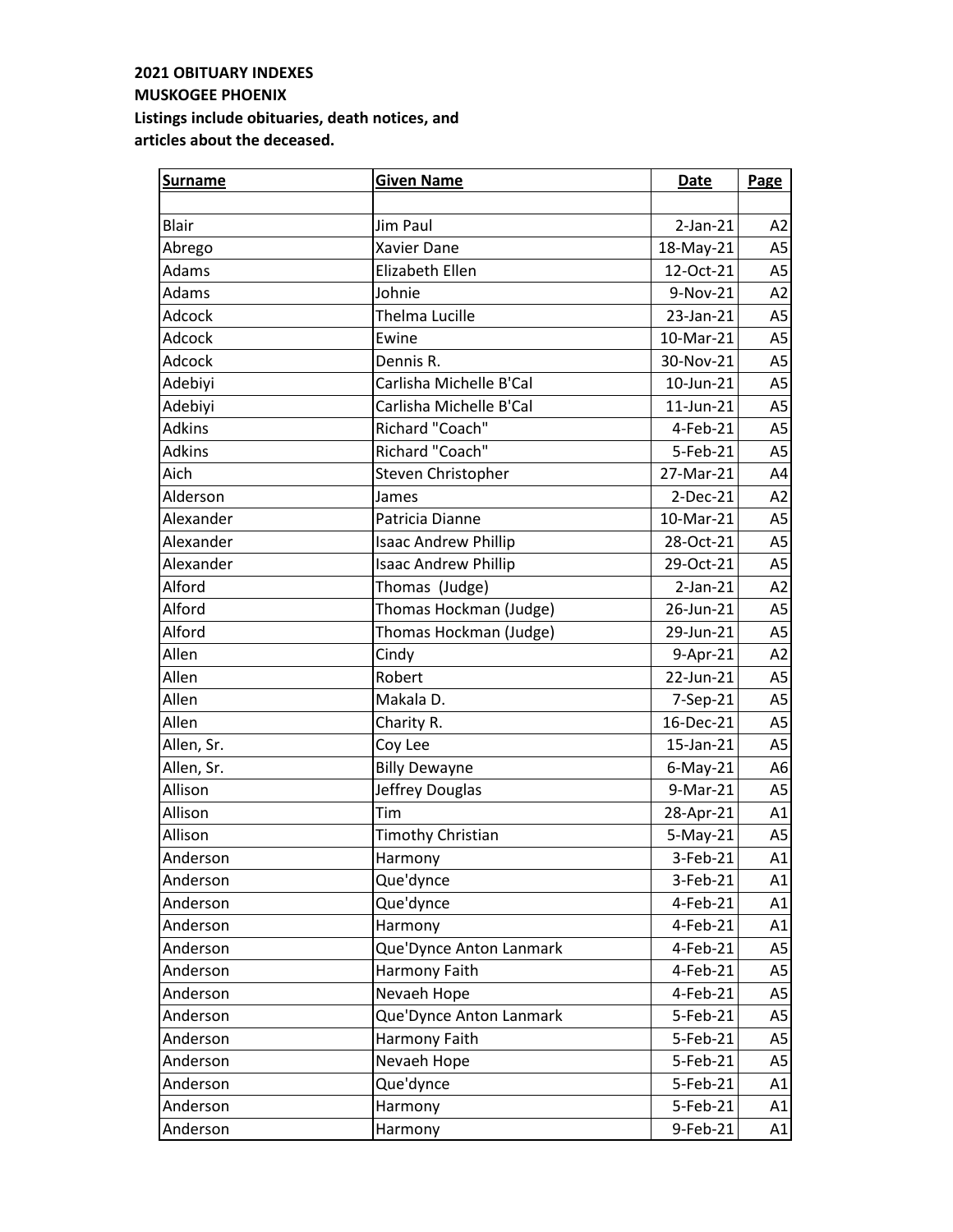| <b>Surname</b> | <b>Given Name</b>           | Date            | Page           |
|----------------|-----------------------------|-----------------|----------------|
|                |                             |                 |                |
| Blair          | Jim Paul                    | $2-Jan-21$      | A2             |
| Abrego         | Xavier Dane                 | 18-May-21       | A5             |
| Adams          | Elizabeth Ellen             | 12-Oct-21       | A <sub>5</sub> |
| Adams          | Johnie                      | 9-Nov-21        | A2             |
| Adcock         | <b>Thelma Lucille</b>       | 23-Jan-21       | A <sub>5</sub> |
| Adcock         | Ewine                       | 10-Mar-21       | A5             |
| Adcock         | Dennis R.                   | 30-Nov-21       | A <sub>5</sub> |
| Adebiyi        | Carlisha Michelle B'Cal     | 10-Jun-21       | A <sub>5</sub> |
| Adebiyi        | Carlisha Michelle B'Cal     | $11$ -Jun- $21$ | A <sub>5</sub> |
| <b>Adkins</b>  | Richard "Coach"             | 4-Feb-21        | A <sub>5</sub> |
| <b>Adkins</b>  | Richard "Coach"             | 5-Feb-21        | A <sub>5</sub> |
| Aich           | Steven Christopher          | 27-Mar-21       | A4             |
| Alderson       | James                       | 2-Dec-21        | A2             |
| Alexander      | Patricia Dianne             | 10-Mar-21       | A <sub>5</sub> |
| Alexander      | <b>Isaac Andrew Phillip</b> | 28-Oct-21       | A <sub>5</sub> |
| Alexander      | <b>Isaac Andrew Phillip</b> | 29-Oct-21       | A5             |
| Alford         | Thomas (Judge)              | $2-Jan-21$      | A2             |
| Alford         | Thomas Hockman (Judge)      | 26-Jun-21       | A5             |
| Alford         | Thomas Hockman (Judge)      | 29-Jun-21       | A <sub>5</sub> |
| Allen          | Cindy                       | 9-Apr-21        | A2             |
| Allen          | Robert                      | 22-Jun-21       | A <sub>5</sub> |
| Allen          | Makala D.                   | 7-Sep-21        | A <sub>5</sub> |
| Allen          | Charity R.                  | 16-Dec-21       | A5             |
| Allen, Sr.     | Coy Lee                     | 15-Jan-21       | A <sub>5</sub> |
| Allen, Sr.     | <b>Billy Dewayne</b>        | $6$ -May-21     | A <sub>6</sub> |
| Allison        | Jeffrey Douglas             | 9-Mar-21        | A <sub>5</sub> |
| Allison        | Tim                         | 28-Apr-21       | A1             |
| Allison        | <b>Timothy Christian</b>    | $5-May-21$      | A5             |
| Anderson       | Harmony                     | 3-Feb-21        | A1             |
| Anderson       | Que'dynce                   | 3-Feb-21        | A1             |
| Anderson       | Que'dynce                   | 4-Feb-21        | A1             |
| Anderson       | Harmony                     | 4-Feb-21        | A1             |
| Anderson       | Que'Dynce Anton Lanmark     | 4-Feb-21        | A <sub>5</sub> |
| Anderson       | Harmony Faith               | 4-Feb-21        | A <sub>5</sub> |
| Anderson       | Nevaeh Hope                 | 4-Feb-21        | A5             |
| Anderson       | Que'Dynce Anton Lanmark     | 5-Feb-21        | A5             |
| Anderson       | Harmony Faith               | 5-Feb-21        | A5             |
| Anderson       | Nevaeh Hope                 | 5-Feb-21        | A5             |
| Anderson       | Que'dynce                   | 5-Feb-21        | A1             |
| Anderson       | Harmony                     | 5-Feb-21        | A1             |
| Anderson       | Harmony                     | 9-Feb-21        | A1             |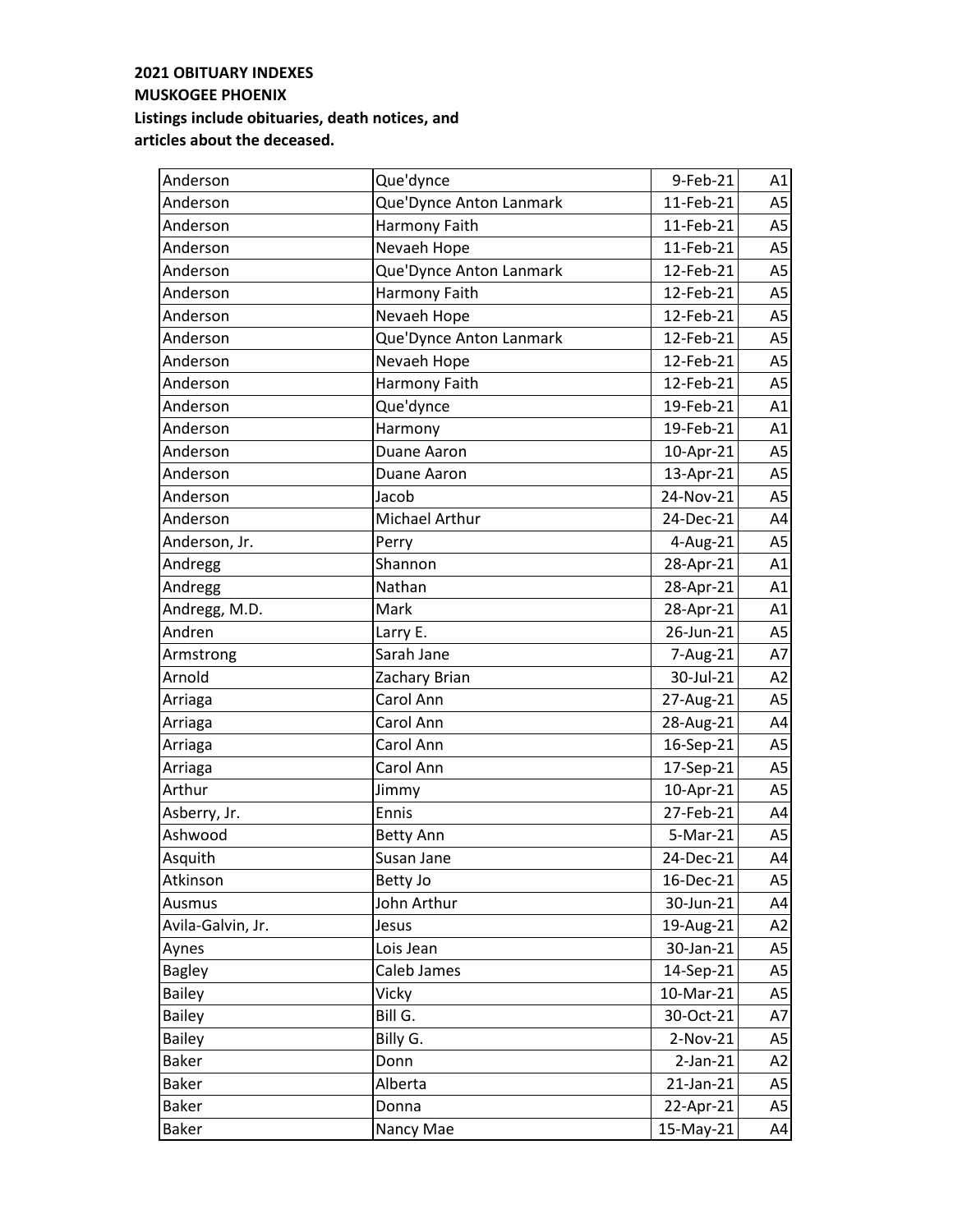| Anderson          | Que'dynce               | 9-Feb-21   | A1             |
|-------------------|-------------------------|------------|----------------|
| Anderson          | Que'Dynce Anton Lanmark | 11-Feb-21  | A <sub>5</sub> |
| Anderson          | Harmony Faith           | 11-Feb-21  | A <sub>5</sub> |
| Anderson          | Nevaeh Hope             | 11-Feb-21  | A <sub>5</sub> |
| Anderson          | Que'Dynce Anton Lanmark | 12-Feb-21  | A <sub>5</sub> |
| Anderson          | Harmony Faith           | 12-Feb-21  | A <sub>5</sub> |
| Anderson          | Nevaeh Hope             | 12-Feb-21  | A <sub>5</sub> |
| Anderson          | Que'Dynce Anton Lanmark | 12-Feb-21  | A <sub>5</sub> |
| Anderson          | Nevaeh Hope             | 12-Feb-21  | A <sub>5</sub> |
| Anderson          | Harmony Faith           | 12-Feb-21  | A5             |
| Anderson          | Que'dynce               | 19-Feb-21  | A1             |
| Anderson          | Harmony                 | 19-Feb-21  | A1             |
| Anderson          | Duane Aaron             | 10-Apr-21  | A <sub>5</sub> |
| Anderson          | Duane Aaron             | 13-Apr-21  | A <sub>5</sub> |
| Anderson          | Jacob                   | 24-Nov-21  | A <sub>5</sub> |
| Anderson          | Michael Arthur          | 24-Dec-21  | A4             |
| Anderson, Jr.     | Perry                   | 4-Aug-21   | A <sub>5</sub> |
| Andregg           | Shannon                 | 28-Apr-21  | A1             |
| Andregg           | Nathan                  | 28-Apr-21  | A1             |
| Andregg, M.D.     | <b>Mark</b>             | 28-Apr-21  | A1             |
| Andren            | Larry E.                | 26-Jun-21  | A <sub>5</sub> |
| Armstrong         | Sarah Jane              | 7-Aug-21   | A7             |
| Arnold            | Zachary Brian           | 30-Jul-21  | A2             |
| Arriaga           | Carol Ann               | 27-Aug-21  | A <sub>5</sub> |
| Arriaga           | Carol Ann               | 28-Aug-21  | A4             |
| Arriaga           | Carol Ann               | 16-Sep-21  | A <sub>5</sub> |
| Arriaga           | Carol Ann               | 17-Sep-21  | A <sub>5</sub> |
| Arthur            | Jimmy                   | 10-Apr-21  | A <sub>5</sub> |
| Asberry, Jr.      | Ennis                   | 27-Feb-21  | A4             |
| Ashwood           | <b>Betty Ann</b>        | 5-Mar-21   | A <sub>5</sub> |
| Asquith           | Susan Jane              | 24-Dec-21  | A4             |
| Atkinson          | Betty Jo                | 16-Dec-21  | A5             |
| Ausmus            | John Arthur             | 30-Jun-21  | A4             |
| Avila-Galvin, Jr. | Jesus                   | 19-Aug-21  | A2             |
| Aynes             | Lois Jean               | 30-Jan-21  | A5             |
| <b>Bagley</b>     | Caleb James             | 14-Sep-21  | A5             |
| <b>Bailey</b>     | Vicky                   | 10-Mar-21  | A5             |
| <b>Bailey</b>     | Bill G.                 | 30-Oct-21  | A7             |
| <b>Bailey</b>     | Billy G.                | $2-Nov-21$ | A5             |
| <b>Baker</b>      | Donn                    | $2-Jan-21$ | A2             |
| <b>Baker</b>      | Alberta                 | 21-Jan-21  | A5             |
| <b>Baker</b>      | Donna                   | 22-Apr-21  | A5             |
| <b>Baker</b>      | Nancy Mae               | 15-May-21  | A4             |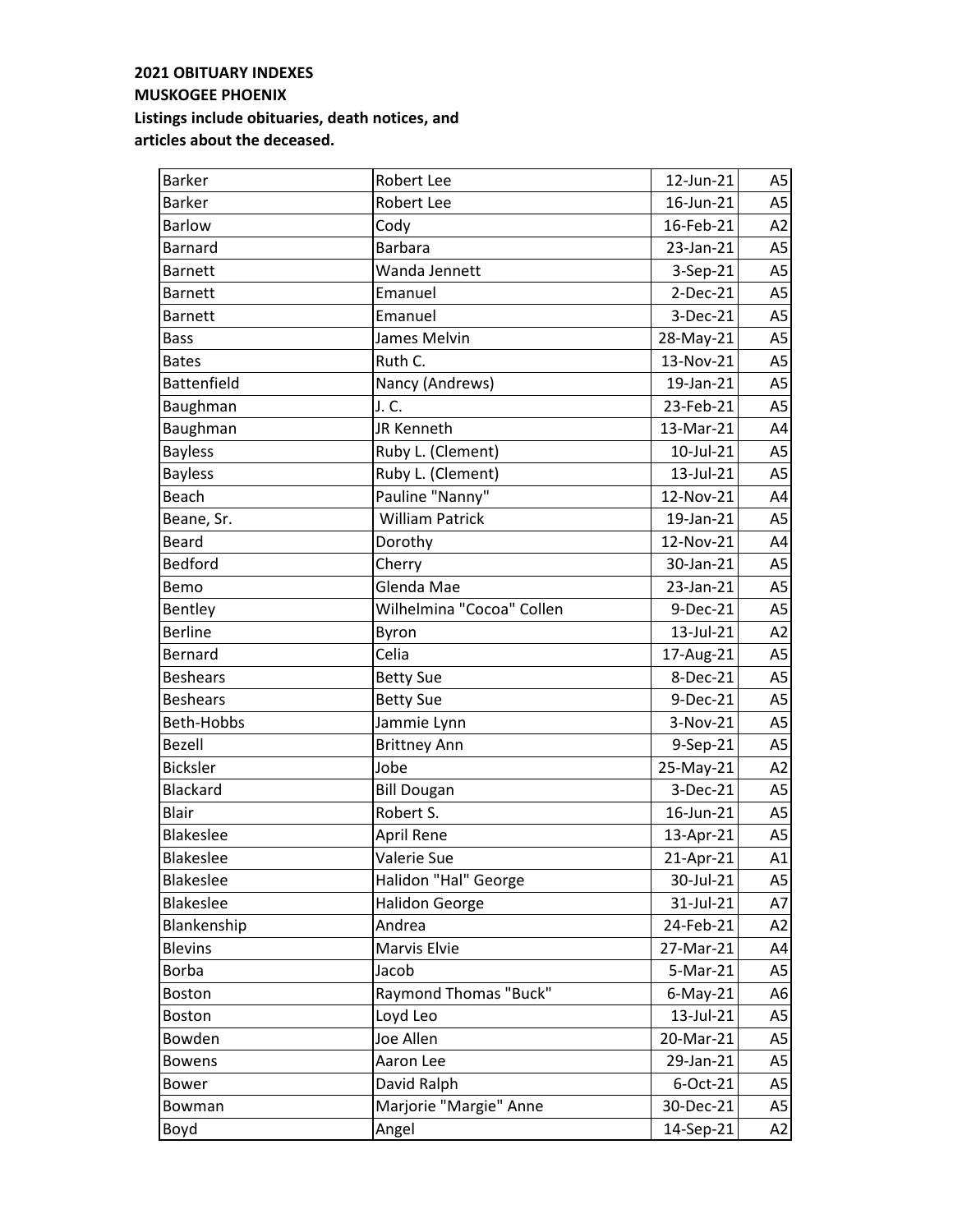| <b>Barker</b>      | Robert Lee                | 12-Jun-21   | A5             |
|--------------------|---------------------------|-------------|----------------|
| <b>Barker</b>      | Robert Lee                | 16-Jun-21   | A <sub>5</sub> |
| <b>Barlow</b>      | Cody                      | 16-Feb-21   | A2             |
| <b>Barnard</b>     | <b>Barbara</b>            | 23-Jan-21   | A <sub>5</sub> |
| <b>Barnett</b>     | Wanda Jennett             | 3-Sep-21    | A <sub>5</sub> |
| <b>Barnett</b>     | Emanuel                   | $2-Dec-21$  | A <sub>5</sub> |
| <b>Barnett</b>     | Emanuel                   | 3-Dec-21    | A <sub>5</sub> |
| <b>Bass</b>        | James Melvin              | 28-May-21   | A <sub>5</sub> |
| <b>Bates</b>       | Ruth C.                   | 13-Nov-21   | A <sub>5</sub> |
| <b>Battenfield</b> | Nancy (Andrews)           | 19-Jan-21   | A <sub>5</sub> |
| Baughman           | J. C.                     | 23-Feb-21   | A <sub>5</sub> |
| Baughman           | JR Kenneth                | 13-Mar-21   | A4             |
| <b>Bayless</b>     | Ruby L. (Clement)         | 10-Jul-21   | A <sub>5</sub> |
| <b>Bayless</b>     | Ruby L. (Clement)         | 13-Jul-21   | A <sub>5</sub> |
| Beach              | Pauline "Nanny"           | 12-Nov-21   | A4             |
| Beane, Sr.         | <b>William Patrick</b>    | 19-Jan-21   | A <sub>5</sub> |
| <b>Beard</b>       | Dorothy                   | 12-Nov-21   | A4             |
| Bedford            | Cherry                    | 30-Jan-21   | A <sub>5</sub> |
| Bemo               | Glenda Mae                | 23-Jan-21   | A <sub>5</sub> |
| Bentley            | Wilhelmina "Cocoa" Collen | 9-Dec-21    | A <sub>5</sub> |
| <b>Berline</b>     | Byron                     | 13-Jul-21   | A2             |
| Bernard            | Celia                     | 17-Aug-21   | A <sub>5</sub> |
| <b>Beshears</b>    | <b>Betty Sue</b>          | 8-Dec-21    | A <sub>5</sub> |
| <b>Beshears</b>    | <b>Betty Sue</b>          | 9-Dec-21    | A <sub>5</sub> |
| Beth-Hobbs         | Jammie Lynn               | 3-Nov-21    | A <sub>5</sub> |
| Bezell             | <b>Brittney Ann</b>       | 9-Sep-21    | A <sub>5</sub> |
| <b>Bicksler</b>    | Jobe                      | 25-May-21   | A2             |
| Blackard           | <b>Bill Dougan</b>        | 3-Dec-21    | A <sub>5</sub> |
| <b>Blair</b>       | Robert S.                 | 16-Jun-21   | A <sub>5</sub> |
| <b>Blakeslee</b>   | April Rene                | 13-Apr-21   | A <sub>5</sub> |
| Blakeslee          | Valerie Sue               | 21-Apr-21   | A1             |
| <b>Blakeslee</b>   | Halidon "Hal" George      | 30-Jul-21   | A5             |
| Blakeslee          | <b>Halidon George</b>     | 31-Jul-21   | A7             |
| Blankenship        | Andrea                    | 24-Feb-21   | A <sub>2</sub> |
| <b>Blevins</b>     | Marvis Elvie              | 27-Mar-21   | A4             |
| <b>Borba</b>       | Jacob                     | 5-Mar-21    | A5             |
| <b>Boston</b>      | Raymond Thomas "Buck"     | $6$ -May-21 | A6             |
| <b>Boston</b>      | Loyd Leo                  | 13-Jul-21   | A <sub>5</sub> |
| Bowden             | Joe Allen                 | 20-Mar-21   | A5             |
| <b>Bowens</b>      | Aaron Lee                 | 29-Jan-21   | A <sub>5</sub> |
| Bower              | David Ralph               | 6-Oct-21    | A5             |
| Bowman             | Marjorie "Margie" Anne    | 30-Dec-21   | A5             |
| Boyd               | Angel                     | 14-Sep-21   | A2             |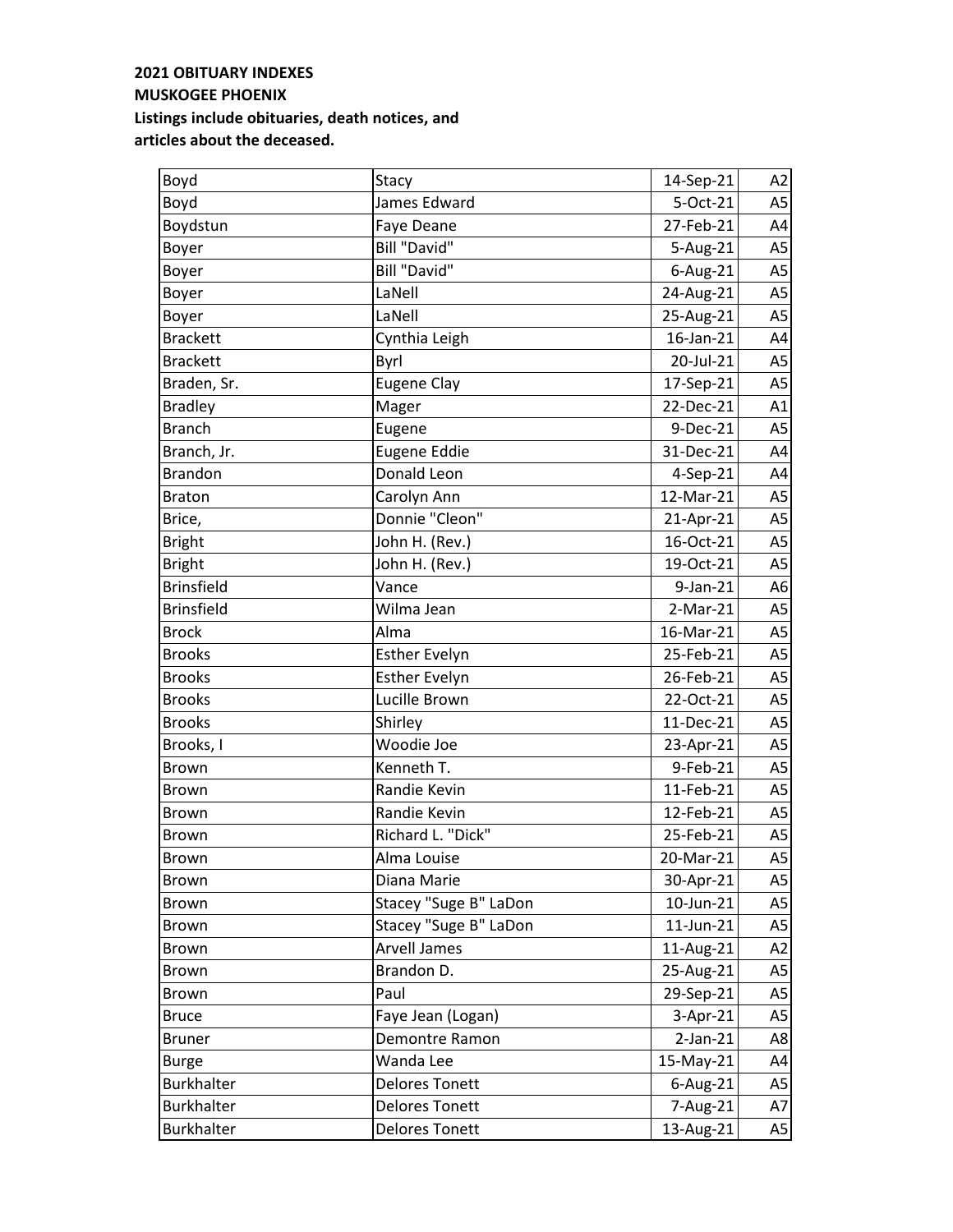| Boyd              | Stacy                 | 14-Sep-21   | A2             |
|-------------------|-----------------------|-------------|----------------|
| Boyd              | James Edward          | 5-Oct-21    | A <sub>5</sub> |
| Boydstun          | Faye Deane            | 27-Feb-21   | A4             |
| Boyer             | Bill "David"          | 5-Aug-21    | A <sub>5</sub> |
| Boyer             | <b>Bill "David"</b>   | 6-Aug-21    | A <sub>5</sub> |
| Boyer             | LaNell                | 24-Aug-21   | A <sub>5</sub> |
| Boyer             | LaNell                | 25-Aug-21   | A <sub>5</sub> |
| <b>Brackett</b>   | Cynthia Leigh         | 16-Jan-21   | A4             |
| <b>Brackett</b>   | Byrl                  | 20-Jul-21   | A <sub>5</sub> |
| Braden, Sr.       | <b>Eugene Clay</b>    | 17-Sep-21   | A <sub>5</sub> |
| <b>Bradley</b>    | Mager                 | 22-Dec-21   | A1             |
| <b>Branch</b>     | Eugene                | 9-Dec-21    | A <sub>5</sub> |
| Branch, Jr.       | Eugene Eddie          | 31-Dec-21   | A4             |
| <b>Brandon</b>    | Donald Leon           | 4-Sep-21    | A4             |
| <b>Braton</b>     | Carolyn Ann           | 12-Mar-21   | A <sub>5</sub> |
| Brice,            | Donnie "Cleon"        | 21-Apr-21   | A <sub>5</sub> |
| <b>Bright</b>     | John H. (Rev.)        | 16-Oct-21   | A <sub>5</sub> |
| <b>Bright</b>     | John H. (Rev.)        | 19-Oct-21   | A <sub>5</sub> |
| <b>Brinsfield</b> | Vance                 | 9-Jan-21    | A6             |
| <b>Brinsfield</b> | Wilma Jean            | $2-Mar-21$  | A <sub>5</sub> |
| <b>Brock</b>      | Alma                  | 16-Mar-21   | A <sub>5</sub> |
| <b>Brooks</b>     | <b>Esther Evelyn</b>  | 25-Feb-21   | A <sub>5</sub> |
| <b>Brooks</b>     | <b>Esther Evelyn</b>  | 26-Feb-21   | A <sub>5</sub> |
| <b>Brooks</b>     | Lucille Brown         | 22-Oct-21   | A <sub>5</sub> |
| <b>Brooks</b>     | Shirley               | 11-Dec-21   | A <sub>5</sub> |
| Brooks, I         | Woodie Joe            | 23-Apr-21   | A <sub>5</sub> |
| <b>Brown</b>      | Kenneth T.            | 9-Feb-21    | A <sub>5</sub> |
| <b>Brown</b>      | Randie Kevin          | 11-Feb-21   | A <sub>5</sub> |
| <b>Brown</b>      | Randie Kevin          | 12-Feb-21   | A5             |
| Brown             | Richard L. "Dick"     | 25-Feb-21   | A <sub>5</sub> |
| <b>Brown</b>      | Alma Louise           | 20-Mar-21   | A5             |
| <b>Brown</b>      | Diana Marie           | 30-Apr-21   | A5             |
| <b>Brown</b>      | Stacey "Suge B" LaDon | 10-Jun-21   | A5             |
| Brown             | Stacey "Suge B" LaDon | 11-Jun-21   | A5             |
| Brown             | <b>Arvell James</b>   | 11-Aug-21   | A2             |
| Brown             | Brandon D.            | 25-Aug-21   | A <sub>5</sub> |
| <b>Brown</b>      | Paul                  | 29-Sep-21   | A <sub>5</sub> |
| <b>Bruce</b>      | Faye Jean (Logan)     | 3-Apr-21    | A <sub>5</sub> |
| <b>Bruner</b>     | Demontre Ramon        | $2-Jan-21$  | A8             |
| <b>Burge</b>      | Wanda Lee             | 15-May-21   | A4             |
| <b>Burkhalter</b> | <b>Delores Tonett</b> | $6$ -Aug-21 | A5             |
| <b>Burkhalter</b> | <b>Delores Tonett</b> | 7-Aug-21    | A7             |
| <b>Burkhalter</b> | <b>Delores Tonett</b> | 13-Aug-21   | A5             |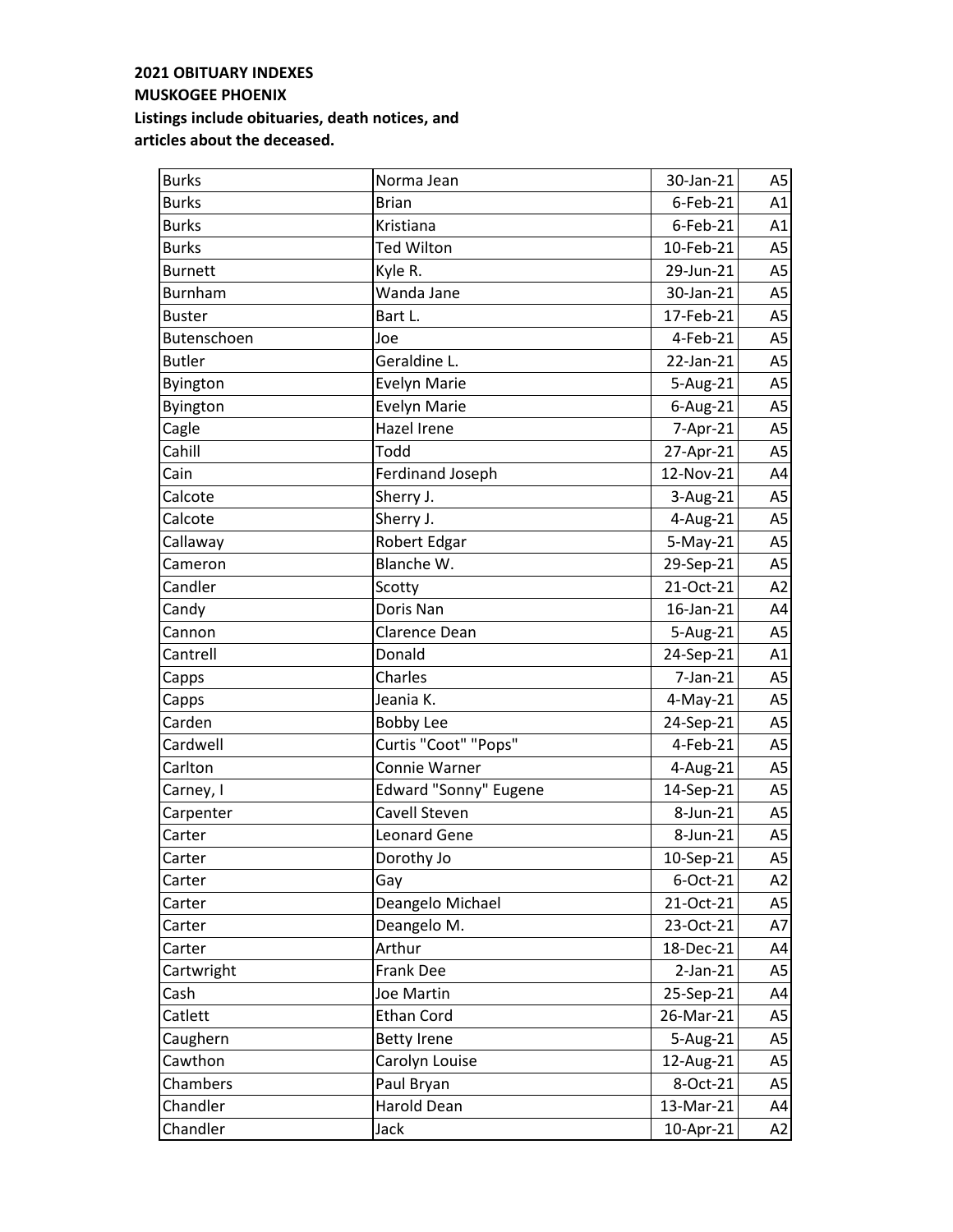| <b>Burks</b>   | Norma Jean            | 30-Jan-21   | A <sub>5</sub> |
|----------------|-----------------------|-------------|----------------|
| <b>Burks</b>   | <b>Brian</b>          | 6-Feb-21    | A1             |
| <b>Burks</b>   | Kristiana             | $6$ -Feb-21 | A1             |
| <b>Burks</b>   | Ted Wilton            | 10-Feb-21   | A <sub>5</sub> |
| <b>Burnett</b> | Kyle R.               | 29-Jun-21   | A <sub>5</sub> |
| <b>Burnham</b> | Wanda Jane            | 30-Jan-21   | A <sub>5</sub> |
| <b>Buster</b>  | Bart L.               | 17-Feb-21   | A <sub>5</sub> |
| Butenschoen    | Joe                   | 4-Feb-21    | A <sub>5</sub> |
| <b>Butler</b>  | Geraldine L.          | 22-Jan-21   | A <sub>5</sub> |
| Byington       | <b>Evelyn Marie</b>   | 5-Aug-21    | A5             |
| Byington       | <b>Evelyn Marie</b>   | 6-Aug-21    | A <sub>5</sub> |
| Cagle          | Hazel Irene           | 7-Apr-21    | A5             |
| Cahill         | Todd                  | 27-Apr-21   | A <sub>5</sub> |
| Cain           | Ferdinand Joseph      | 12-Nov-21   | A4             |
| Calcote        | Sherry J.             | 3-Aug-21    | A <sub>5</sub> |
| Calcote        | Sherry J.             | 4-Aug-21    | A <sub>5</sub> |
| Callaway       | Robert Edgar          | $5-May-21$  | A <sub>5</sub> |
| Cameron        | Blanche W.            | 29-Sep-21   | A <sub>5</sub> |
| Candler        | Scotty                | 21-Oct-21   | A2             |
| Candy          | Doris Nan             | 16-Jan-21   | A4             |
| Cannon         | Clarence Dean         | 5-Aug-21    | A <sub>5</sub> |
| Cantrell       | Donald                | 24-Sep-21   | A1             |
| Capps          | Charles               | 7-Jan-21    | A <sub>5</sub> |
| Capps          | Jeania K.             | $4$ -May-21 | A5             |
| Carden         | <b>Bobby Lee</b>      | 24-Sep-21   | A <sub>5</sub> |
| Cardwell       | Curtis "Coot" "Pops"  | 4-Feb-21    | A <sub>5</sub> |
| Carlton        | Connie Warner         | 4-Aug-21    | A <sub>5</sub> |
| Carney, I      | Edward "Sonny" Eugene | 14-Sep-21   | A <sub>5</sub> |
| Carpenter      | Cavell Steven         | 8-Jun-21    | A5             |
| Carter         | <b>Leonard Gene</b>   | 8-Jun-21    | A <sub>5</sub> |
| Carter         | Dorothy Jo            | 10-Sep-21   | A5             |
| Carter         | Gay                   | 6-Oct-21    | A2             |
| Carter         | Deangelo Michael      | 21-Oct-21   | A5             |
| Carter         | Deangelo M.           | 23-Oct-21   | A7             |
| Carter         | Arthur                | 18-Dec-21   | A4             |
| Cartwright     | <b>Frank Dee</b>      | $2-Jan-21$  | A <sub>5</sub> |
| Cash           | Joe Martin            | 25-Sep-21   | A4             |
| Catlett        | Ethan Cord            | 26-Mar-21   | A <sub>5</sub> |
| Caughern       | <b>Betty Irene</b>    | 5-Aug-21    | A <sub>5</sub> |
| Cawthon        | Carolyn Louise        | 12-Aug-21   | A5             |
| Chambers       | Paul Bryan            | 8-Oct-21    | A <sub>5</sub> |
| Chandler       | Harold Dean           | 13-Mar-21   | A4             |
| Chandler       | Jack                  | 10-Apr-21   | A2             |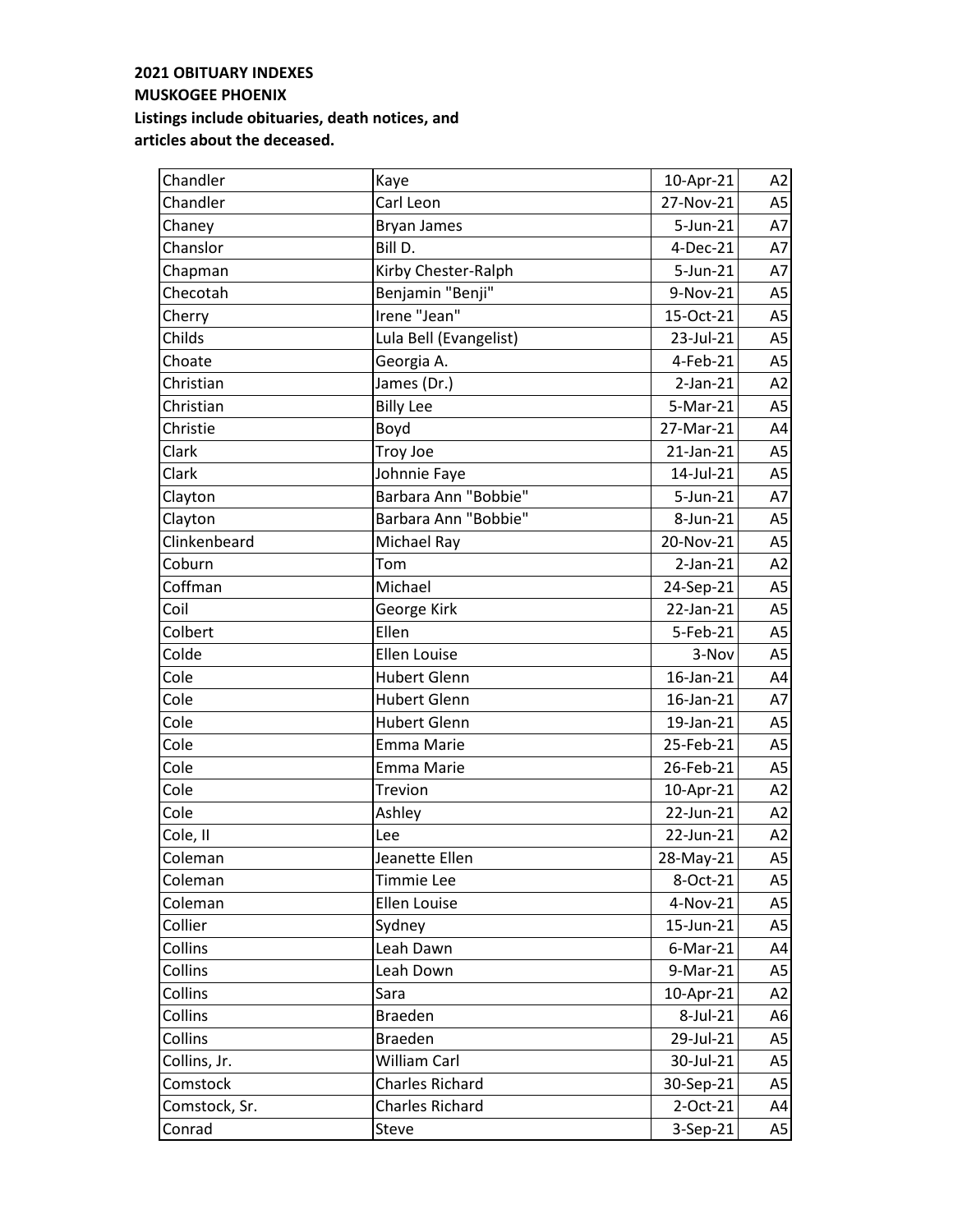| Chandler      | Kaye                   | 10-Apr-21   | A2             |
|---------------|------------------------|-------------|----------------|
| Chandler      | Carl Leon              | 27-Nov-21   | A <sub>5</sub> |
| Chaney        | <b>Bryan James</b>     | 5-Jun-21    | A7             |
| Chanslor      | Bill D.                | 4-Dec-21    | A7             |
| Chapman       | Kirby Chester-Ralph    | 5-Jun-21    | A7             |
| Checotah      | Benjamin "Benji"       | 9-Nov-21    | A <sub>5</sub> |
| Cherry        | Irene "Jean"           | 15-Oct-21   | A <sub>5</sub> |
| Childs        | Lula Bell (Evangelist) | 23-Jul-21   | A <sub>5</sub> |
| Choate        | Georgia A.             | 4-Feb-21    | A <sub>5</sub> |
| Christian     | James (Dr.)            | $2$ -Jan-21 | A2             |
| Christian     | <b>Billy Lee</b>       | 5-Mar-21    | A <sub>5</sub> |
| Christie      | Boyd                   | 27-Mar-21   | A4             |
| Clark         | Troy Joe               | 21-Jan-21   | A <sub>5</sub> |
| Clark         | Johnnie Faye           | 14-Jul-21   | A <sub>5</sub> |
| Clayton       | Barbara Ann "Bobbie"   | 5-Jun-21    | A7             |
| Clayton       | Barbara Ann "Bobbie"   | 8-Jun-21    | A <sub>5</sub> |
| Clinkenbeard  | Michael Ray            | 20-Nov-21   | A <sub>5</sub> |
| Coburn        | Tom                    | $2-Jan-21$  | A2             |
| Coffman       | Michael                | 24-Sep-21   | A <sub>5</sub> |
| Coil          | George Kirk            | 22-Jan-21   | A <sub>5</sub> |
| Colbert       | Ellen                  | 5-Feb-21    | A <sub>5</sub> |
| Colde         | <b>Ellen Louise</b>    | 3-Nov       | A <sub>5</sub> |
| Cole          | <b>Hubert Glenn</b>    | 16-Jan-21   | A4             |
| Cole          | <b>Hubert Glenn</b>    | 16-Jan-21   | A7             |
| Cole          | <b>Hubert Glenn</b>    | 19-Jan-21   | A <sub>5</sub> |
| Cole          | <b>Emma Marie</b>      | 25-Feb-21   | A <sub>5</sub> |
| Cole          | Emma Marie             | 26-Feb-21   | A <sub>5</sub> |
| Cole          | Trevion                | 10-Apr-21   | A2             |
| Cole          | Ashley                 | 22-Jun-21   | A2             |
| Cole, II      | Lee                    | 22-Jun-21   | A2             |
| Coleman       | Jeanette Ellen         | 28-May-21   | A5             |
| Coleman       | Timmie Lee             | 8-Oct-21    | A5             |
| Coleman       | Ellen Louise           | 4-Nov-21    | A <sub>5</sub> |
| Collier       | Sydney                 | 15-Jun-21   | A5             |
| Collins       | Leah Dawn              | $6$ -Mar-21 | A4             |
| Collins       | Leah Down              | 9-Mar-21    | A5             |
| Collins       | Sara                   | 10-Apr-21   | A2             |
| Collins       | <b>Braeden</b>         | 8-Jul-21    | A6             |
| Collins       | <b>Braeden</b>         | 29-Jul-21   | A5             |
| Collins, Jr.  | William Carl           | 30-Jul-21   | A <sub>5</sub> |
| Comstock      | <b>Charles Richard</b> | 30-Sep-21   | A5             |
| Comstock, Sr. | <b>Charles Richard</b> | 2-Oct-21    | A4             |
| Conrad        | Steve                  | 3-Sep-21    | A5             |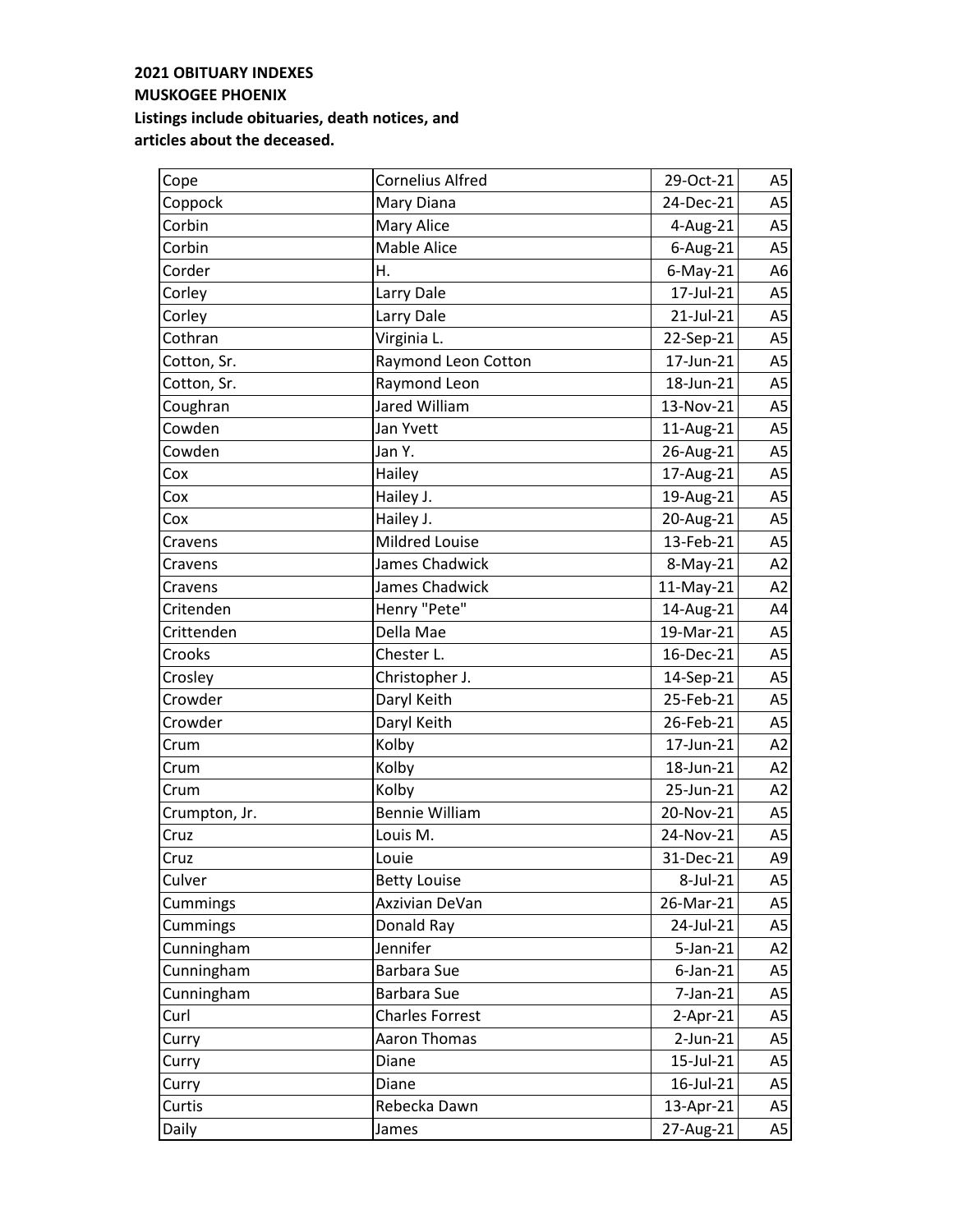| Cope          | <b>Cornelius Alfred</b> | 29-Oct-21      | A5             |
|---------------|-------------------------|----------------|----------------|
| Coppock       | Mary Diana              | 24-Dec-21      | A <sub>5</sub> |
| Corbin        | Mary Alice              | 4-Aug-21       | A5             |
| Corbin        | <b>Mable Alice</b>      | 6-Aug-21       | A <sub>5</sub> |
| Corder        | Η.                      | $6$ -May-21    | A6             |
| Corley        | Larry Dale              | 17-Jul-21      | A <sub>5</sub> |
| Corley        | Larry Dale              | 21-Jul-21      | A <sub>5</sub> |
| Cothran       | Virginia L.             | 22-Sep-21      | A <sub>5</sub> |
| Cotton, Sr.   | Raymond Leon Cotton     | 17-Jun-21      | A5             |
| Cotton, Sr.   | Raymond Leon            | 18-Jun-21      | A <sub>5</sub> |
| Coughran      | Jared William           | 13-Nov-21      | A <sub>5</sub> |
| Cowden        | Jan Yvett               | 11-Aug-21      | A <sub>5</sub> |
| Cowden        | Jan Y.                  | 26-Aug-21      | A <sub>5</sub> |
| Cox           | Hailey                  | 17-Aug-21      | A <sub>5</sub> |
| Cox           | Hailey J.               | 19-Aug-21      | A <sub>5</sub> |
| Cox           | Hailey J.               | 20-Aug-21      | A <sub>5</sub> |
| Cravens       | Mildred Louise          | 13-Feb-21      | A <sub>5</sub> |
| Cravens       | James Chadwick          | 8-May-21       | A2             |
| Cravens       | James Chadwick          | 11-May-21      | A2             |
| Critenden     | Henry "Pete"            | 14-Aug-21      | A4             |
| Crittenden    | Della Mae               | 19-Mar-21      | A <sub>5</sub> |
| Crooks        | Chester L.              | 16-Dec-21      | A5             |
| Crosley       | Christopher J.          | 14-Sep-21      | A <sub>5</sub> |
| Crowder       | Daryl Keith             | 25-Feb-21      | A <sub>5</sub> |
| Crowder       | Daryl Keith             | 26-Feb-21      | A <sub>5</sub> |
| Crum          | Kolby                   | 17-Jun-21      | A2             |
| Crum          | Kolby                   | 18-Jun-21      | A2             |
| Crum          | Kolby                   | 25-Jun-21      | A2             |
| Crumpton, Jr. | <b>Bennie William</b>   | 20-Nov-21      | A <sub>5</sub> |
| Cruz          | Louis M.                | 24-Nov-21      | A <sub>5</sub> |
| Cruz          | Louie                   | 31-Dec-21      | A9             |
| Culver        | <b>Betty Louise</b>     | 8-Jul-21       | A5             |
| Cummings      | Axzivian DeVan          | 26-Mar-21      | A5             |
| Cummings      | Donald Ray              | 24-Jul-21      | A5             |
| Cunningham    | Jennifer                | $5$ -Jan $-21$ | A <sub>2</sub> |
| Cunningham    | Barbara Sue             | $6$ -Jan-21    | A5             |
| Cunningham    | Barbara Sue             | $7$ -Jan- $21$ | A <sub>5</sub> |
| Curl          | <b>Charles Forrest</b>  | $2-Apr-21$     | A <sub>5</sub> |
| Curry         | Aaron Thomas            | $2$ -Jun-21    | A <sub>5</sub> |
| Curry         | Diane                   | 15-Jul-21      | A5             |
| Curry         | Diane                   | 16-Jul-21      | A <sub>5</sub> |
| Curtis        | Rebecka Dawn            | 13-Apr-21      | A <sub>5</sub> |
| Daily         | James                   | 27-Aug-21      | A5             |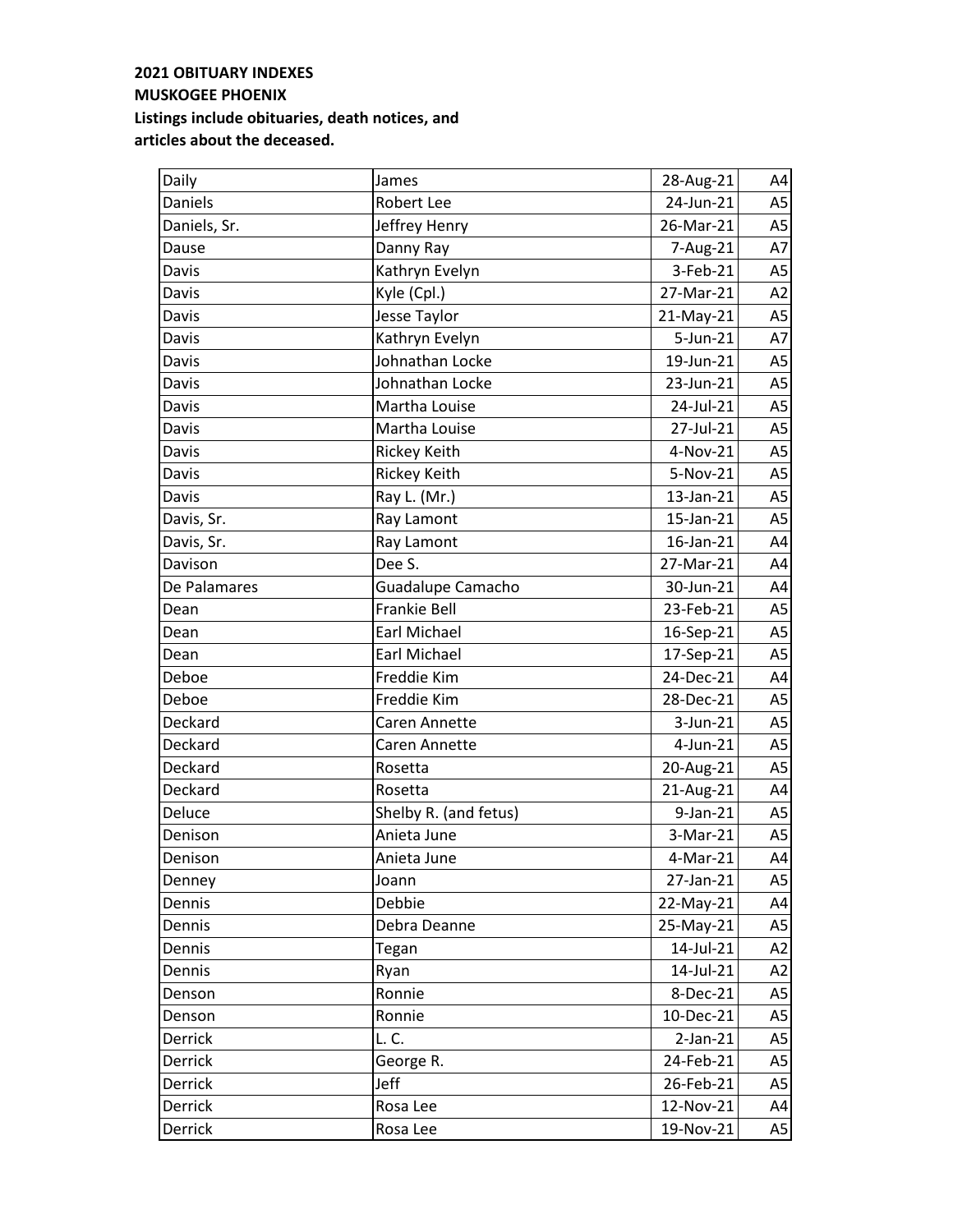| Daily        | James                 | 28-Aug-21      | A4             |
|--------------|-----------------------|----------------|----------------|
| Daniels      | Robert Lee            | 24-Jun-21      | A <sub>5</sub> |
| Daniels, Sr. | Jeffrey Henry         | 26-Mar-21      | A5             |
| Dause        | Danny Ray             | 7-Aug-21       | A7             |
| Davis        | Kathryn Evelyn        | 3-Feb-21       | A <sub>5</sub> |
| Davis        | Kyle (Cpl.)           | 27-Mar-21      | A2             |
| Davis        | Jesse Taylor          | 21-May-21      | A <sub>5</sub> |
| Davis        | Kathryn Evelyn        | 5-Jun-21       | A7             |
| Davis        | Johnathan Locke       | 19-Jun-21      | A <sub>5</sub> |
| Davis        | Johnathan Locke       | 23-Jun-21      | A5             |
| Davis        | Martha Louise         | 24-Jul-21      | A <sub>5</sub> |
| Davis        | Martha Louise         | 27-Jul-21      | A <sub>5</sub> |
| Davis        | Rickey Keith          | 4-Nov-21       | A <sub>5</sub> |
| Davis        | Rickey Keith          | 5-Nov-21       | A <sub>5</sub> |
| Davis        | Ray L. (Mr.)          | 13-Jan-21      | A <sub>5</sub> |
| Davis, Sr.   | Ray Lamont            | 15-Jan-21      | A5             |
| Davis, Sr.   | Ray Lamont            | 16-Jan-21      | A4             |
| Davison      | Dee S.                | 27-Mar-21      | A4             |
| De Palamares | Guadalupe Camacho     | 30-Jun-21      | A4             |
| Dean         | <b>Frankie Bell</b>   | 23-Feb-21      | A <sub>5</sub> |
| Dean         | Earl Michael          | 16-Sep-21      | A <sub>5</sub> |
| Dean         | Earl Michael          | 17-Sep-21      | A <sub>5</sub> |
| Deboe        | Freddie Kim           | 24-Dec-21      | A4             |
| Deboe        | Freddie Kim           | 28-Dec-21      | A <sub>5</sub> |
| Deckard      | <b>Caren Annette</b>  | 3-Jun-21       | A <sub>5</sub> |
| Deckard      | <b>Caren Annette</b>  | $4$ -Jun-21    | A <sub>5</sub> |
| Deckard      | Rosetta               | 20-Aug-21      | A <sub>5</sub> |
| Deckard      | Rosetta               | 21-Aug-21      | A4             |
| Deluce       | Shelby R. (and fetus) | $9$ -Jan- $21$ | A <sub>5</sub> |
| Denison      | Anieta June           | 3-Mar-21       | A <sub>5</sub> |
| Denison      | Anieta June           | 4-Mar-21       | A4             |
| Denney       | Joann                 | 27-Jan-21      | A5             |
| Dennis       | Debbie                | 22-May-21      | A4             |
| Dennis       | Debra Deanne          | 25-May-21      | A5             |
| Dennis       | Tegan                 | 14-Jul-21      | A <sub>2</sub> |
| Dennis       | Ryan                  | 14-Jul-21      | A2             |
| Denson       | Ronnie                | 8-Dec-21       | A <sub>5</sub> |
| Denson       | Ronnie                | 10-Dec-21      | A <sub>5</sub> |
| Derrick      | L. C.                 | $2-Jan-21$     | A5             |
| Derrick      | George R.             | 24-Feb-21      | A <sub>5</sub> |
| Derrick      | Jeff                  | 26-Feb-21      | A5             |
| Derrick      | Rosa Lee              | 12-Nov-21      | A4             |
| Derrick      | Rosa Lee              | 19-Nov-21      | A5             |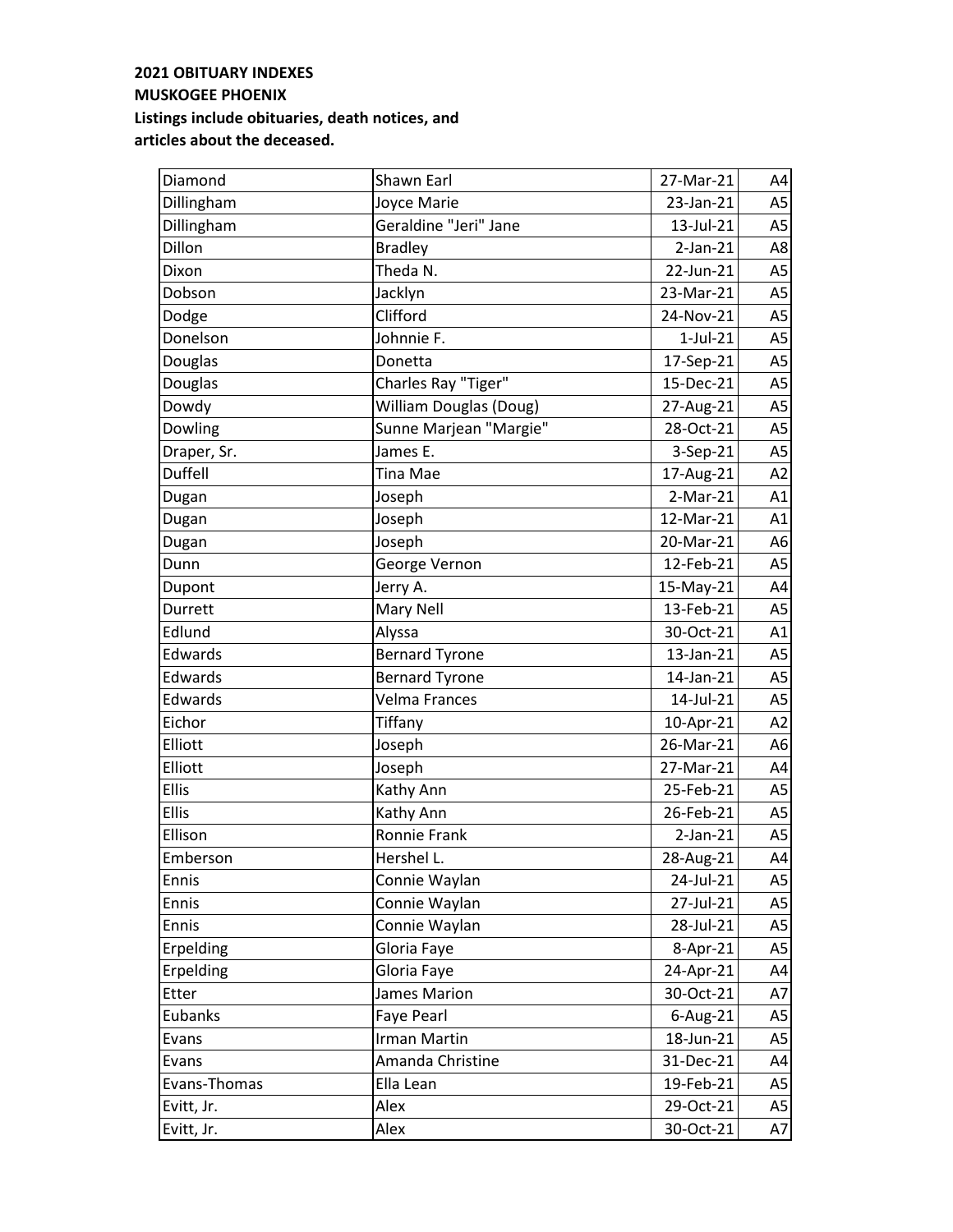| Diamond      | Shawn Earl                    | 27-Mar-21   | A4             |
|--------------|-------------------------------|-------------|----------------|
| Dillingham   | Joyce Marie                   | 23-Jan-21   | A <sub>5</sub> |
| Dillingham   | Geraldine "Jeri" Jane         | 13-Jul-21   | A5             |
| Dillon       | <b>Bradley</b>                | $2-Jan-21$  | A8             |
| Dixon        | Theda N.                      | 22-Jun-21   | A <sub>5</sub> |
| Dobson       | Jacklyn                       | 23-Mar-21   | A <sub>5</sub> |
| Dodge        | Clifford                      | 24-Nov-21   | A <sub>5</sub> |
| Donelson     | Johnnie F.                    | $1$ -Jul-21 | A <sub>5</sub> |
| Douglas      | Donetta                       | 17-Sep-21   | A <sub>5</sub> |
| Douglas      | Charles Ray "Tiger"           | 15-Dec-21   | A5             |
| Dowdy        | <b>William Douglas (Doug)</b> | 27-Aug-21   | A <sub>5</sub> |
| Dowling      | Sunne Marjean "Margie"        | 28-Oct-21   | A <sub>5</sub> |
| Draper, Sr.  | James E.                      | 3-Sep-21    | A <sub>5</sub> |
| Duffell      | Tina Mae                      | 17-Aug-21   | A2             |
| Dugan        | Joseph                        | $2-Mar-21$  | A1             |
| Dugan        | Joseph                        | 12-Mar-21   | A1             |
| Dugan        | Joseph                        | 20-Mar-21   | A <sub>6</sub> |
| Dunn         | George Vernon                 | 12-Feb-21   | A <sub>5</sub> |
| Dupont       | Jerry A.                      | 15-May-21   | A4             |
| Durrett      | Mary Nell                     | 13-Feb-21   | A <sub>5</sub> |
| Edlund       | Alyssa                        | 30-Oct-21   | A1             |
| Edwards      | <b>Bernard Tyrone</b>         | 13-Jan-21   | A <sub>5</sub> |
| Edwards      | <b>Bernard Tyrone</b>         | 14-Jan-21   | A <sub>5</sub> |
| Edwards      | <b>Velma Frances</b>          | 14-Jul-21   | A <sub>5</sub> |
| Eichor       | Tiffany                       | 10-Apr-21   | A2             |
| Elliott      | Joseph                        | 26-Mar-21   | A <sub>6</sub> |
| Elliott      | Joseph                        | 27-Mar-21   | A4             |
| <b>Ellis</b> | Kathy Ann                     | 25-Feb-21   | A <sub>5</sub> |
| <b>Ellis</b> | Kathy Ann                     | 26-Feb-21   | A <sub>5</sub> |
| Ellison      | Ronnie Frank                  | $2-Jan-21$  | A <sub>5</sub> |
| Emberson     | Hershel L.                    | 28-Aug-21   | A4             |
| Ennis        | Connie Waylan                 | 24-Jul-21   | A5             |
| Ennis        | Connie Waylan                 | 27-Jul-21   | A <sub>5</sub> |
| Ennis        | Connie Waylan                 | 28-Jul-21   | A5             |
| Erpelding    | Gloria Faye                   | 8-Apr-21    | A5             |
| Erpelding    | Gloria Faye                   | 24-Apr-21   | A4             |
| Etter        | James Marion                  | 30-Oct-21   | A7             |
| Eubanks      | Faye Pearl                    | 6-Aug-21    | A <sub>5</sub> |
| Evans        | Irman Martin                  | 18-Jun-21   | A5             |
| Evans        | Amanda Christine              | 31-Dec-21   | A4             |
| Evans-Thomas | Ella Lean                     | 19-Feb-21   | A5             |
| Evitt, Jr.   | Alex                          | 29-Oct-21   | A5             |
| Evitt, Jr.   | Alex                          | 30-Oct-21   | A7             |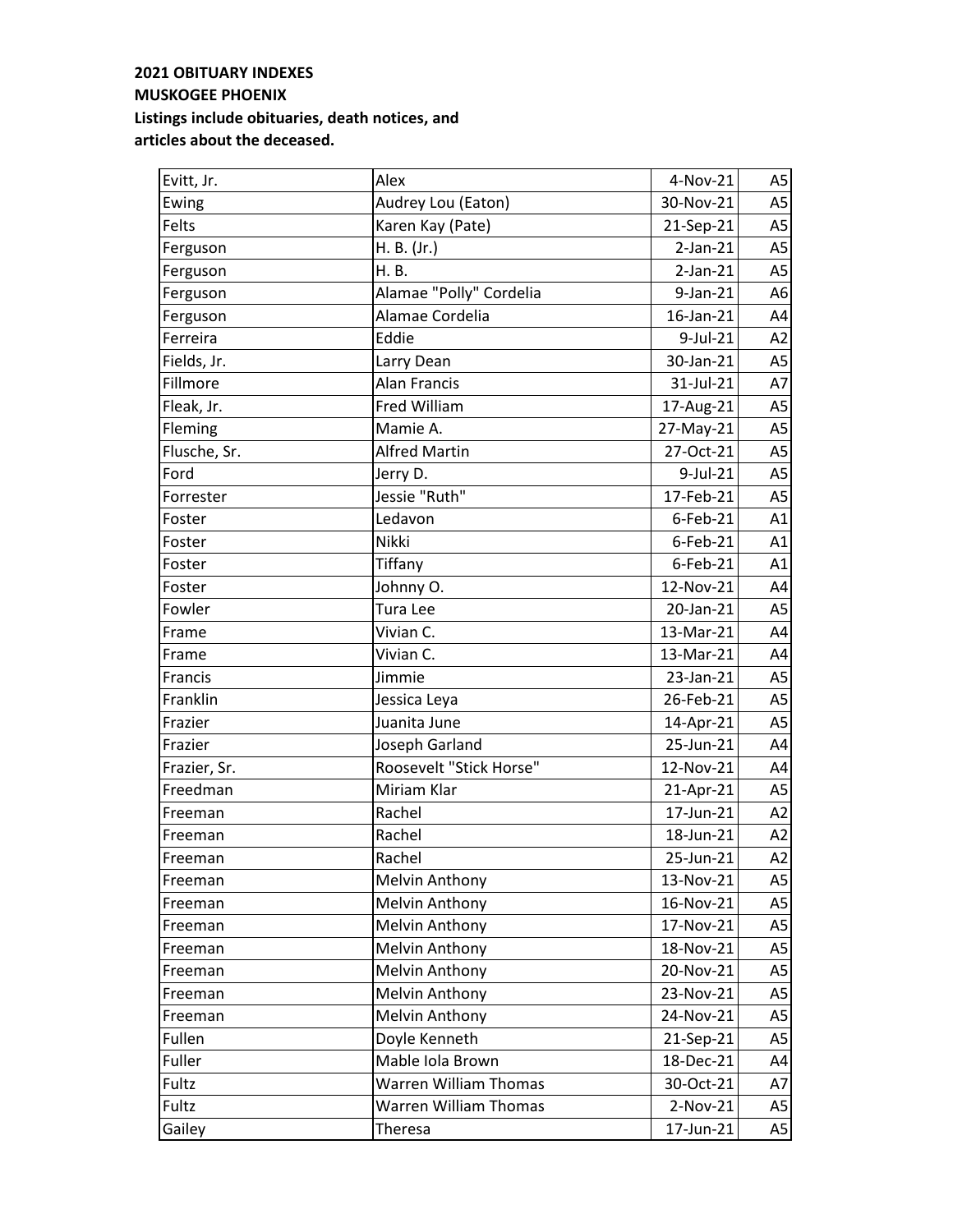| Evitt, Jr.   | Alex                    | 4-Nov-21   | A5             |
|--------------|-------------------------|------------|----------------|
| Ewing        | Audrey Lou (Eaton)      | 30-Nov-21  | A <sub>5</sub> |
| Felts        | Karen Kay (Pate)        | 21-Sep-21  | A <sub>5</sub> |
| Ferguson     | H. B. (Jr.)             | $2-Jan-21$ | A5             |
| Ferguson     | H. B.                   | $2-Jan-21$ | A <sub>5</sub> |
| Ferguson     | Alamae "Polly" Cordelia | 9-Jan-21   | A6             |
| Ferguson     | Alamae Cordelia         | 16-Jan-21  | A4             |
| Ferreira     | Eddie                   | 9-Jul-21   | A2             |
| Fields, Jr.  | Larry Dean              | 30-Jan-21  | A <sub>5</sub> |
| Fillmore     | <b>Alan Francis</b>     | 31-Jul-21  | A7             |
| Fleak, Jr.   | Fred William            | 17-Aug-21  | A <sub>5</sub> |
| Fleming      | Mamie A.                | 27-May-21  | A <sub>5</sub> |
| Flusche, Sr. | <b>Alfred Martin</b>    | 27-Oct-21  | A <sub>5</sub> |
| Ford         | Jerry D.                | 9-Jul-21   | A <sub>5</sub> |
| Forrester    | Jessie "Ruth"           | 17-Feb-21  | A <sub>5</sub> |
| Foster       | Ledavon                 | 6-Feb-21   | A1             |
| Foster       | Nikki                   | 6-Feb-21   | A1             |
| Foster       | Tiffany                 | 6-Feb-21   | A1             |
| Foster       | Johnny O.               | 12-Nov-21  | A4             |
| Fowler       | Tura Lee                | 20-Jan-21  | A <sub>5</sub> |
| Frame        | Vivian C.               | 13-Mar-21  | A4             |
| Frame        | Vivian C.               | 13-Mar-21  | A4             |
| Francis      | Jimmie                  | 23-Jan-21  | A <sub>5</sub> |
| Franklin     | Jessica Leya            | 26-Feb-21  | A <sub>5</sub> |
| Frazier      | Juanita June            | 14-Apr-21  | A <sub>5</sub> |
| Frazier      | Joseph Garland          | 25-Jun-21  | A4             |
| Frazier, Sr. | Roosevelt "Stick Horse" | 12-Nov-21  | A4             |
| Freedman     | Miriam Klar             | 21-Apr-21  | A <sub>5</sub> |
| Freeman      | Rachel                  | 17-Jun-21  | A2             |
| Freeman      | Rachel                  | 18-Jun-21  | A2             |
| Freeman      | Rachel                  | 25-Jun-21  | A2             |
| Freeman      | <b>Melvin Anthony</b>   | 13-Nov-21  | A5             |
| Freeman      | <b>Melvin Anthony</b>   | 16-Nov-21  | A5             |
| Freeman      | Melvin Anthony          | 17-Nov-21  | A5             |
| Freeman      | Melvin Anthony          | 18-Nov-21  | A5             |
| Freeman      | Melvin Anthony          | 20-Nov-21  | A5             |
| Freeman      | <b>Melvin Anthony</b>   | 23-Nov-21  | A5             |
| Freeman      | Melvin Anthony          | 24-Nov-21  | A5             |
| Fullen       | Doyle Kenneth           | 21-Sep-21  | A5             |
| Fuller       | Mable Iola Brown        | 18-Dec-21  | A4             |
| Fultz        | Warren William Thomas   | 30-Oct-21  | A7             |
| Fultz        | Warren William Thomas   | $2-Nov-21$ | A5             |
| Gailey       | Theresa                 | 17-Jun-21  | A5             |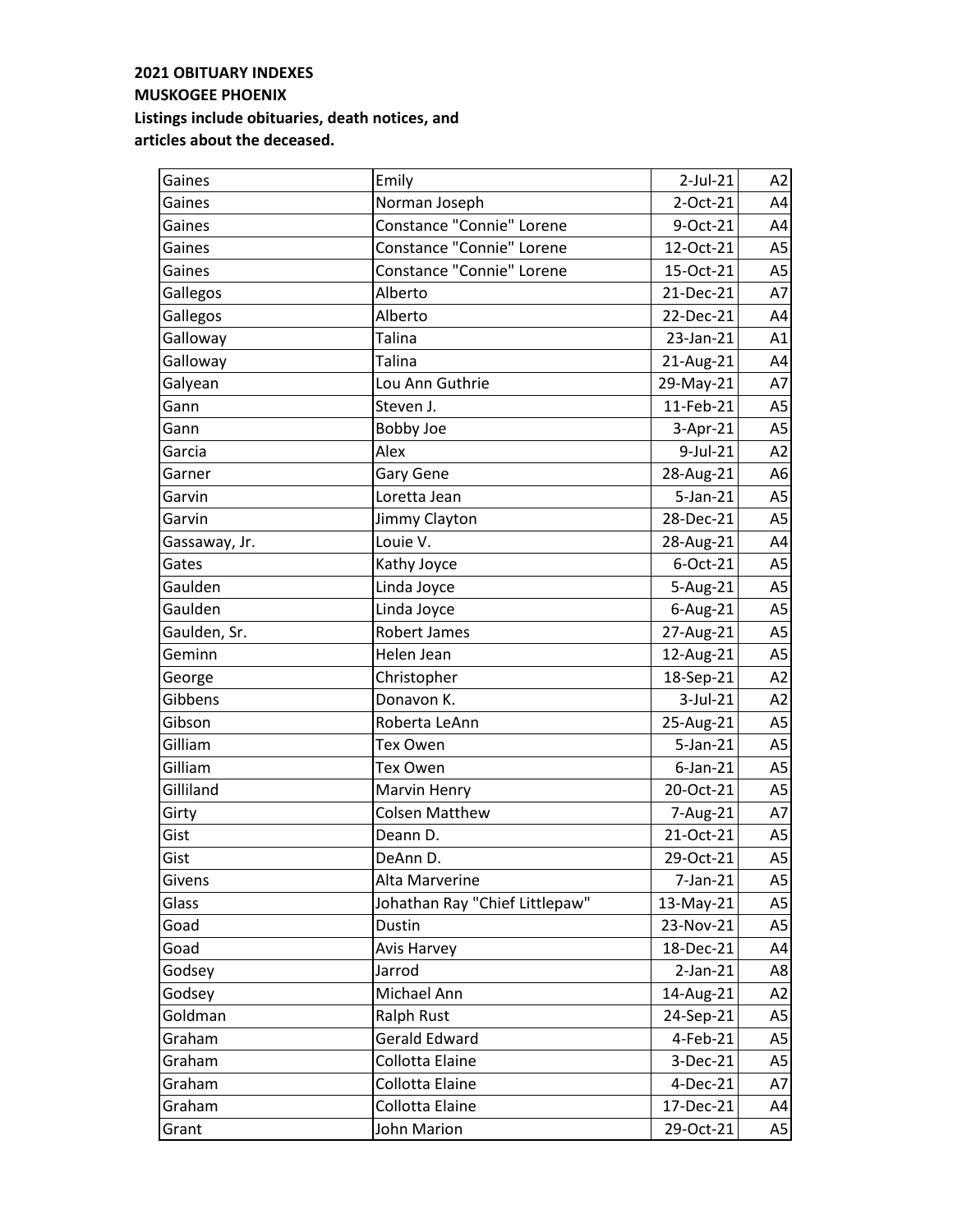| Gaines        | Emily                          | 2-Jul-21       | A2             |
|---------------|--------------------------------|----------------|----------------|
| Gaines        | Norman Joseph                  | 2-Oct-21       | A4             |
| Gaines        | Constance "Connie" Lorene      | 9-Oct-21       | A4             |
| Gaines        | Constance "Connie" Lorene      | 12-Oct-21      | A <sub>5</sub> |
| Gaines        | Constance "Connie" Lorene      | 15-Oct-21      | A <sub>5</sub> |
| Gallegos      | Alberto                        | 21-Dec-21      | A7             |
| Gallegos      | Alberto                        | 22-Dec-21      | A4             |
| Galloway      | Talina                         | 23-Jan-21      | A1             |
| Galloway      | <b>Talina</b>                  | 21-Aug-21      | A4             |
| Galyean       | Lou Ann Guthrie                | 29-May-21      | A7             |
| Gann          | Steven J.                      | 11-Feb-21      | A <sub>5</sub> |
| Gann          | <b>Bobby Joe</b>               | 3-Apr-21       | A <sub>5</sub> |
| Garcia        | Alex                           | $9$ -Jul-21    | A2             |
| Garner        | <b>Gary Gene</b>               | 28-Aug-21      | A <sub>6</sub> |
| Garvin        | Loretta Jean                   | 5-Jan-21       | A <sub>5</sub> |
| Garvin        | Jimmy Clayton                  | 28-Dec-21      | A <sub>5</sub> |
| Gassaway, Jr. | Louie V.                       | 28-Aug-21      | A4             |
| Gates         | Kathy Joyce                    | 6-Oct-21       | A <sub>5</sub> |
| Gaulden       | Linda Joyce                    | 5-Aug-21       | A <sub>5</sub> |
| Gaulden       | Linda Joyce                    | $6$ -Aug-21    | A <sub>5</sub> |
| Gaulden, Sr.  | <b>Robert James</b>            | 27-Aug-21      | A <sub>5</sub> |
| Geminn        | Helen Jean                     | 12-Aug-21      | A <sub>5</sub> |
| George        | Christopher                    | 18-Sep-21      | A2             |
| Gibbens       | Donavon K.                     | 3-Jul-21       | A2             |
| Gibson        | Roberta LeAnn                  | 25-Aug-21      | A <sub>5</sub> |
| Gilliam       | Tex Owen                       | $5$ -Jan- $21$ | A <sub>5</sub> |
| Gilliam       | Tex Owen                       | $6$ -Jan-21    | A <sub>5</sub> |
| Gilliland     | Marvin Henry                   | 20-Oct-21      | A <sub>5</sub> |
| Girty         | <b>Colsen Matthew</b>          | 7-Aug-21       | A7             |
| Gist          | Deann D.                       | 21-Oct-21      | A <sub>5</sub> |
| Gist          | DeAnn D.                       | 29-Oct-21      | A5             |
| Givens        | Alta Marverine                 | 7-Jan-21       | A5             |
| Glass         | Johathan Ray "Chief Littlepaw" | 13-May-21      | A <sub>5</sub> |
| Goad          | Dustin                         | 23-Nov-21      | A5             |
| Goad          | Avis Harvey                    | 18-Dec-21      | A4             |
| Godsey        | Jarrod                         | $2-Jan-21$     | A8             |
| Godsey        | Michael Ann                    | 14-Aug-21      | A <sub>2</sub> |
| Goldman       | Ralph Rust                     | 24-Sep-21      | A <sub>5</sub> |
| Graham        | <b>Gerald Edward</b>           | 4-Feb-21       | A <sub>5</sub> |
| Graham        | Collotta Elaine                | 3-Dec-21       | A5             |
| Graham        | Collotta Elaine                | 4-Dec-21       | A7             |
| Graham        | Collotta Elaine                | 17-Dec-21      | A4             |
| Grant         | John Marion                    | 29-Oct-21      | A5             |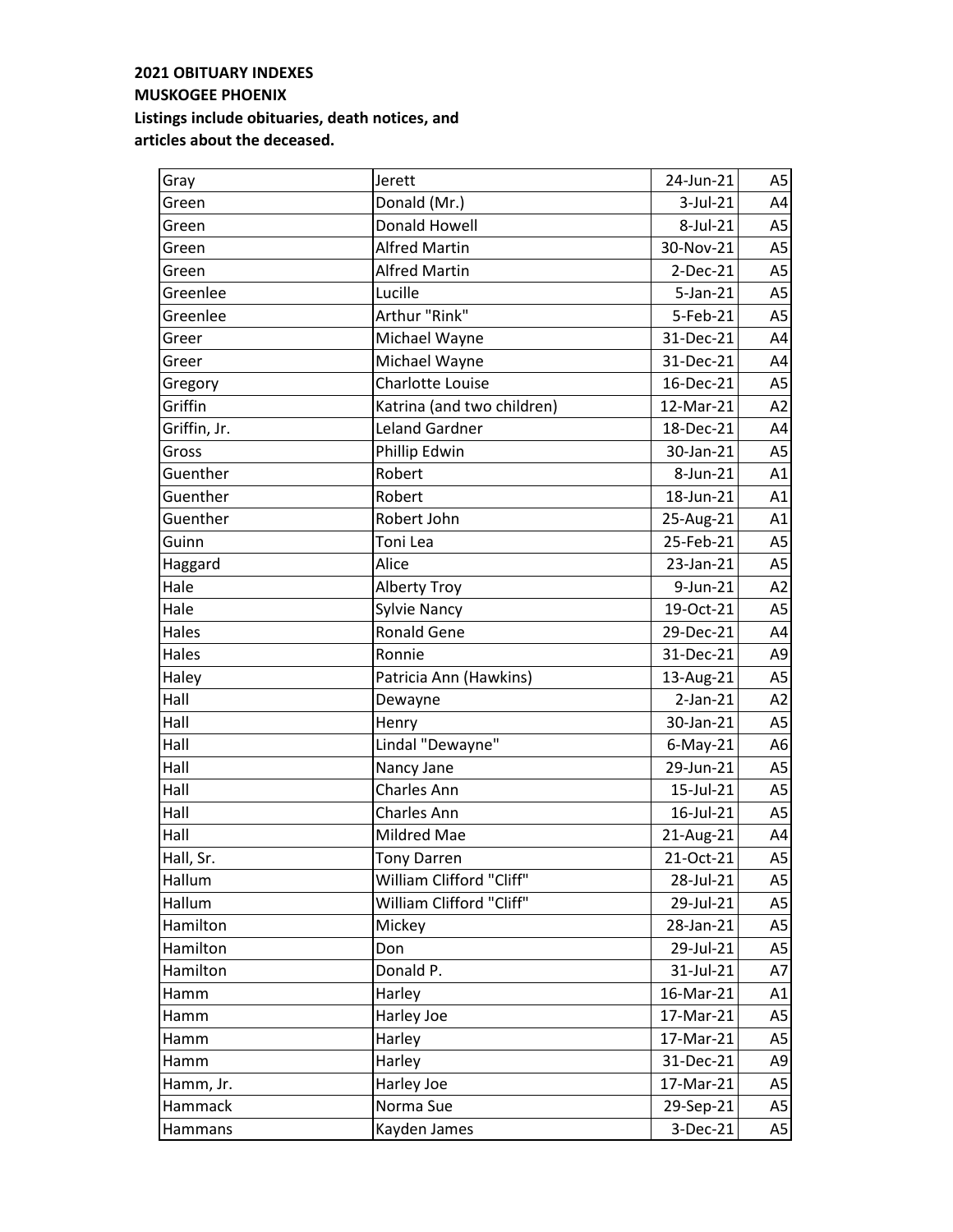| Gray         | Jerett                     | 24-Jun-21      | A5             |
|--------------|----------------------------|----------------|----------------|
| Green        | Donald (Mr.)               | 3-Jul-21       | A4             |
| Green        | Donald Howell              | 8-Jul-21       | A5             |
| Green        | <b>Alfred Martin</b>       | 30-Nov-21      | A <sub>5</sub> |
| Green        | <b>Alfred Martin</b>       | $2-Dec-21$     | A <sub>5</sub> |
| Greenlee     | Lucille                    | $5$ -Jan- $21$ | A <sub>5</sub> |
| Greenlee     | Arthur "Rink"              | 5-Feb-21       | A <sub>5</sub> |
| Greer        | Michael Wayne              | 31-Dec-21      | A4             |
| Greer        | Michael Wayne              | 31-Dec-21      | A4             |
| Gregory      | <b>Charlotte Louise</b>    | 16-Dec-21      | A <sub>5</sub> |
| Griffin      | Katrina (and two children) | 12-Mar-21      | A2             |
| Griffin, Jr. | <b>Leland Gardner</b>      | 18-Dec-21      | A4             |
| Gross        | Phillip Edwin              | 30-Jan-21      | A <sub>5</sub> |
| Guenther     | Robert                     | 8-Jun-21       | A1             |
| Guenther     | Robert                     | 18-Jun-21      | A1             |
| Guenther     | Robert John                | 25-Aug-21      | A1             |
| Guinn        | Toni Lea                   | 25-Feb-21      | A <sub>5</sub> |
| Haggard      | Alice                      | 23-Jan-21      | A <sub>5</sub> |
| Hale         | <b>Alberty Troy</b>        | 9-Jun-21       | A2             |
| Hale         | <b>Sylvie Nancy</b>        | 19-Oct-21      | A <sub>5</sub> |
| Hales        | <b>Ronald Gene</b>         | 29-Dec-21      | A4             |
| Hales        | Ronnie                     | 31-Dec-21      | A <sub>9</sub> |
| Haley        | Patricia Ann (Hawkins)     | 13-Aug-21      | A <sub>5</sub> |
| Hall         | Dewayne                    | $2-Jan-21$     | A2             |
| Hall         | Henry                      | 30-Jan-21      | A <sub>5</sub> |
| Hall         | Lindal "Dewayne"           | $6$ -May-21    | A6             |
| Hall         | Nancy Jane                 | 29-Jun-21      | A <sub>5</sub> |
| Hall         | Charles Ann                | 15-Jul-21      | A5             |
| Hall         | Charles Ann                | 16-Jul-21      | A <sub>5</sub> |
| Hall         | Mildred Mae                | 21-Aug-21      | A4             |
| Hall, Sr.    | <b>Tony Darren</b>         | 21-Oct-21      | A5             |
| Hallum       | William Clifford "Cliff"   | 28-Jul-21      | A5             |
| Hallum       | William Clifford "Cliff"   | 29-Jul-21      | A5             |
| Hamilton     | Mickey                     | 28-Jan-21      | A5             |
| Hamilton     | Don                        | 29-Jul-21      | A <sub>5</sub> |
| Hamilton     | Donald P.                  | 31-Jul-21      | A7             |
| Hamm         | Harley                     | 16-Mar-21      | A1             |
| Hamm         | Harley Joe                 | 17-Mar-21      | A <sub>5</sub> |
| Hamm         | Harley                     | 17-Mar-21      | A <sub>5</sub> |
| Hamm         | Harley                     | 31-Dec-21      | A9             |
| Hamm, Jr.    | Harley Joe                 | 17-Mar-21      | A <sub>5</sub> |
| Hammack      | Norma Sue                  | 29-Sep-21      | A <sub>5</sub> |
| Hammans      | Kayden James               | 3-Dec-21       | A5             |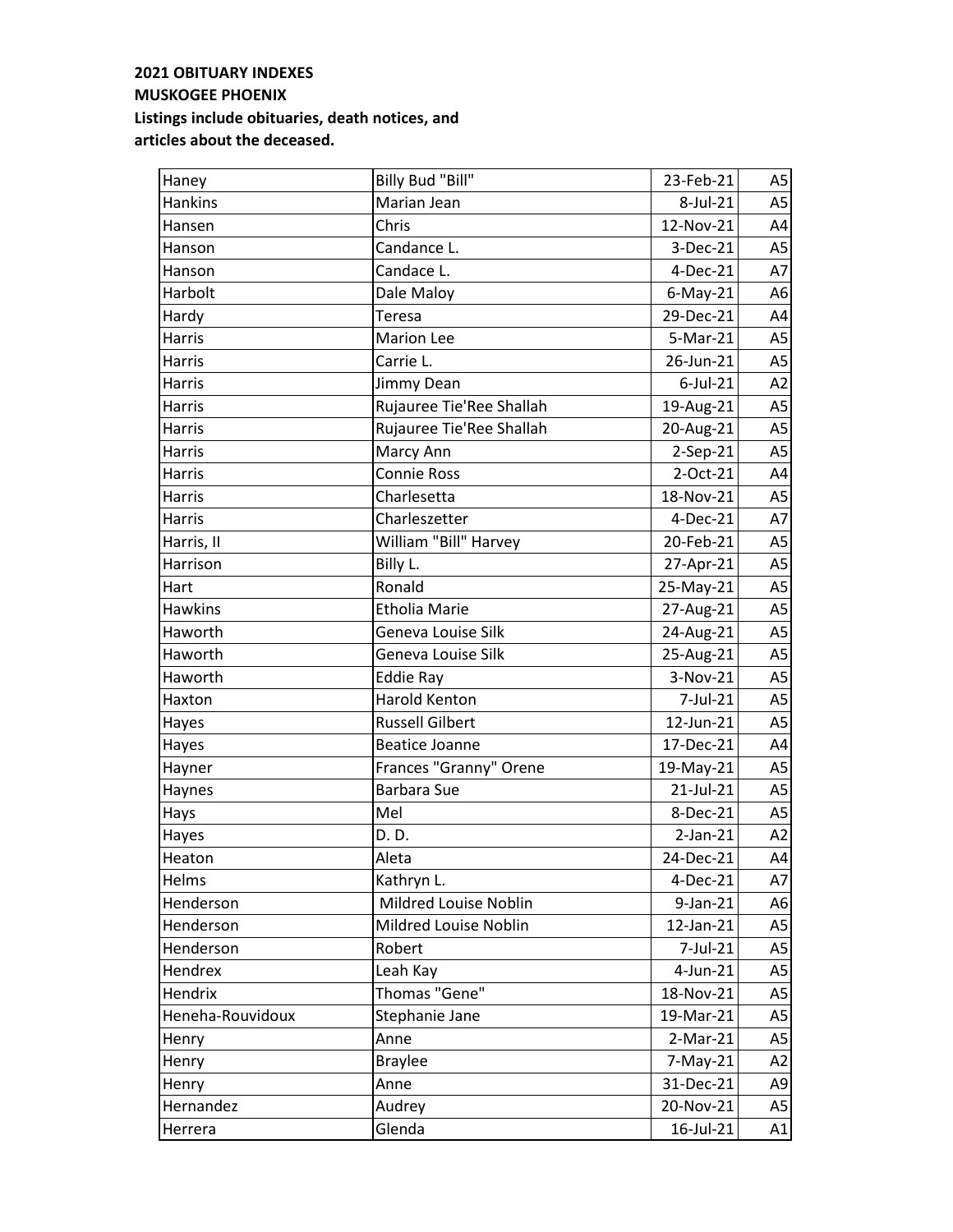$\overline{\phantom{a}}$ 

| Haney            | Billy Bud "Bill"         | 23-Feb-21      | A5             |
|------------------|--------------------------|----------------|----------------|
| <b>Hankins</b>   | Marian Jean              | 8-Jul-21       | A <sub>5</sub> |
| Hansen           | Chris                    | 12-Nov-21      | A4             |
| Hanson           | Candance L.              | 3-Dec-21       | A <sub>5</sub> |
| Hanson           | Candace L.               | $4-Dec-21$     | A7             |
| Harbolt          | Dale Maloy               | $6$ -May-21    | A6             |
| Hardy            | Teresa                   | 29-Dec-21      | A4             |
| Harris           | <b>Marion Lee</b>        | 5-Mar-21       | A <sub>5</sub> |
| <b>Harris</b>    | Carrie L.                | 26-Jun-21      | A <sub>5</sub> |
| Harris           | Jimmy Dean               | $6$ -Jul-21    | A2             |
| Harris           | Rujauree Tie'Ree Shallah | 19-Aug-21      | A <sub>5</sub> |
| Harris           | Rujauree Tie'Ree Shallah | 20-Aug-21      | A <sub>5</sub> |
| <b>Harris</b>    | Marcy Ann                | 2-Sep-21       | A <sub>5</sub> |
| Harris           | <b>Connie Ross</b>       | 2-Oct-21       | A4             |
| Harris           | Charlesetta              | 18-Nov-21      | A <sub>5</sub> |
| Harris           | Charleszetter            | 4-Dec-21       | A7             |
| Harris, II       | William "Bill" Harvey    | 20-Feb-21      | A <sub>5</sub> |
| Harrison         | Billy L.                 | 27-Apr-21      | A <sub>5</sub> |
| Hart             | Ronald                   | 25-May-21      | A <sub>5</sub> |
| <b>Hawkins</b>   | <b>Etholia Marie</b>     | 27-Aug-21      | A <sub>5</sub> |
| Haworth          | Geneva Louise Silk       | 24-Aug-21      | A <sub>5</sub> |
| Haworth          | Geneva Louise Silk       | 25-Aug-21      | A <sub>5</sub> |
| Haworth          | <b>Eddie Ray</b>         | 3-Nov-21       | A <sub>5</sub> |
| Haxton           | <b>Harold Kenton</b>     | 7-Jul-21       | A <sub>5</sub> |
| Hayes            | <b>Russell Gilbert</b>   | 12-Jun-21      | A <sub>5</sub> |
| Hayes            | <b>Beatice Joanne</b>    | 17-Dec-21      | A4             |
| Hayner           | Frances "Granny" Orene   | 19-May-21      | A <sub>5</sub> |
| Haynes           | <b>Barbara Sue</b>       | 21-Jul-21      | A <sub>5</sub> |
| Hays             | Mel                      | 8-Dec-21       | A <sub>5</sub> |
| Hayes            | D. D.                    | $2$ -Jan- $21$ | A2             |
| Heaton           | Aleta                    | 24-Dec-21      | A4             |
| Helms            | Kathryn L.               | 4-Dec-21       | A7             |
| Henderson        | Mildred Louise Noblin    | 9-Jan-21       | A <sub>6</sub> |
| Henderson        | Mildred Louise Noblin    | 12-Jan-21      | A <sub>5</sub> |
| Henderson        | Robert                   | 7-Jul-21       | A <sub>5</sub> |
| Hendrex          | Leah Kay                 | $4$ -Jun-21    | A <sub>5</sub> |
| Hendrix          | Thomas "Gene"            | 18-Nov-21      | A5             |
| Heneha-Rouvidoux | Stephanie Jane           | 19-Mar-21      | A5             |
| Henry            | Anne                     | $2-Mar-21$     | A5             |
| Henry            | <b>Braylee</b>           | $7-May-21$     | A <sub>2</sub> |
| Henry            | Anne                     | 31-Dec-21      | A9             |
| Hernandez        | Audrey                   | 20-Nov-21      | A5             |
| Herrera          | Glenda                   | 16-Jul-21      | A1             |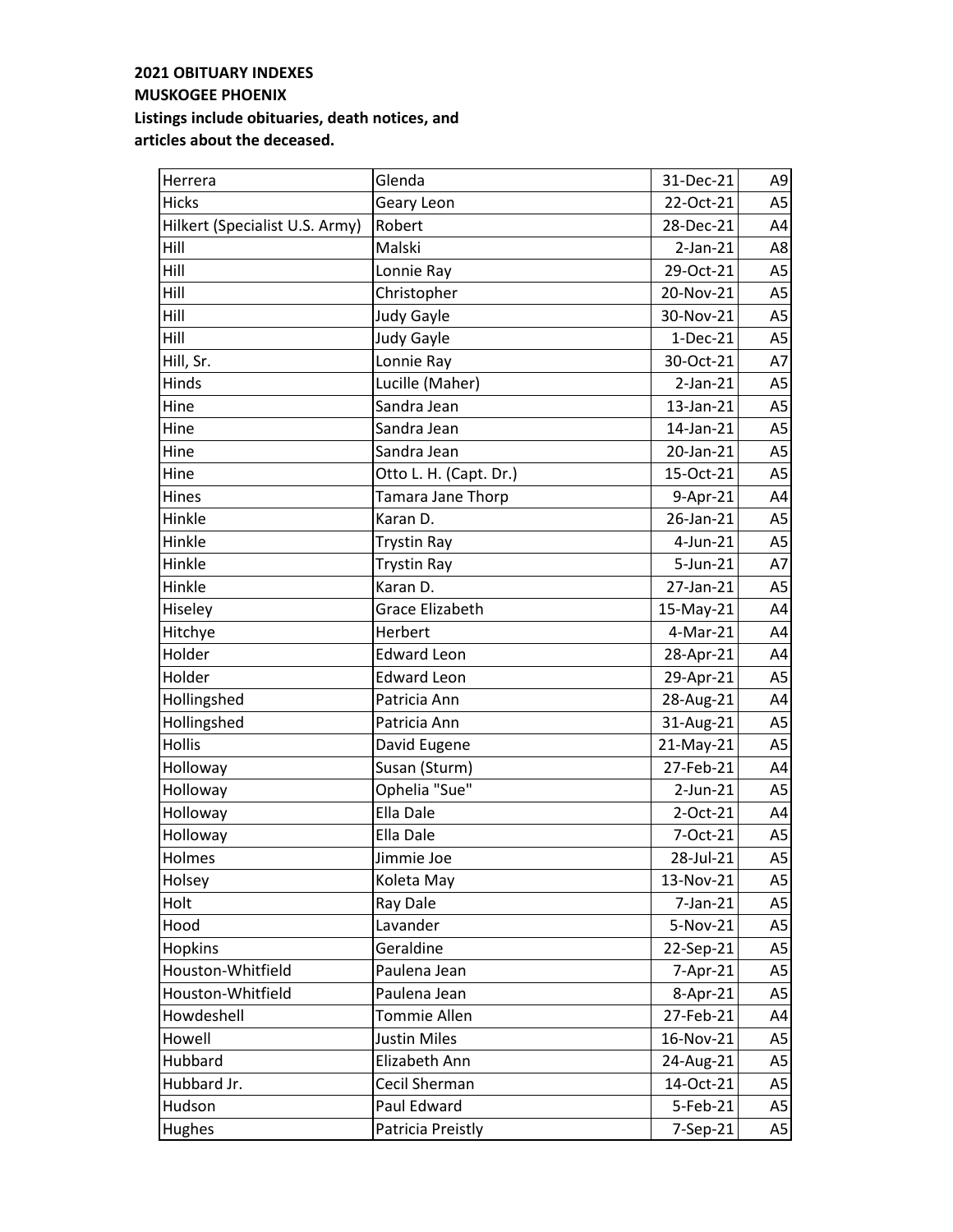| Herrera                        | Glenda                 | 31-Dec-21      | A9             |
|--------------------------------|------------------------|----------------|----------------|
| <b>Hicks</b>                   | Geary Leon             | 22-Oct-21      | A <sub>5</sub> |
| Hilkert (Specialist U.S. Army) | Robert                 | 28-Dec-21      | A4             |
| Hill                           | Malski                 | $2-Jan-21$     | A8             |
| Hill                           | Lonnie Ray             | 29-Oct-21      | A <sub>5</sub> |
| Hill                           | Christopher            | 20-Nov-21      | A <sub>5</sub> |
| Hill                           | <b>Judy Gayle</b>      | 30-Nov-21      | A <sub>5</sub> |
| Hill                           | <b>Judy Gayle</b>      | $1-Dec-21$     | A <sub>5</sub> |
| Hill, Sr.                      | Lonnie Ray             | 30-Oct-21      | A7             |
| Hinds                          | Lucille (Maher)        | $2-Jan-21$     | A5             |
| Hine                           | Sandra Jean            | 13-Jan-21      | A <sub>5</sub> |
| Hine                           | Sandra Jean            | 14-Jan-21      | A <sub>5</sub> |
| Hine                           | Sandra Jean            | 20-Jan-21      | A <sub>5</sub> |
| Hine                           | Otto L. H. (Capt. Dr.) | 15-Oct-21      | A <sub>5</sub> |
| Hines                          | Tamara Jane Thorp      | 9-Apr-21       | A4             |
| Hinkle                         | Karan D.               | 26-Jan-21      | A <sub>5</sub> |
| Hinkle                         | <b>Trystin Ray</b>     | 4-Jun-21       | A <sub>5</sub> |
| Hinkle                         | <b>Trystin Ray</b>     | 5-Jun-21       | A7             |
| Hinkle                         | Karan D.               | 27-Jan-21      | A <sub>5</sub> |
| Hiseley                        | Grace Elizabeth        | 15-May-21      | A4             |
| Hitchye                        | Herbert                | 4-Mar-21       | A4             |
| Holder                         | <b>Edward Leon</b>     | 28-Apr-21      | A4             |
| Holder                         | <b>Edward Leon</b>     | 29-Apr-21      | A <sub>5</sub> |
| Hollingshed                    | Patricia Ann           | 28-Aug-21      | A4             |
| Hollingshed                    | Patricia Ann           | 31-Aug-21      | A <sub>5</sub> |
| <b>Hollis</b>                  | David Eugene           | 21-May-21      | A <sub>5</sub> |
| Holloway                       | Susan (Sturm)          | 27-Feb-21      | A4             |
| Holloway                       | Ophelia "Sue"          | $2$ -Jun- $21$ | A <sub>5</sub> |
| Holloway                       | Ella Dale              | 2-Oct-21       | A4             |
| Holloway                       | Ella Dale              | 7-Oct-21       | A <sub>5</sub> |
| Holmes                         | Jimmie Joe             | 28-Jul-21      | A5             |
| Holsey                         | Koleta May             | 13-Nov-21      | A5             |
| Holt                           | Ray Dale               | $7$ -Jan- $21$ | A <sub>5</sub> |
| Hood                           | Lavander               | 5-Nov-21       | A5             |
| Hopkins                        | Geraldine              | 22-Sep-21      | A5             |
| Houston-Whitfield              | Paulena Jean           | 7-Apr-21       | A5             |
| Houston-Whitfield              | Paulena Jean           | 8-Apr-21       | A5             |
| Howdeshell                     | <b>Tommie Allen</b>    | 27-Feb-21      | A4             |
| Howell                         | <b>Justin Miles</b>    | 16-Nov-21      | A5             |
| Hubbard                        | Elizabeth Ann          | 24-Aug-21      | A5             |
| Hubbard Jr.                    | Cecil Sherman          | 14-Oct-21      | A5             |
| Hudson                         | Paul Edward            | 5-Feb-21       | A5             |
| Hughes                         | Patricia Preistly      | 7-Sep-21       | A5             |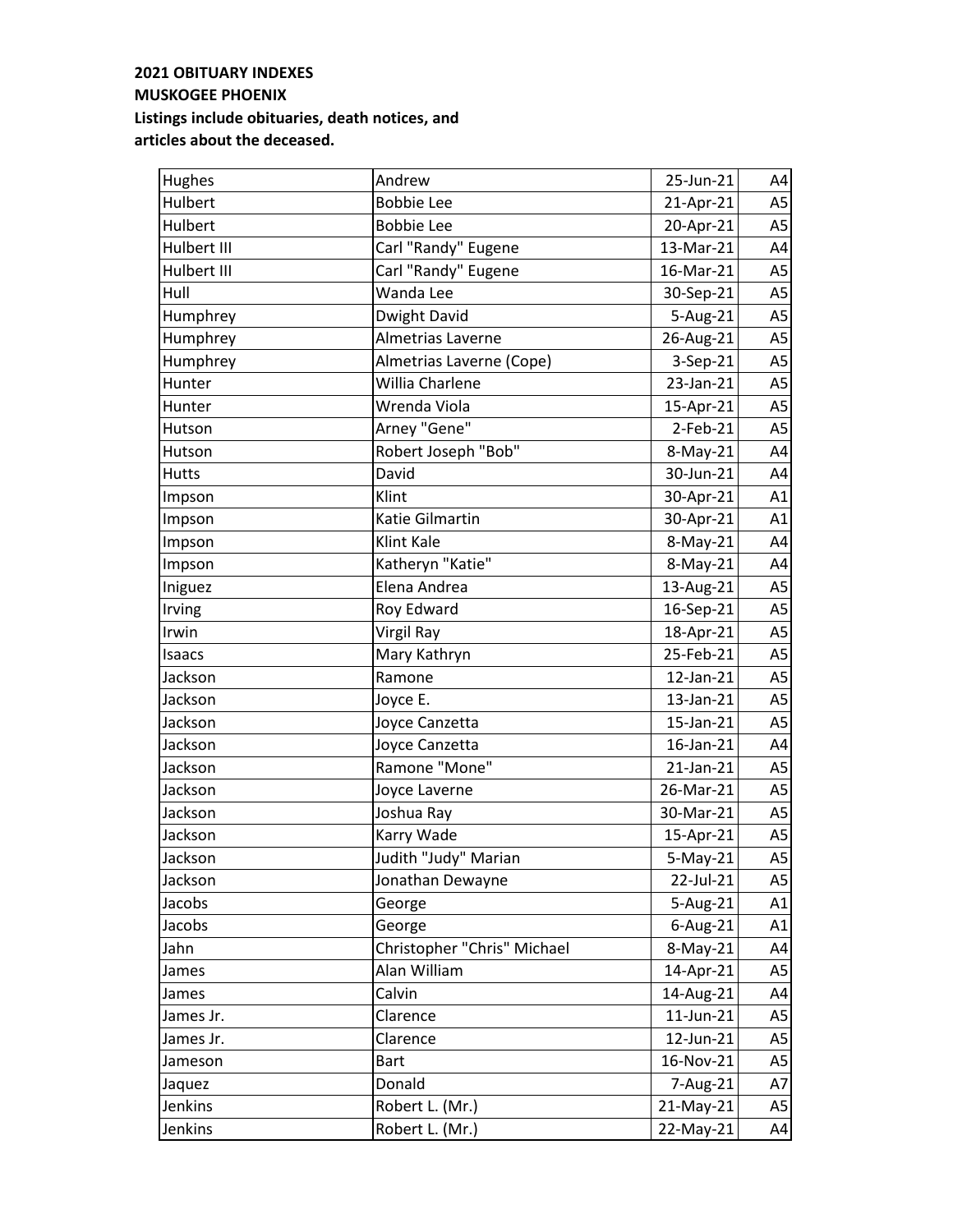| Hughes       | Andrew                      | 25-Jun-21   | A4             |
|--------------|-----------------------------|-------------|----------------|
| Hulbert      | <b>Bobbie Lee</b>           | 21-Apr-21   | A <sub>5</sub> |
| Hulbert      | <b>Bobbie Lee</b>           | 20-Apr-21   | A <sub>5</sub> |
| Hulbert III  | Carl "Randy" Eugene         | 13-Mar-21   | A4             |
| Hulbert III  | Carl "Randy" Eugene         | 16-Mar-21   | A <sub>5</sub> |
| Hull         | Wanda Lee                   | 30-Sep-21   | A <sub>5</sub> |
| Humphrey     | Dwight David                | 5-Aug-21    | A <sub>5</sub> |
| Humphrey     | Almetrias Laverne           | 26-Aug-21   | A <sub>5</sub> |
| Humphrey     | Almetrias Laverne (Cope)    | 3-Sep-21    | A <sub>5</sub> |
| Hunter       | Willia Charlene             | 23-Jan-21   | A <sub>5</sub> |
| Hunter       | Wrenda Viola                | 15-Apr-21   | A <sub>5</sub> |
| Hutson       | Arney "Gene"                | 2-Feb-21    | A <sub>5</sub> |
| Hutson       | Robert Joseph "Bob"         | 8-May-21    | A4             |
| <b>Hutts</b> | David                       | 30-Jun-21   | A4             |
| Impson       | Klint                       | 30-Apr-21   | A1             |
| Impson       | Katie Gilmartin             | 30-Apr-21   | A1             |
| Impson       | Klint Kale                  | 8-May-21    | A4             |
| Impson       | Katheryn "Katie"            | 8-May-21    | A4             |
| Iniguez      | Elena Andrea                | 13-Aug-21   | A <sub>5</sub> |
| Irving       | Roy Edward                  | 16-Sep-21   | A <sub>5</sub> |
| Irwin        | Virgil Ray                  | 18-Apr-21   | A <sub>5</sub> |
| Isaacs       | Mary Kathryn                | 25-Feb-21   | A <sub>5</sub> |
| Jackson      | Ramone                      | 12-Jan-21   | A <sub>5</sub> |
| Jackson      | Joyce E.                    | 13-Jan-21   | A <sub>5</sub> |
| Jackson      | Joyce Canzetta              | 15-Jan-21   | A <sub>5</sub> |
| Jackson      | Joyce Canzetta              | 16-Jan-21   | A4             |
| Jackson      | Ramone "Mone"               | 21-Jan-21   | A <sub>5</sub> |
| Jackson      | Joyce Laverne               | 26-Mar-21   | A <sub>5</sub> |
| Jackson      | Joshua Ray                  | 30-Mar-21   | A <sub>5</sub> |
| Jackson      | Karry Wade                  | 15-Apr-21   | A5             |
| Jackson      | Judith "Judy" Marian        | $5-May-21$  | A5             |
| Jackson      | Jonathan Dewayne            | 22-Jul-21   | A5             |
| Jacobs       | George                      | 5-Aug-21    | A1             |
| Jacobs       | George                      | $6$ -Aug-21 | A1             |
| Jahn         | Christopher "Chris" Michael | 8-May-21    | A4             |
| James        | Alan William                | 14-Apr-21   | A <sub>5</sub> |
| James        | Calvin                      | 14-Aug-21   | A4             |
| James Jr.    | Clarence                    | 11-Jun-21   | A5             |
| James Jr.    | Clarence                    | 12-Jun-21   | A5             |
| Jameson      | <b>Bart</b>                 | 16-Nov-21   | A <sub>5</sub> |
| Jaquez       | Donald                      | 7-Aug-21    | A7             |
| Jenkins      | Robert L. (Mr.)             | 21-May-21   | A5             |
| Jenkins      | Robert L. (Mr.)             | 22-May-21   | A4             |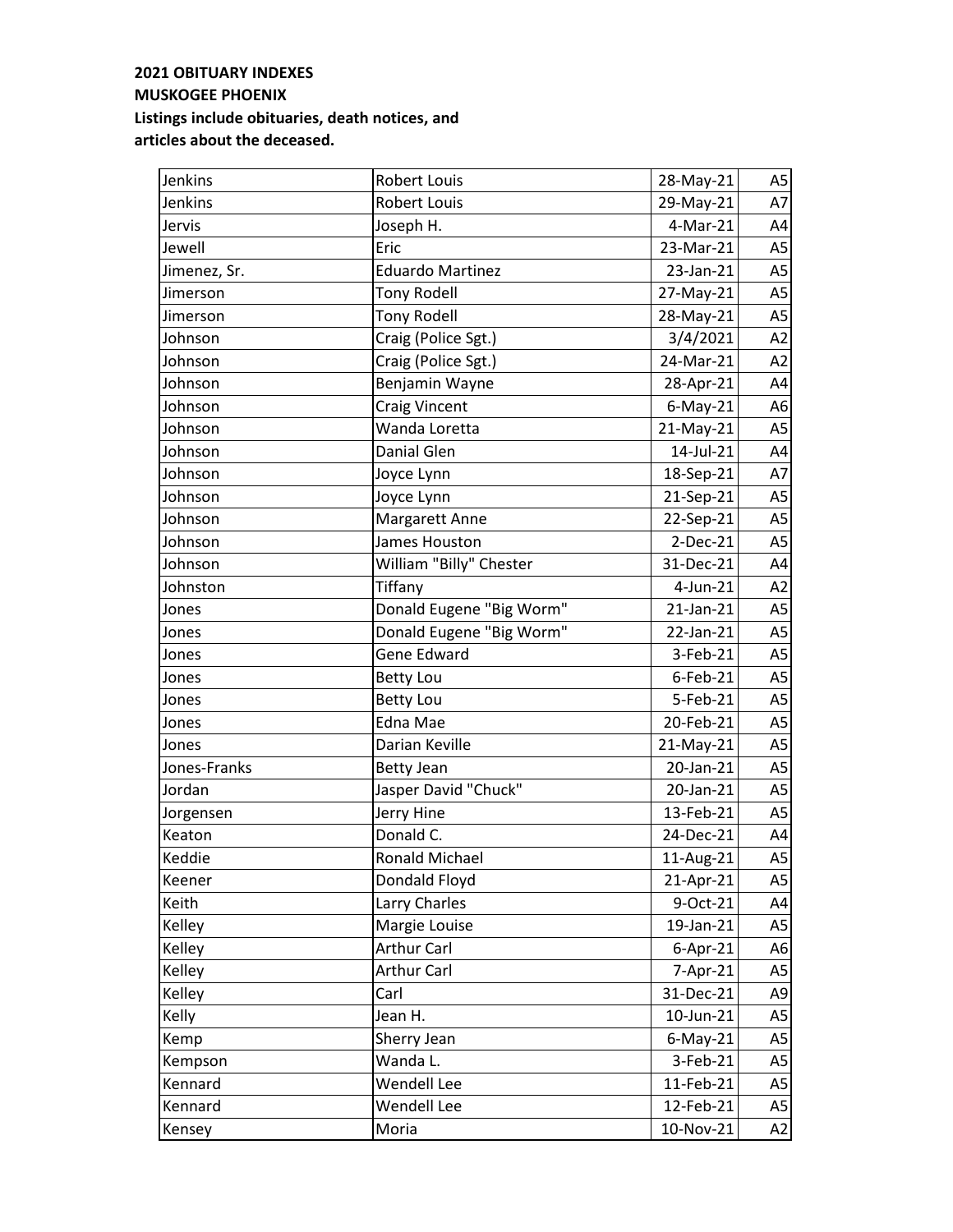| Jenkins      | <b>Robert Louis</b>      | 28-May-21      | A5             |
|--------------|--------------------------|----------------|----------------|
| Jenkins      | Robert Louis             | 29-May-21      | A7             |
| Jervis       | Joseph H.                | 4-Mar-21       | A4             |
| Jewell       | Eric                     | 23-Mar-21      | A <sub>5</sub> |
| Jimenez, Sr. | <b>Eduardo Martinez</b>  | 23-Jan-21      | A <sub>5</sub> |
| Jimerson     | <b>Tony Rodell</b>       | 27-May-21      | A <sub>5</sub> |
| Jimerson     | <b>Tony Rodell</b>       | 28-May-21      | A <sub>5</sub> |
| Johnson      | Craig (Police Sgt.)      | 3/4/2021       | A2             |
| Johnson      | Craig (Police Sgt.)      | 24-Mar-21      | A2             |
| Johnson      | Benjamin Wayne           | 28-Apr-21      | A4             |
| Johnson      | <b>Craig Vincent</b>     | $6$ -May-21    | A6             |
| Johnson      | Wanda Loretta            | 21-May-21      | A <sub>5</sub> |
| Johnson      | Danial Glen              | 14-Jul-21      | A4             |
| Johnson      | Joyce Lynn               | 18-Sep-21      | A7             |
| Johnson      | Joyce Lynn               | 21-Sep-21      | A <sub>5</sub> |
| Johnson      | <b>Margarett Anne</b>    | 22-Sep-21      | A <sub>5</sub> |
| Johnson      | James Houston            | $2-Dec-21$     | A <sub>5</sub> |
| Johnson      | William "Billy" Chester  | 31-Dec-21      | A4             |
| Johnston     | Tiffany                  | 4-Jun-21       | A2             |
| Jones        | Donald Eugene "Big Worm" | 21-Jan-21      | A <sub>5</sub> |
| Jones        | Donald Eugene "Big Worm" | 22-Jan-21      | A <sub>5</sub> |
| Jones        | <b>Gene Edward</b>       | 3-Feb-21       | A <sub>5</sub> |
| Jones        | <b>Betty Lou</b>         | $6$ -Feb-21    | A <sub>5</sub> |
| Jones        | <b>Betty Lou</b>         | 5-Feb-21       | A <sub>5</sub> |
| Jones        | Edna Mae                 | 20-Feb-21      | A <sub>5</sub> |
| Jones        | Darian Keville           | 21-May-21      | A <sub>5</sub> |
| Jones-Franks | <b>Betty Jean</b>        | 20-Jan-21      | A <sub>5</sub> |
| Jordan       | Jasper David "Chuck"     | 20-Jan-21      | A5             |
| Jorgensen    | Jerry Hine               | 13-Feb-21      | A <sub>5</sub> |
| Keaton       | Donald C.                | 24-Dec-21      | A4             |
| Keddie       | <b>Ronald Michael</b>    | 11-Aug-21      | A5             |
| Keener       | Dondald Floyd            | 21-Apr-21      | A5             |
| Keith        | Larry Charles            | 9-Oct-21       | A4             |
| Kelley       | Margie Louise            | 19-Jan-21      | A5             |
| Kelley       | <b>Arthur Carl</b>       | $6 - Apr - 21$ | A6             |
| Kelley       | <b>Arthur Carl</b>       | 7-Apr-21       | A5             |
| Kelley       | Carl                     | 31-Dec-21      | A9             |
| Kelly        | Jean H.                  | 10-Jun-21      | A <sub>5</sub> |
| Kemp         | Sherry Jean              | $6$ -May-21    | A <sub>5</sub> |
| Kempson      | Wanda L.                 | 3-Feb-21       | A5             |
| Kennard      | Wendell Lee              | 11-Feb-21      | A <sub>5</sub> |
| Kennard      | Wendell Lee              | 12-Feb-21      | A5             |
| Kensey       | Moria                    | 10-Nov-21      | A2             |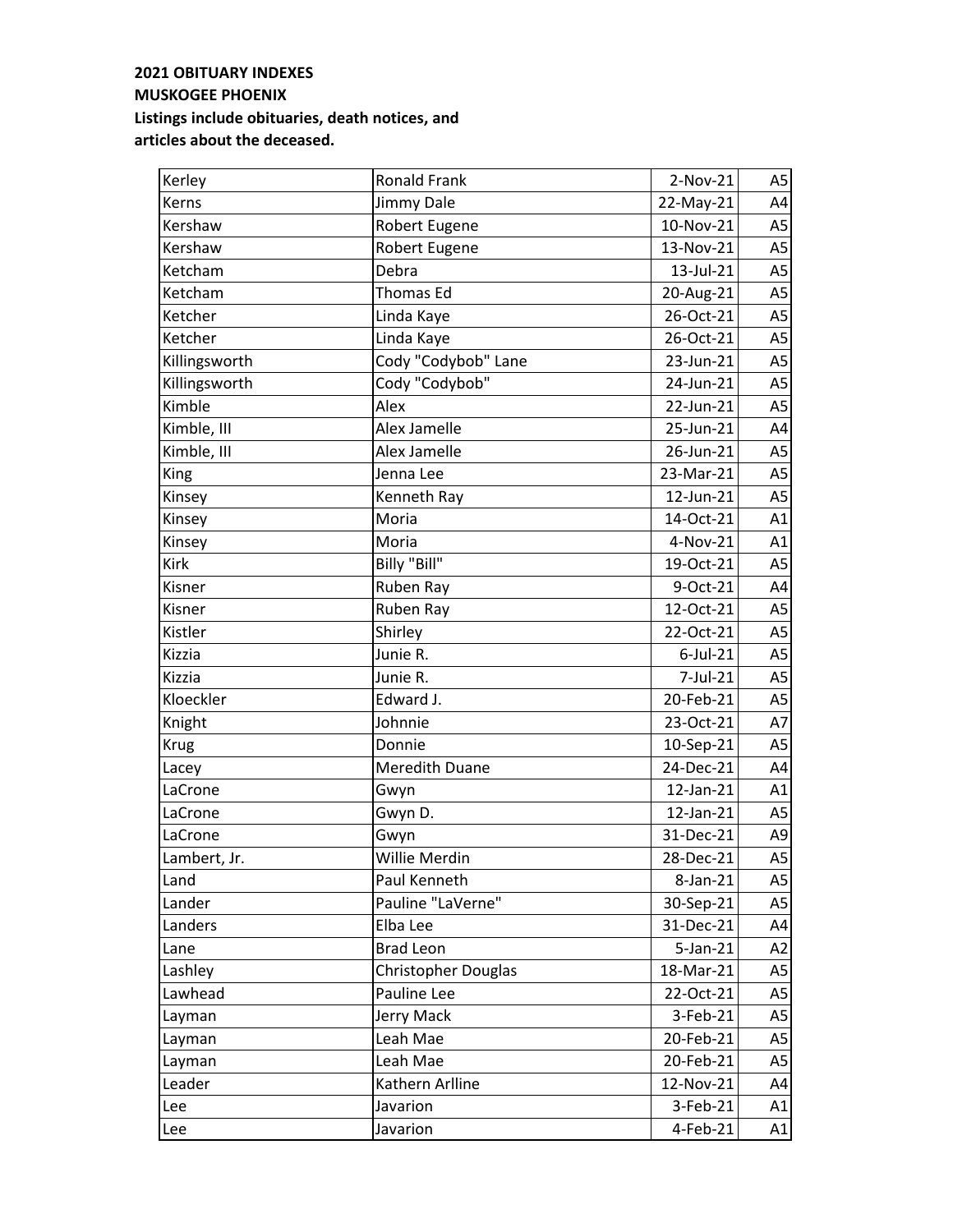| Kerley        | <b>Ronald Frank</b>        | $2-Nov-21$  | A5             |
|---------------|----------------------------|-------------|----------------|
| Kerns         | Jimmy Dale                 | 22-May-21   | A4             |
| Kershaw       | Robert Eugene              | 10-Nov-21   | A5             |
| Kershaw       | <b>Robert Eugene</b>       | 13-Nov-21   | A <sub>5</sub> |
| Ketcham       | Debra                      | 13-Jul-21   | A <sub>5</sub> |
| Ketcham       | <b>Thomas Ed</b>           | 20-Aug-21   | A <sub>5</sub> |
| Ketcher       | Linda Kaye                 | 26-Oct-21   | A <sub>5</sub> |
| Ketcher       | Linda Kaye                 | 26-Oct-21   | A <sub>5</sub> |
| Killingsworth | Cody "Codybob" Lane        | 23-Jun-21   | A <sub>5</sub> |
| Killingsworth | Cody "Codybob"             | 24-Jun-21   | A <sub>5</sub> |
| Kimble        | Alex                       | 22-Jun-21   | A <sub>5</sub> |
| Kimble, III   | Alex Jamelle               | 25-Jun-21   | A4             |
| Kimble, III   | Alex Jamelle               | 26-Jun-21   | A <sub>5</sub> |
| King          | Jenna Lee                  | 23-Mar-21   | A <sub>5</sub> |
| Kinsey        | Kenneth Ray                | 12-Jun-21   | A <sub>5</sub> |
| Kinsey        | Moria                      | 14-Oct-21   | A1             |
| Kinsey        | Moria                      | 4-Nov-21    | A1             |
| Kirk          | Billy "Bill"               | 19-Oct-21   | A <sub>5</sub> |
| Kisner        | Ruben Ray                  | 9-Oct-21    | A4             |
| Kisner        | Ruben Rav                  | 12-Oct-21   | A <sub>5</sub> |
| Kistler       | Shirley                    | 22-Oct-21   | A <sub>5</sub> |
| Kizzia        | Junie R.                   | $6$ -Jul-21 | A <sub>5</sub> |
| <b>Kizzia</b> | Junie R.                   | 7-Jul-21    | A <sub>5</sub> |
| Kloeckler     | Edward J.                  | 20-Feb-21   | A <sub>5</sub> |
| Knight        | Johnnie                    | 23-Oct-21   | A7             |
| <b>Krug</b>   | Donnie                     | 10-Sep-21   | A <sub>5</sub> |
| Lacey         | <b>Meredith Duane</b>      | 24-Dec-21   | A4             |
| LaCrone       | Gwyn                       | 12-Jan-21   | A1             |
| LaCrone       | Gwyn D.                    | 12-Jan-21   | A <sub>5</sub> |
| LaCrone       | Gwyn                       | 31-Dec-21   | A9             |
| Lambert, Jr.  | Willie Merdin              | 28-Dec-21   | A5             |
| Land          | Paul Kenneth               | 8-Jan-21    | A5             |
| Lander        | Pauline "LaVerne"          | 30-Sep-21   | A5             |
| Landers       | Elba Lee                   | 31-Dec-21   | A4             |
| Lane          | <b>Brad Leon</b>           | $5$ -Jan-21 | A2             |
| Lashley       | <b>Christopher Douglas</b> | 18-Mar-21   | A5             |
| Lawhead       | Pauline Lee                | 22-Oct-21   | A5             |
| Layman        | Jerry Mack                 | 3-Feb-21    | A <sub>5</sub> |
| Layman        | Leah Mae                   | 20-Feb-21   | A <sub>5</sub> |
| Layman        | Leah Mae                   | 20-Feb-21   | A <sub>5</sub> |
| Leader        | Kathern Arlline            | 12-Nov-21   | A4             |
| Lee           | Javarion                   | 3-Feb-21    | A1             |
| Lee           | Javarion                   | 4-Feb-21    | A1             |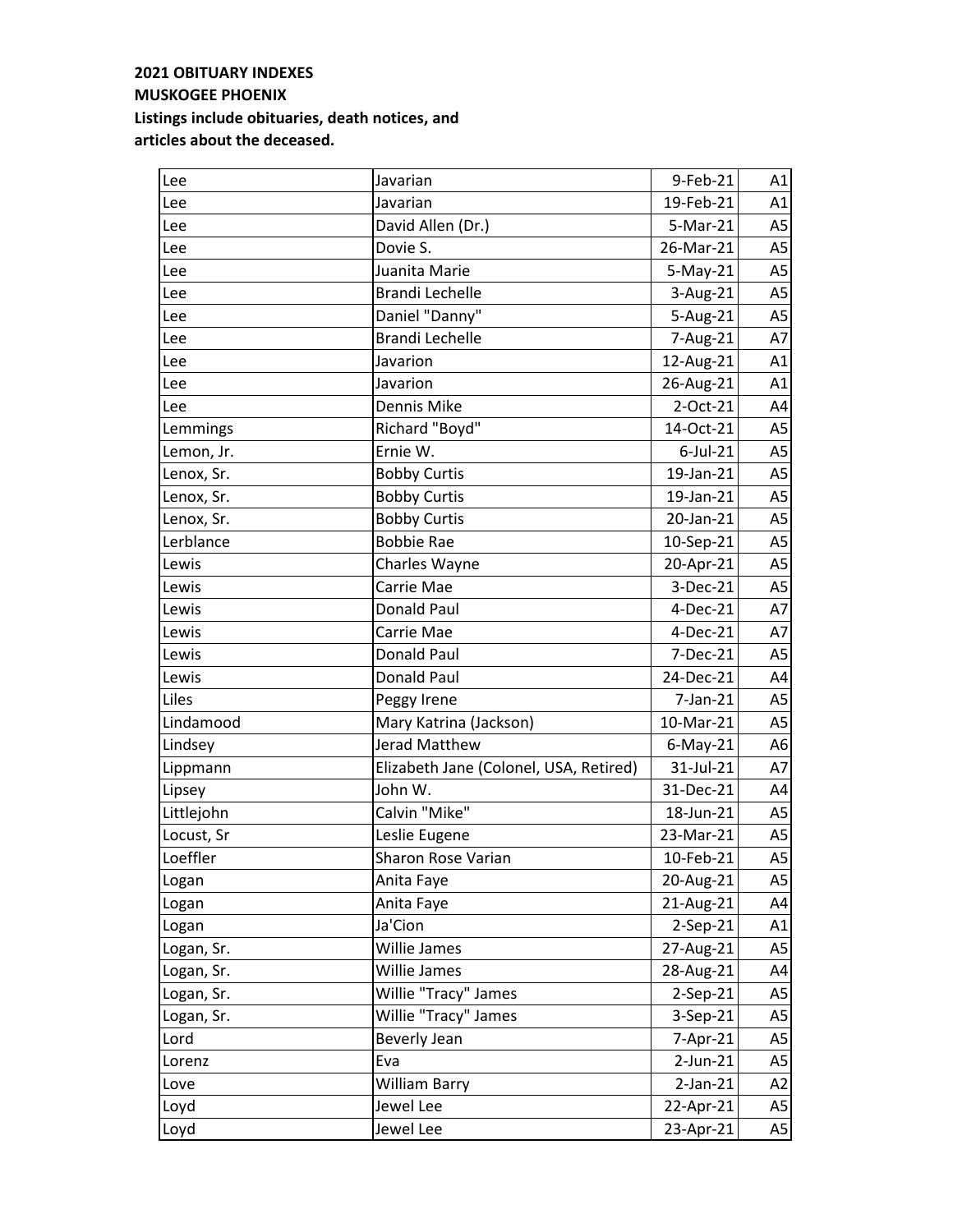| Lee        | Javarian                               | 9-Feb-21       | A1             |
|------------|----------------------------------------|----------------|----------------|
| Lee        | Javarian                               | 19-Feb-21      | A1             |
| Lee        | David Allen (Dr.)                      | 5-Mar-21       | A <sub>5</sub> |
| Lee        | Dovie S.                               | 26-Mar-21      | A <sub>5</sub> |
| Lee        | Juanita Marie                          | $5-May-21$     | A <sub>5</sub> |
| Lee        | Brandi Lechelle                        | 3-Aug-21       | A <sub>5</sub> |
| Lee        | Daniel "Danny"                         | 5-Aug-21       | A <sub>5</sub> |
| Lee        | <b>Brandi Lechelle</b>                 | 7-Aug-21       | A7             |
| Lee        | Javarion                               | 12-Aug-21      | A1             |
| Lee        | Javarion                               | 26-Aug-21      | A1             |
| Lee        | Dennis Mike                            | 2-Oct-21       | A4             |
| Lemmings   | Richard "Boyd"                         | 14-Oct-21      | A <sub>5</sub> |
| Lemon, Jr. | Ernie W.                               | $6$ -Jul-21    | A <sub>5</sub> |
| Lenox, Sr. | <b>Bobby Curtis</b>                    | 19-Jan-21      | A <sub>5</sub> |
| Lenox, Sr. | <b>Bobby Curtis</b>                    | 19-Jan-21      | A <sub>5</sub> |
| Lenox, Sr. | <b>Bobby Curtis</b>                    | 20-Jan-21      | A <sub>5</sub> |
| Lerblance  | <b>Bobbie Rae</b>                      | 10-Sep-21      | A <sub>5</sub> |
| Lewis      | Charles Wayne                          | 20-Apr-21      | A <sub>5</sub> |
| Lewis      | Carrie Mae                             | 3-Dec-21       | A <sub>5</sub> |
| Lewis      | <b>Donald Paul</b>                     | 4-Dec-21       | A7             |
| Lewis      | Carrie Mae                             | 4-Dec-21       | A7             |
| Lewis      | <b>Donald Paul</b>                     | 7-Dec-21       | A <sub>5</sub> |
| Lewis      | Donald Paul                            | 24-Dec-21      | A4             |
| Liles      | Peggy Irene                            | $7$ -Jan- $21$ | A <sub>5</sub> |
| Lindamood  | Mary Katrina (Jackson)                 | 10-Mar-21      | A <sub>5</sub> |
| Lindsey    | Jerad Matthew                          | $6$ -May-21    | A6             |
| Lippmann   | Elizabeth Jane (Colonel, USA, Retired) | 31-Jul-21      | A7             |
| Lipsey     | John W.                                | 31-Dec-21      | A4             |
| Littlejohn | Calvin "Mike"                          | 18-Jun-21      | A <sub>5</sub> |
| Locust, Sr | Leslie Eugene                          | 23-Mar-21      | A <sub>5</sub> |
| Loeffler   | Sharon Rose Varian                     | 10-Feb-21      | A5             |
| Logan      | Anita Faye                             | 20-Aug-21      | A5             |
| Logan      | Anita Faye                             | 21-Aug-21      | A4             |
| Logan      | Ja'Cion                                | $2-Sep-21$     | A1             |
| Logan, Sr. | Willie James                           | 27-Aug-21      | A5             |
| Logan, Sr. | Willie James                           | 28-Aug-21      | A4             |
| Logan, Sr. | Willie "Tracy" James                   | 2-Sep-21       | A5             |
| Logan, Sr. | Willie "Tracy" James                   | 3-Sep-21       | A5             |
| Lord       | Beverly Jean                           | 7-Apr-21       | A5             |
| Lorenz     | Eva                                    | $2$ -Jun-21    | A <sub>5</sub> |
| Love       | William Barry                          | $2$ -Jan- $21$ | A2             |
| Loyd       | Jewel Lee                              | 22-Apr-21      | A5             |
| Loyd       | Jewel Lee                              | 23-Apr-21      | A5             |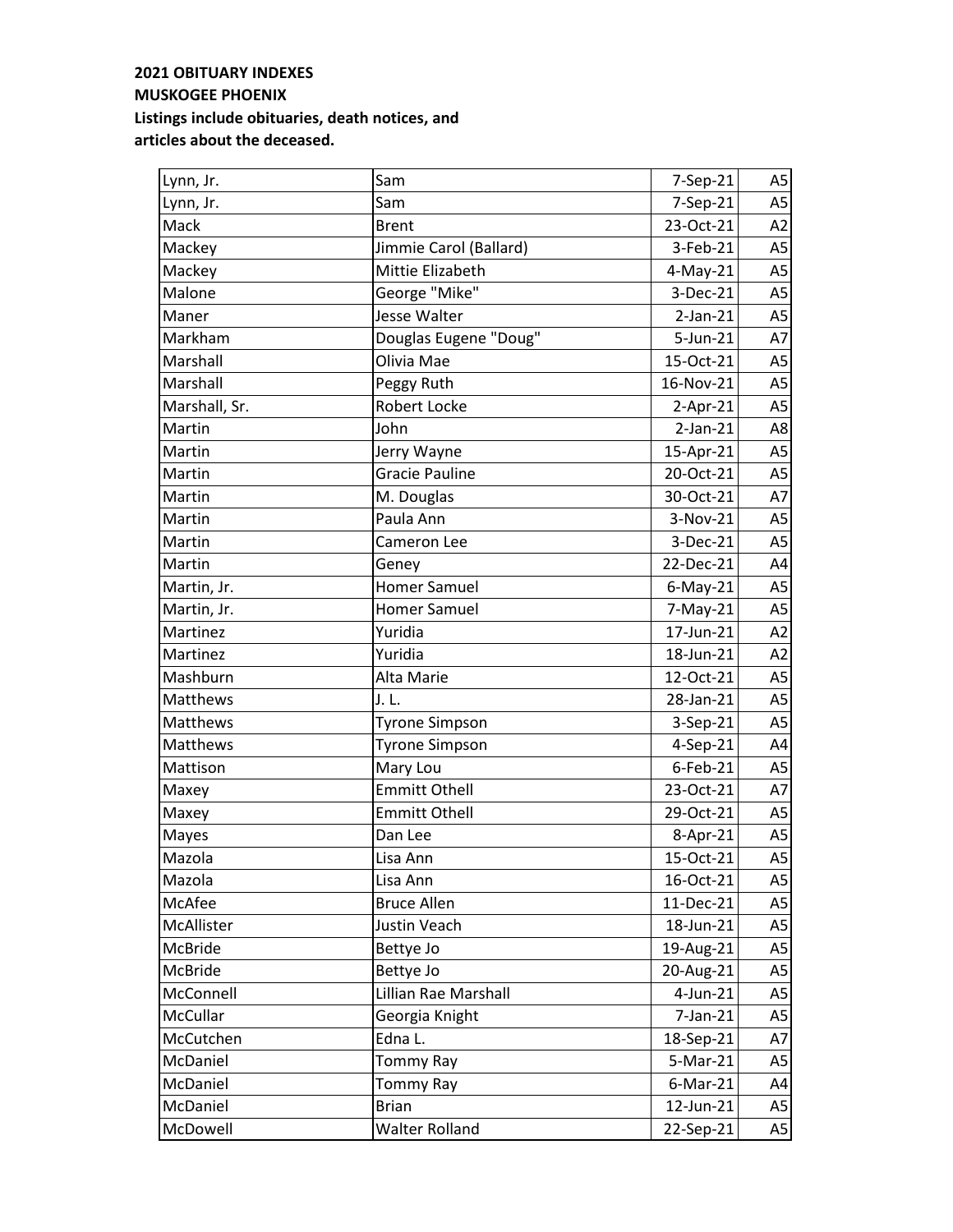| Lynn, Jr.     | Sam                    | 7-Sep-21       | A <sub>5</sub> |
|---------------|------------------------|----------------|----------------|
| Lynn, Jr.     | Sam                    | 7-Sep-21       | A <sub>5</sub> |
| Mack          | <b>Brent</b>           | 23-Oct-21      | A2             |
| Mackey        | Jimmie Carol (Ballard) | 3-Feb-21       | A <sub>5</sub> |
| Mackey        | Mittie Elizabeth       | $4$ -May-21    | A <sub>5</sub> |
| Malone        | George "Mike"          | 3-Dec-21       | A <sub>5</sub> |
| Maner         | Jesse Walter           | $2-Jan-21$     | A <sub>5</sub> |
| Markham       | Douglas Eugene "Doug"  | 5-Jun-21       | A7             |
| Marshall      | Olivia Mae             | 15-Oct-21      | A <sub>5</sub> |
| Marshall      | Peggy Ruth             | 16-Nov-21      | A <sub>5</sub> |
| Marshall, Sr. | Robert Locke           | $2-Apr-21$     | A <sub>5</sub> |
| Martin        | John                   | $2-Jan-21$     | A8             |
| Martin        | Jerry Wayne            | 15-Apr-21      | A <sub>5</sub> |
| Martin        | <b>Gracie Pauline</b>  | 20-Oct-21      | A <sub>5</sub> |
| Martin        | M. Douglas             | 30-Oct-21      | A7             |
| Martin        | Paula Ann              | 3-Nov-21       | A <sub>5</sub> |
| Martin        | Cameron Lee            | 3-Dec-21       | A <sub>5</sub> |
| Martin        | Geney                  | 22-Dec-21      | A4             |
| Martin, Jr.   | <b>Homer Samuel</b>    | $6$ -May-21    | A <sub>5</sub> |
| Martin, Jr.   | <b>Homer Samuel</b>    | $7-May-21$     | A <sub>5</sub> |
| Martinez      | Yuridia                | 17-Jun-21      | A2             |
| Martinez      | Yuridia                | 18-Jun-21      | A2             |
| Mashburn      | Alta Marie             | 12-Oct-21      | A <sub>5</sub> |
| Matthews      | J.L.                   | 28-Jan-21      | A <sub>5</sub> |
| Matthews      | <b>Tyrone Simpson</b>  | 3-Sep-21       | A <sub>5</sub> |
| Matthews      | <b>Tyrone Simpson</b>  | 4-Sep-21       | A4             |
| Mattison      | Mary Lou               | $6$ -Feb-21    | A <sub>5</sub> |
| Maxey         | <b>Emmitt Othell</b>   | 23-Oct-21      | A7             |
| Maxey         | <b>Emmitt Othell</b>   | 29-Oct-21      | A5             |
| Mayes         | Dan Lee                | 8-Apr-21       | A <sub>5</sub> |
| Mazola        | Lisa Ann               | 15-Oct-21      | A5             |
| Mazola        | Lisa Ann               | 16-Oct-21      | A5             |
| McAfee        | <b>Bruce Allen</b>     | 11-Dec-21      | A5             |
| McAllister    | Justin Veach           | 18-Jun-21      | A <sub>5</sub> |
| McBride       | Bettye Jo              | 19-Aug-21      | A <sub>5</sub> |
| McBride       | Bettye Jo              | 20-Aug-21      | A <sub>5</sub> |
| McConnell     | Lillian Rae Marshall   | 4-Jun-21       | A <sub>5</sub> |
| McCullar      | Georgia Knight         | $7$ -Jan- $21$ | A <sub>5</sub> |
| McCutchen     | Edna L.                | 18-Sep-21      | A7             |
| McDaniel      | Tommy Ray              | 5-Mar-21       | A <sub>5</sub> |
| McDaniel      | Tommy Ray              | $6$ -Mar-21    | A4             |
| McDaniel      | <b>Brian</b>           | 12-Jun-21      | A <sub>5</sub> |
| McDowell      | <b>Walter Rolland</b>  | 22-Sep-21      | A5             |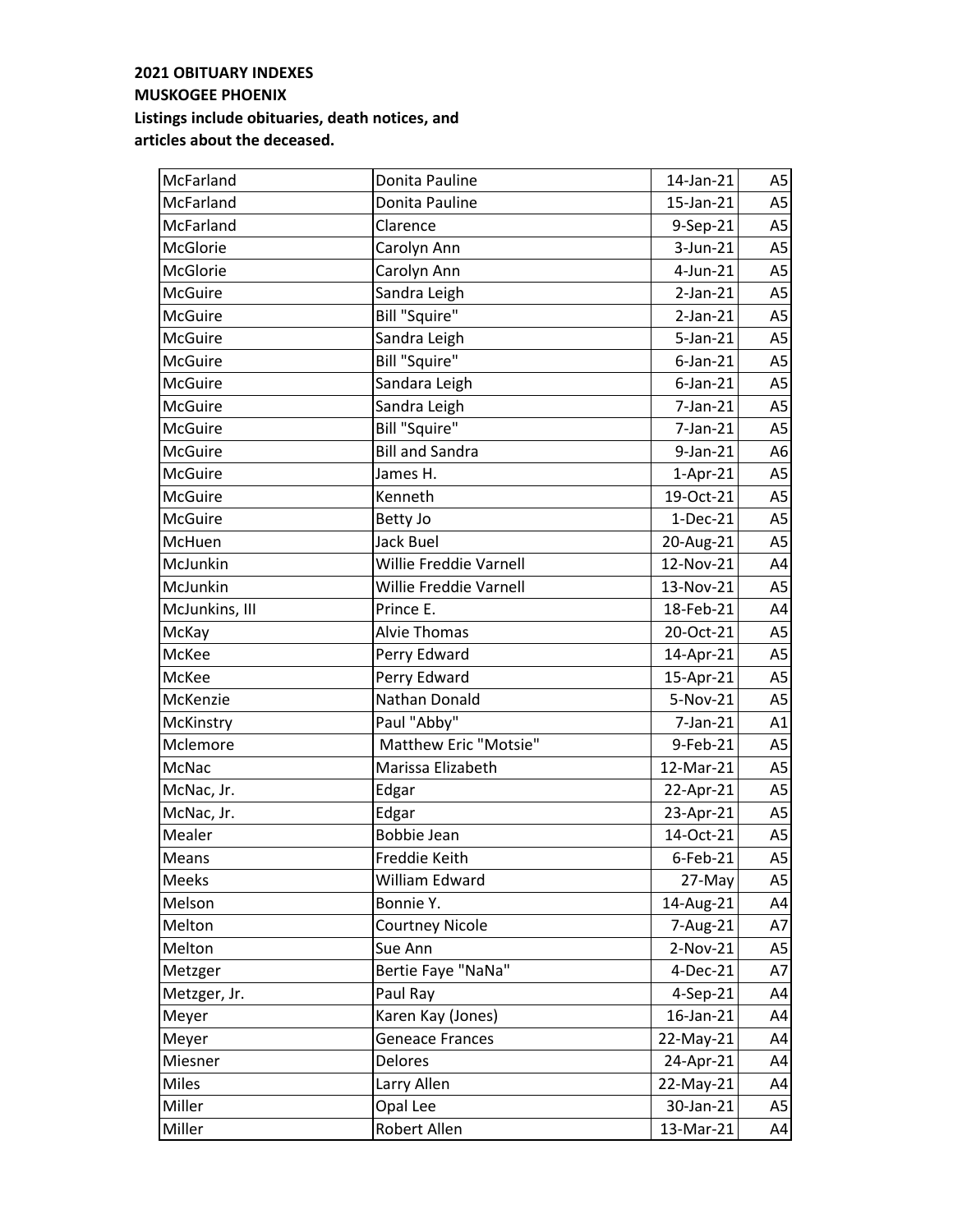| McFarland      | Donita Pauline         | 14-Jan-21      | A5             |
|----------------|------------------------|----------------|----------------|
| McFarland      | Donita Pauline         | 15-Jan-21      | A <sub>5</sub> |
| McFarland      | Clarence               | 9-Sep-21       | A5             |
| McGlorie       | Carolyn Ann            | 3-Jun-21       | A <sub>5</sub> |
| McGlorie       | Carolyn Ann            | 4-Jun-21       | A <sub>5</sub> |
| <b>McGuire</b> | Sandra Leigh           | $2$ -Jan- $21$ | A <sub>5</sub> |
| <b>McGuire</b> | <b>Bill "Squire"</b>   | $2-Jan-21$     | A <sub>5</sub> |
| <b>McGuire</b> | Sandra Leigh           | $5$ -Jan-21    | A <sub>5</sub> |
| <b>McGuire</b> | <b>Bill "Squire"</b>   | $6$ -Jan-21    | A5             |
| <b>McGuire</b> | Sandara Leigh          | $6$ -Jan-21    | A <sub>5</sub> |
| <b>McGuire</b> | Sandra Leigh           | $7$ -Jan- $21$ | A <sub>5</sub> |
| McGuire        | <b>Bill "Squire"</b>   | 7-Jan-21       | A <sub>5</sub> |
| <b>McGuire</b> | <b>Bill and Sandra</b> | 9-Jan-21       | A <sub>6</sub> |
| <b>McGuire</b> | James H.               | $1-Apr-21$     | A <sub>5</sub> |
| <b>McGuire</b> | Kenneth                | 19-Oct-21      | A <sub>5</sub> |
| <b>McGuire</b> | Betty Jo               | $1-Dec-21$     | A <sub>5</sub> |
| McHuen         | Jack Buel              | 20-Aug-21      | A <sub>5</sub> |
| McJunkin       | Willie Freddie Varnell | 12-Nov-21      | A4             |
| McJunkin       | Willie Freddie Varnell | 13-Nov-21      | A <sub>5</sub> |
| McJunkins, III | Prince E.              | 18-Feb-21      | A4             |
| McKay          | <b>Alvie Thomas</b>    | 20-Oct-21      | A <sub>5</sub> |
| McKee          | Perry Edward           | 14-Apr-21      | A <sub>5</sub> |
| McKee          | Perry Edward           | 15-Apr-21      | A <sub>5</sub> |
| McKenzie       | Nathan Donald          | 5-Nov-21       | A <sub>5</sub> |
| McKinstry      | Paul "Abby"            | 7-Jan-21       | A1             |
| Mclemore       | Matthew Eric "Motsie"  | 9-Feb-21       | A <sub>5</sub> |
| McNac          | Marissa Elizabeth      | 12-Mar-21      | A <sub>5</sub> |
| McNac, Jr.     | Edgar                  | 22-Apr-21      | A5             |
| McNac, Jr.     | Edgar                  | 23-Apr-21      | A <sub>5</sub> |
| Mealer         | <b>Bobbie Jean</b>     | 14-Oct-21      | A <sub>5</sub> |
| Means          | Freddie Keith          | $6$ -Feb-21    | A5             |
| Meeks          | William Edward         | 27-May         | A5             |
| Melson         | Bonnie Y.              | 14-Aug-21      | A4             |
| Melton         | <b>Courtney Nicole</b> | 7-Aug-21       | A7             |
| Melton         | Sue Ann                | 2-Nov-21       | A <sub>5</sub> |
| Metzger        | Bertie Faye "NaNa"     | $4-Dec-21$     | A7             |
| Metzger, Jr.   | Paul Ray               | 4-Sep-21       | A4             |
| Meyer          | Karen Kay (Jones)      | 16-Jan-21      | A4             |
| Meyer          | <b>Geneace Frances</b> | 22-May-21      | A4             |
| Miesner        | Delores                | 24-Apr-21      | A4             |
| Miles          | Larry Allen            | 22-May-21      | A4             |
| Miller         | Opal Lee               | 30-Jan-21      | A <sub>5</sub> |
| Miller         | Robert Allen           | 13-Mar-21      | A4             |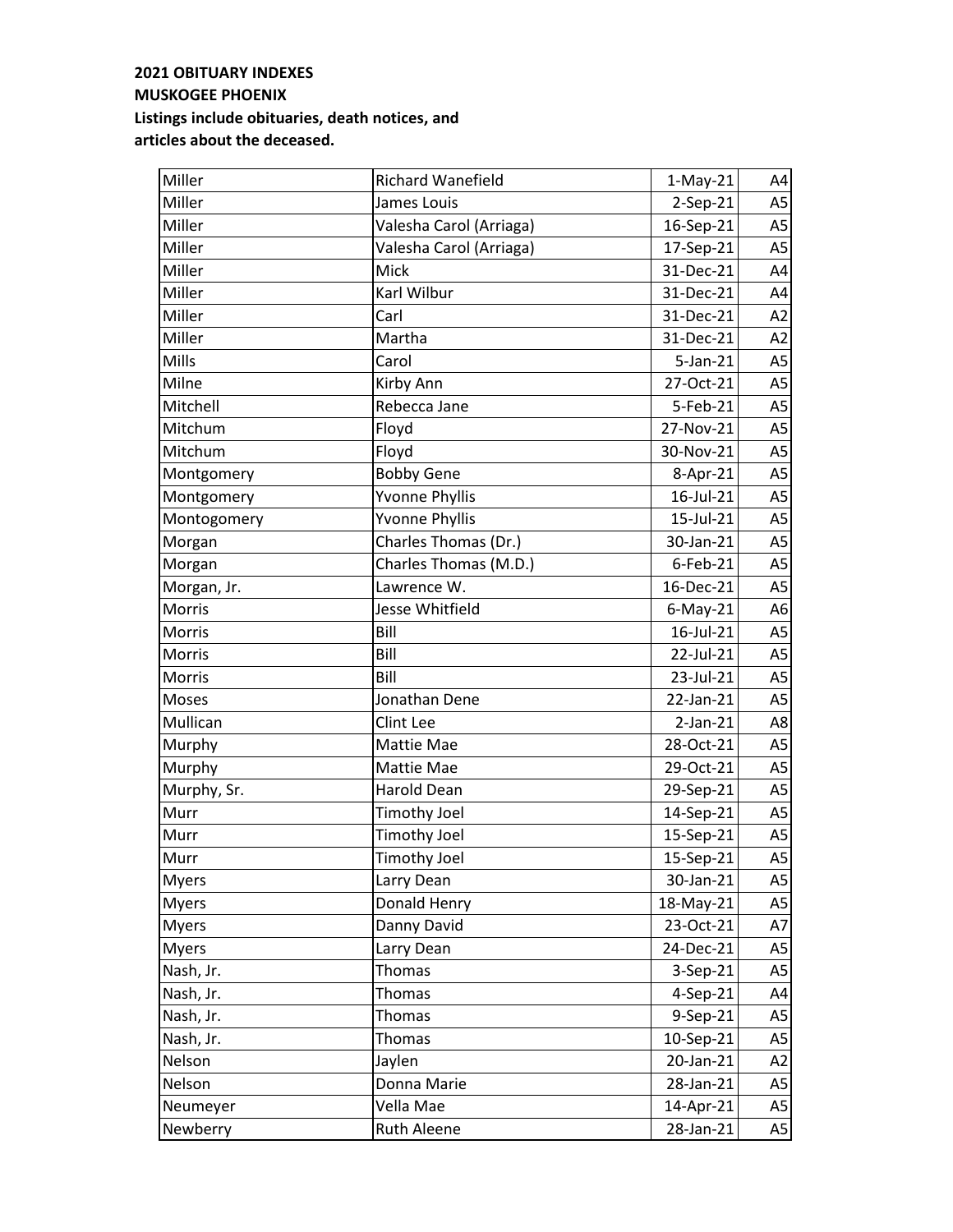| Miller        | <b>Richard Wanefield</b> | $1-May-21$  | A4             |
|---------------|--------------------------|-------------|----------------|
| Miller        | James Louis              | 2-Sep-21    | A <sub>5</sub> |
| Miller        | Valesha Carol (Arriaga)  | 16-Sep-21   | A <sub>5</sub> |
| Miller        | Valesha Carol (Arriaga)  | 17-Sep-21   | A <sub>5</sub> |
| Miller        | Mick                     | 31-Dec-21   | A4             |
| Miller        | Karl Wilbur              | 31-Dec-21   | A4             |
| Miller        | Carl                     | 31-Dec-21   | A2             |
| Miller        | Martha                   | 31-Dec-21   | A2             |
| Mills         | Carol                    | $5$ -Jan-21 | A <sub>5</sub> |
| Milne         | Kirby Ann                | 27-Oct-21   | A <sub>5</sub> |
| Mitchell      | Rebecca Jane             | 5-Feb-21    | A <sub>5</sub> |
| Mitchum       | Floyd                    | 27-Nov-21   | A5             |
| Mitchum       | Floyd                    | 30-Nov-21   | A <sub>5</sub> |
| Montgomery    | <b>Bobby Gene</b>        | 8-Apr-21    | A <sub>5</sub> |
| Montgomery    | <b>Yvonne Phyllis</b>    | 16-Jul-21   | A <sub>5</sub> |
| Montogomery   | <b>Yvonne Phyllis</b>    | 15-Jul-21   | A <sub>5</sub> |
| Morgan        | Charles Thomas (Dr.)     | 30-Jan-21   | A5             |
| Morgan        | Charles Thomas (M.D.)    | $6$ -Feb-21 | A <sub>5</sub> |
| Morgan, Jr.   | Lawrence W.              | 16-Dec-21   | A <sub>5</sub> |
| <b>Morris</b> | Jesse Whitfield          | $6$ -May-21 | A6             |
| Morris        | Bill                     | 16-Jul-21   | A <sub>5</sub> |
| Morris        | Bill                     | 22-Jul-21   | A <sub>5</sub> |
| Morris        | Bill                     | 23-Jul-21   | A <sub>5</sub> |
| Moses         | Jonathan Dene            | 22-Jan-21   | A <sub>5</sub> |
| Mullican      | Clint Lee                | $2-Jan-21$  | A8             |
| Murphy        | Mattie Mae               | 28-Oct-21   | A <sub>5</sub> |
| Murphy        | Mattie Mae               | 29-Oct-21   | A <sub>5</sub> |
| Murphy, Sr.   | <b>Harold Dean</b>       | 29-Sep-21   | A <sub>5</sub> |
| Murr          | <b>Timothy Joel</b>      | 14-Sep-21   | A <sub>5</sub> |
| Murr          | Timothy Joel             | 15-Sep-21   | A <sub>5</sub> |
| Murr          | <b>Timothy Joel</b>      | 15-Sep-21   | A5             |
| <b>Myers</b>  | Larry Dean               | 30-Jan-21   | A5             |
| <b>Myers</b>  | Donald Henry             | 18-May-21   | A5             |
| <b>Myers</b>  | Danny David              | 23-Oct-21   | A7             |
| <b>Myers</b>  | Larry Dean               | 24-Dec-21   | A5             |
| Nash, Jr.     | Thomas                   | 3-Sep-21    | A <sub>5</sub> |
| Nash, Jr.     | Thomas                   | 4-Sep-21    | A4             |
| Nash, Jr.     | Thomas                   | 9-Sep-21    | A5             |
| Nash, Jr.     | Thomas                   | 10-Sep-21   | A5             |
| Nelson        | Jaylen                   | 20-Jan-21   | A2             |
| Nelson        | Donna Marie              | 28-Jan-21   | A5             |
| Neumeyer      | Vella Mae                | 14-Apr-21   | A5             |
| Newberry      | Ruth Aleene              | 28-Jan-21   | A5             |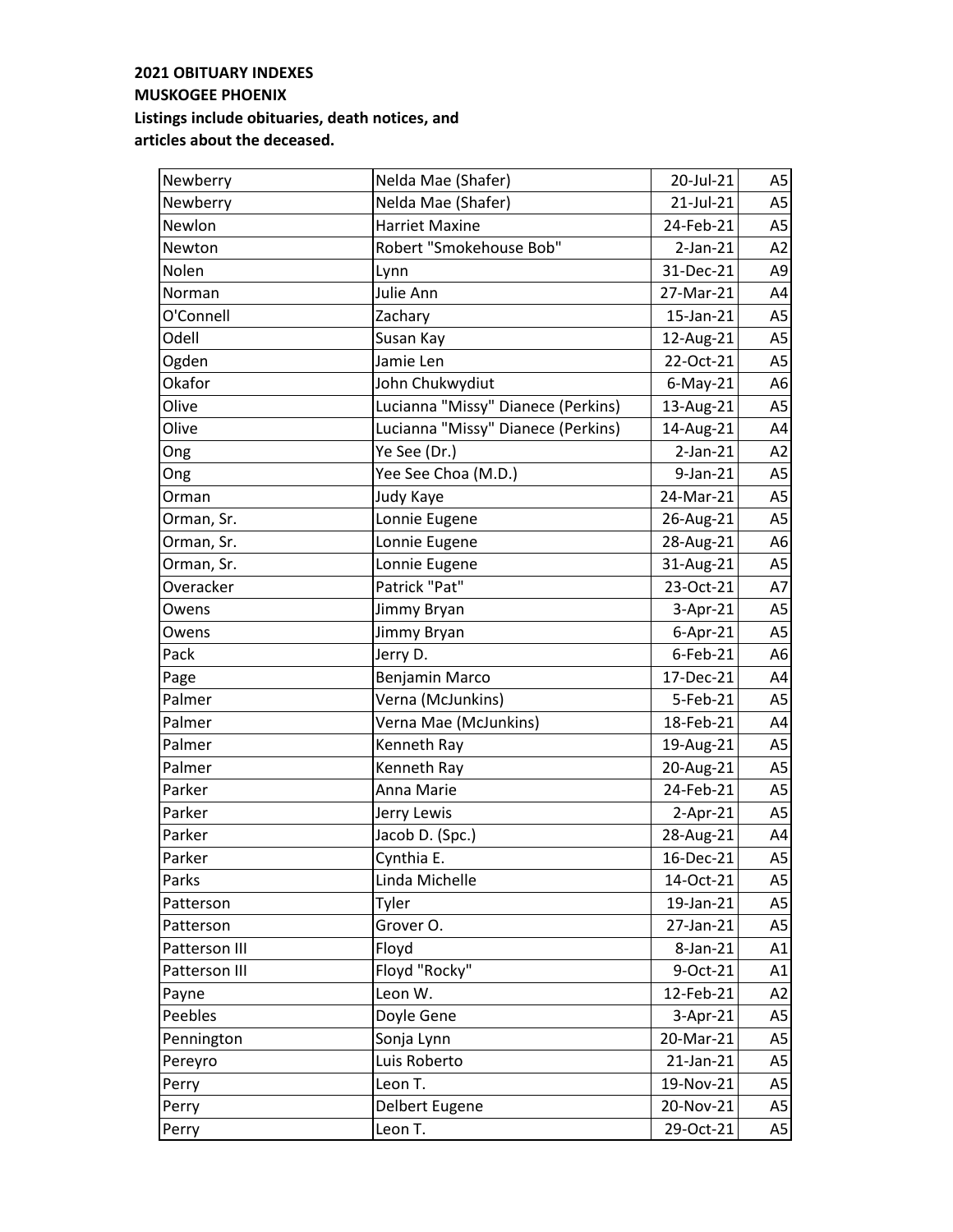| Newberry      | Nelda Mae (Shafer)                 | 20-Jul-21   | A5             |
|---------------|------------------------------------|-------------|----------------|
| Newberry      | Nelda Mae (Shafer)                 | 21-Jul-21   | A <sub>5</sub> |
| Newlon        | <b>Harriet Maxine</b>              | 24-Feb-21   | A <sub>5</sub> |
| Newton        | Robert "Smokehouse Bob"            | $2-Jan-21$  | A2             |
| Nolen         | Lynn                               | 31-Dec-21   | A <sub>9</sub> |
| Norman        | Julie Ann                          | 27-Mar-21   | A4             |
| O'Connell     | Zachary                            | 15-Jan-21   | A <sub>5</sub> |
| Odell         | Susan Kay                          | 12-Aug-21   | A <sub>5</sub> |
| Ogden         | Jamie Len                          | 22-Oct-21   | A <sub>5</sub> |
| Okafor        | John Chukwydiut                    | $6$ -May-21 | A <sub>6</sub> |
| Olive         | Lucianna "Missy" Dianece (Perkins) | 13-Aug-21   | A <sub>5</sub> |
| Olive         | Lucianna "Missy" Dianece (Perkins) | 14-Aug-21   | A4             |
| Ong           | Ye See (Dr.)                       | $2-Jan-21$  | A2             |
| Ong           | Yee See Choa (M.D.)                | 9-Jan-21    | A <sub>5</sub> |
| Orman         | Judy Kaye                          | 24-Mar-21   | A <sub>5</sub> |
| Orman, Sr.    | Lonnie Eugene                      | 26-Aug-21   | A <sub>5</sub> |
| Orman, Sr.    | Lonnie Eugene                      | 28-Aug-21   | A <sub>6</sub> |
| Orman, Sr.    | Lonnie Eugene                      | 31-Aug-21   | A <sub>5</sub> |
| Overacker     | Patrick "Pat"                      | 23-Oct-21   | A7             |
| Owens         | Jimmy Bryan                        | 3-Apr-21    | A <sub>5</sub> |
| Owens         | Jimmy Bryan                        | $6-Apr-21$  | A <sub>5</sub> |
| Pack          | Jerry D.                           | $6$ -Feb-21 | A <sub>6</sub> |
| Page          | Benjamin Marco                     | 17-Dec-21   | A4             |
| Palmer        | Verna (McJunkins)                  | 5-Feb-21    | A <sub>5</sub> |
| Palmer        | Verna Mae (McJunkins)              | 18-Feb-21   | A4             |
| Palmer        | Kenneth Ray                        | 19-Aug-21   | A <sub>5</sub> |
| Palmer        | Kenneth Ray                        | 20-Aug-21   | A <sub>5</sub> |
| Parker        | Anna Marie                         | 24-Feb-21   | A <sub>5</sub> |
| Parker        | Jerry Lewis                        | $2-Apr-21$  | A <sub>5</sub> |
| Parker        | Jacob D. (Spc.)                    | 28-Aug-21   | A4             |
| Parker        | Cynthia E.                         | 16-Dec-21   | A5             |
| Parks         | Linda Michelle                     | 14-Oct-21   | A5             |
| Patterson     | Tyler                              | 19-Jan-21   | A5             |
| Patterson     | Grover O.                          | 27-Jan-21   | A <sub>5</sub> |
| Patterson III | Floyd                              | 8-Jan-21    | A1             |
| Patterson III | Floyd "Rocky"                      | 9-Oct-21    | A1             |
| Payne         | Leon W.                            | 12-Feb-21   | A2             |
| Peebles       | Doyle Gene                         | 3-Apr-21    | A5             |
| Pennington    | Sonja Lynn                         | 20-Mar-21   | A5             |
| Pereyro       | Luis Roberto                       | 21-Jan-21   | A <sub>5</sub> |
| Perry         | Leon T.                            | 19-Nov-21   | A5             |
| Perry         | Delbert Eugene                     | 20-Nov-21   | A5             |
| Perry         | Leon T.                            | 29-Oct-21   | A5             |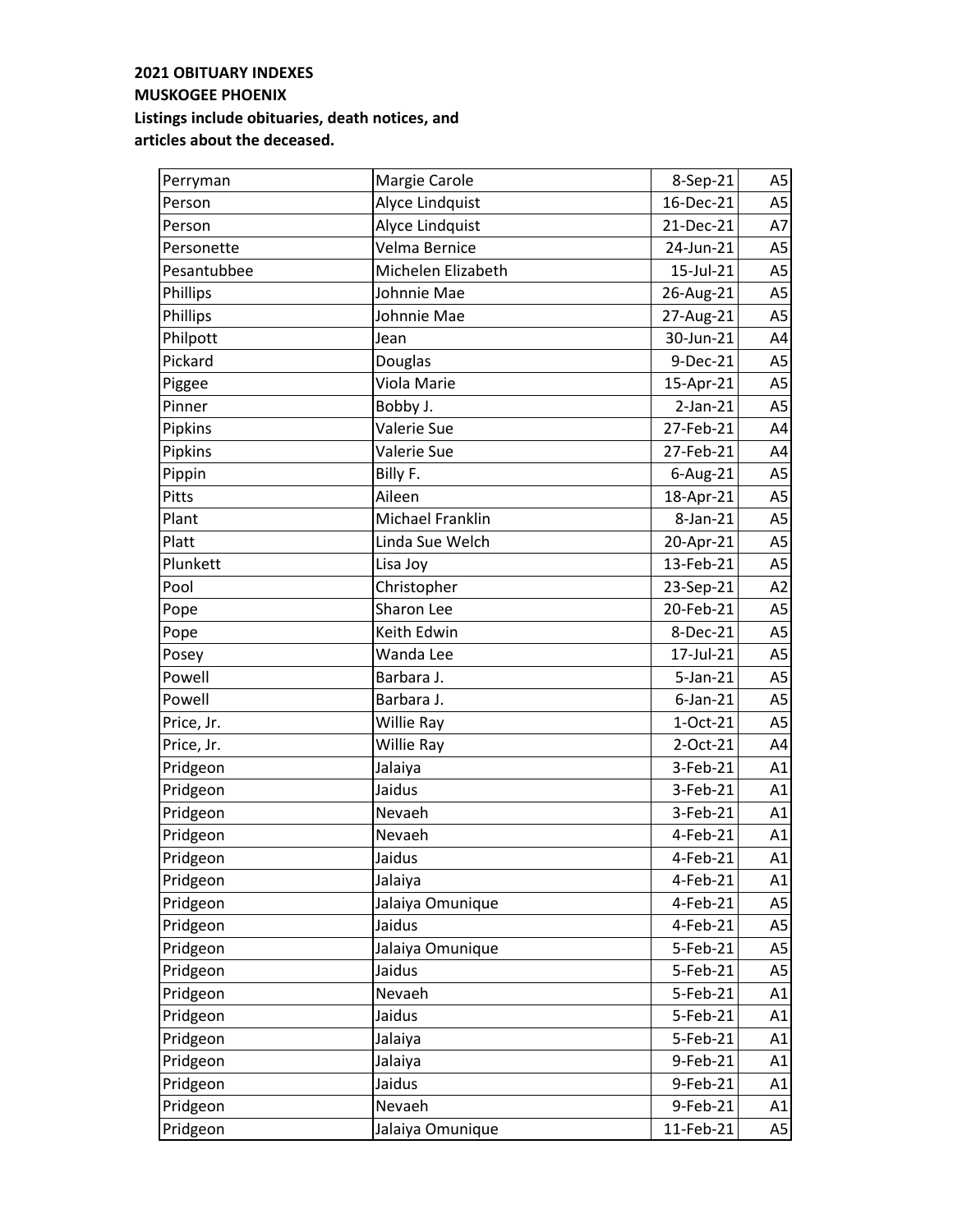| Perryman    | Margie Carole      | 8-Sep-21    | A5             |
|-------------|--------------------|-------------|----------------|
| Person      | Alyce Lindquist    | 16-Dec-21   | A <sub>5</sub> |
| Person      | Alyce Lindquist    | 21-Dec-21   | A7             |
| Personette  | Velma Bernice      | 24-Jun-21   | A5             |
| Pesantubbee | Michelen Elizabeth | 15-Jul-21   | A <sub>5</sub> |
| Phillips    | Johnnie Mae        | 26-Aug-21   | A <sub>5</sub> |
| Phillips    | Johnnie Mae        | 27-Aug-21   | A <sub>5</sub> |
| Philpott    | Jean               | 30-Jun-21   | A4             |
| Pickard     | Douglas            | 9-Dec-21    | A <sub>5</sub> |
| Piggee      | Viola Marie        | 15-Apr-21   | A5             |
| Pinner      | Bobby J.           | $2-Jan-21$  | A <sub>5</sub> |
| Pipkins     | Valerie Sue        | 27-Feb-21   | A4             |
| Pipkins     | Valerie Sue        | 27-Feb-21   | A4             |
| Pippin      | Billy F.           | $6$ -Aug-21 | A <sub>5</sub> |
| Pitts       | Aileen             | 18-Apr-21   | A <sub>5</sub> |
| Plant       | Michael Franklin   | 8-Jan-21    | A <sub>5</sub> |
| Platt       | Linda Sue Welch    | 20-Apr-21   | A <sub>5</sub> |
| Plunkett    | Lisa Joy           | 13-Feb-21   | A <sub>5</sub> |
| Pool        | Christopher        | 23-Sep-21   | A2             |
| Pope        | Sharon Lee         | 20-Feb-21   | A <sub>5</sub> |
| Pope        | Keith Edwin        | 8-Dec-21    | A5             |
| Posey       | Wanda Lee          | 17-Jul-21   | A <sub>5</sub> |
| Powell      | Barbara J.         | 5-Jan-21    | A <sub>5</sub> |
| Powell      | Barbara J.         | $6$ -Jan-21 | A <sub>5</sub> |
| Price, Jr.  | Willie Ray         | 1-Oct-21    | A <sub>5</sub> |
| Price, Jr.  | Willie Ray         | 2-Oct-21    | A4             |
| Pridgeon    | Jalaiya            | 3-Feb-21    | A1             |
| Pridgeon    | Jaidus             | 3-Feb-21    | A1             |
| Pridgeon    | Nevaeh             | 3-Feb-21    | A1             |
| Pridgeon    | Nevaeh             | 4-Feb-21    | A1             |
| Pridgeon    | Jaidus             | 4-Feb-21    | A1             |
| Pridgeon    | Jalaiya            | 4-Feb-21    | A1             |
| Pridgeon    | Jalaiya Omunique   | 4-Feb-21    | A5             |
| Pridgeon    | Jaidus             | 4-Feb-21    | A5             |
| Pridgeon    | Jalaiya Omunique   | 5-Feb-21    | A5             |
| Pridgeon    | Jaidus             | 5-Feb-21    | A5             |
| Pridgeon    | Nevaeh             | 5-Feb-21    | A1             |
| Pridgeon    | Jaidus             | 5-Feb-21    | A1             |
| Pridgeon    | Jalaiya            | 5-Feb-21    | A1             |
| Pridgeon    | Jalaiya            | 9-Feb-21    | A1             |
| Pridgeon    | Jaidus             | 9-Feb-21    | A1             |
| Pridgeon    | Nevaeh             | 9-Feb-21    | A1             |
| Pridgeon    | Jalaiya Omunique   | 11-Feb-21   | A5             |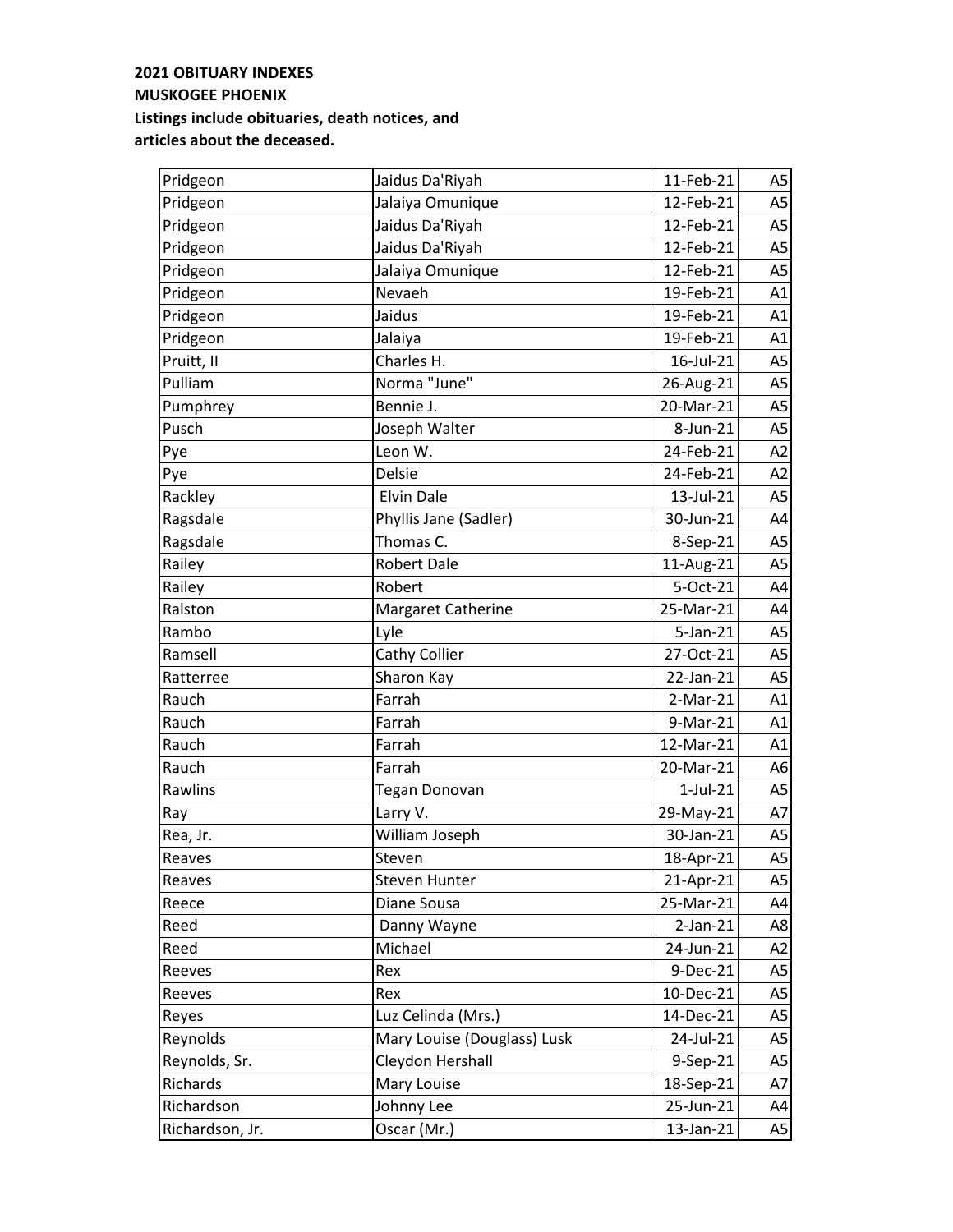| Pridgeon        | Jaidus Da'Riyah             | 11-Feb-21      | A5             |
|-----------------|-----------------------------|----------------|----------------|
| Pridgeon        | Jalaiya Omunique            | 12-Feb-21      | A <sub>5</sub> |
| Pridgeon        | Jaidus Da'Riyah             | 12-Feb-21      | A <sub>5</sub> |
| Pridgeon        | Jaidus Da'Riyah             | 12-Feb-21      | A5             |
| Pridgeon        | Jalaiya Omunique            | 12-Feb-21      | A <sub>5</sub> |
| Pridgeon        | Nevaeh                      | 19-Feb-21      | A1             |
| Pridgeon        | Jaidus                      | 19-Feb-21      | A1             |
| Pridgeon        | Jalaiya                     | 19-Feb-21      | A1             |
| Pruitt, II      | Charles H.                  | 16-Jul-21      | A <sub>5</sub> |
| Pulliam         | Norma "June"                | 26-Aug-21      | A5             |
| Pumphrey        | Bennie J.                   | 20-Mar-21      | A <sub>5</sub> |
| Pusch           | Joseph Walter               | 8-Jun-21       | A <sub>5</sub> |
| Pye             | Leon W.                     | 24-Feb-21      | A2             |
| Pye             | <b>Delsie</b>               | 24-Feb-21      | A2             |
| Rackley         | <b>Elvin Dale</b>           | 13-Jul-21      | A <sub>5</sub> |
| Ragsdale        | Phyllis Jane (Sadler)       | 30-Jun-21      | A4             |
| Ragsdale        | Thomas C.                   | 8-Sep-21       | A <sub>5</sub> |
| Railey          | <b>Robert Dale</b>          | 11-Aug-21      | A <sub>5</sub> |
| Railey          | Robert                      | 5-Oct-21       | A4             |
| Ralston         | <b>Margaret Catherine</b>   | 25-Mar-21      | A4             |
| Rambo           | Lyle                        | $5$ -Jan- $21$ | A <sub>5</sub> |
| Ramsell         | <b>Cathy Collier</b>        | 27-Oct-21      | A <sub>5</sub> |
| Ratterree       | Sharon Kay                  | 22-Jan-21      | A <sub>5</sub> |
| Rauch           | Farrah                      | $2-Mar-21$     | A1             |
| Rauch           | Farrah                      | 9-Mar-21       | A1             |
| Rauch           | Farrah                      | 12-Mar-21      | A1             |
| Rauch           | Farrah                      | 20-Mar-21      | A <sub>6</sub> |
| Rawlins         | Tegan Donovan               | $1$ -Jul- $21$ | A <sub>5</sub> |
| Ray             | Larry V.                    | 29-May-21      | A7             |
| Rea, Jr.        | William Joseph              | 30-Jan-21      | A <sub>5</sub> |
| Reaves          | Steven                      | 18-Apr-21      | A5             |
| Reaves          | <b>Steven Hunter</b>        | 21-Apr-21      | A5             |
| Reece           | Diane Sousa                 | 25-Mar-21      | A4             |
| Reed            | Danny Wayne                 | $2$ -Jan- $21$ | A8             |
| Reed            | Michael                     | 24-Jun-21      | A <sub>2</sub> |
| Reeves          | Rex                         | 9-Dec-21       | A5             |
| Reeves          | Rex                         | 10-Dec-21      | A5             |
| Reyes           | Luz Celinda (Mrs.)          | 14-Dec-21      | A <sub>5</sub> |
| Reynolds        | Mary Louise (Douglass) Lusk | 24-Jul-21      | A5             |
| Reynolds, Sr.   | Cleydon Hershall            | 9-Sep-21       | A5             |
| Richards        | Mary Louise                 | 18-Sep-21      | A7             |
| Richardson      | Johnny Lee                  | 25-Jun-21      | A4             |
| Richardson, Jr. | Oscar (Mr.)                 | 13-Jan-21      | A5             |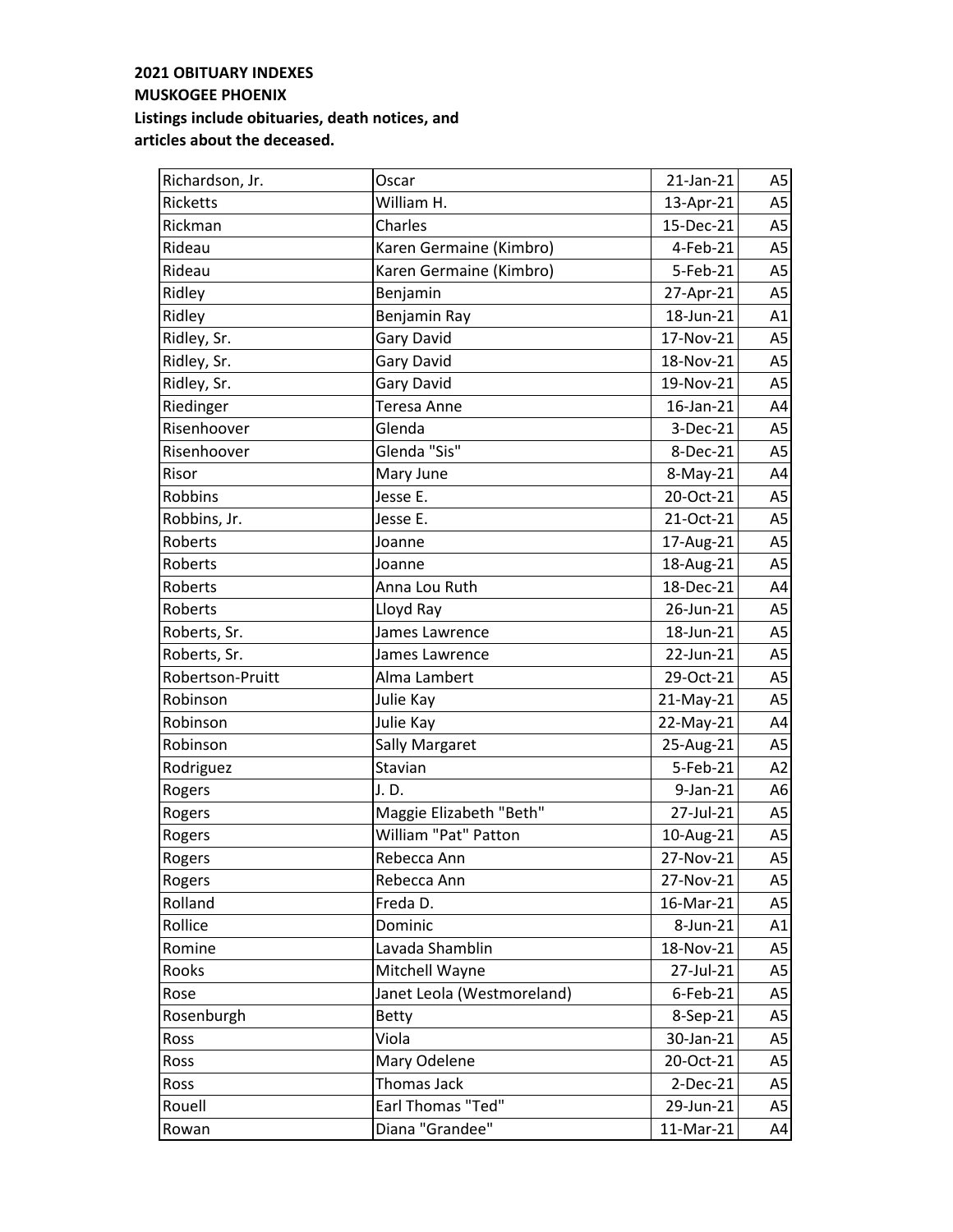| Richardson, Jr.  | Oscar                      | 21-Jan-21 | A5             |
|------------------|----------------------------|-----------|----------------|
| <b>Ricketts</b>  | William H.                 | 13-Apr-21 | A <sub>5</sub> |
| Rickman          | Charles                    | 15-Dec-21 | A <sub>5</sub> |
| Rideau           | Karen Germaine (Kimbro)    | 4-Feb-21  | A <sub>5</sub> |
| Rideau           | Karen Germaine (Kimbro)    | 5-Feb-21  | A <sub>5</sub> |
| Ridley           | Benjamin                   | 27-Apr-21 | A <sub>5</sub> |
| Ridley           | Benjamin Ray               | 18-Jun-21 | A1             |
| Ridley, Sr.      | Gary David                 | 17-Nov-21 | A <sub>5</sub> |
| Ridley, Sr.      | <b>Gary David</b>          | 18-Nov-21 | A <sub>5</sub> |
| Ridley, Sr.      | Gary David                 | 19-Nov-21 | A <sub>5</sub> |
| Riedinger        | Teresa Anne                | 16-Jan-21 | A4             |
| Risenhoover      | Glenda                     | 3-Dec-21  | A <sub>5</sub> |
| Risenhoover      | Glenda "Sis"               | 8-Dec-21  | A <sub>5</sub> |
| Risor            | Mary June                  | 8-May-21  | A4             |
| Robbins          | Jesse E.                   | 20-Oct-21 | A <sub>5</sub> |
| Robbins, Jr.     | Jesse E.                   | 21-Oct-21 | A <sub>5</sub> |
| Roberts          | Joanne                     | 17-Aug-21 | A <sub>5</sub> |
| Roberts          | Joanne                     | 18-Aug-21 | A <sub>5</sub> |
| Roberts          | Anna Lou Ruth              | 18-Dec-21 | A4             |
| Roberts          | Lloyd Ray                  | 26-Jun-21 | A <sub>5</sub> |
| Roberts, Sr.     | James Lawrence             | 18-Jun-21 | A <sub>5</sub> |
| Roberts, Sr.     | James Lawrence             | 22-Jun-21 | A <sub>5</sub> |
| Robertson-Pruitt | Alma Lambert               | 29-Oct-21 | A <sub>5</sub> |
| Robinson         | Julie Kay                  | 21-May-21 | A <sub>5</sub> |
| Robinson         | Julie Kay                  | 22-May-21 | A4             |
| Robinson         | <b>Sally Margaret</b>      | 25-Aug-21 | A <sub>5</sub> |
| Rodriguez        | Stavian                    | 5-Feb-21  | A2             |
| Rogers           | J.D.                       | 9-Jan-21  | A <sub>6</sub> |
| Rogers           | Maggie Elizabeth "Beth"    | 27-Jul-21 | A5             |
| Rogers           | William "Pat" Patton       | 10-Aug-21 | A <sub>5</sub> |
| Rogers           | Rebecca Ann                | 27-Nov-21 | A5             |
| Rogers           | Rebecca Ann                | 27-Nov-21 | A5             |
| Rolland          | Freda D.                   | 16-Mar-21 | A5             |
| Rollice          | Dominic                    | 8-Jun-21  | A1             |
| Romine           | Lavada Shamblin            | 18-Nov-21 | A <sub>5</sub> |
| Rooks            | Mitchell Wayne             | 27-Jul-21 | A <sub>5</sub> |
| Rose             | Janet Leola (Westmoreland) | 6-Feb-21  | A <sub>5</sub> |
| Rosenburgh       | <b>Betty</b>               | 8-Sep-21  | A <sub>5</sub> |
| Ross             | Viola                      | 30-Jan-21 | A <sub>5</sub> |
| Ross             | Mary Odelene               | 20-Oct-21 | A <sub>5</sub> |
| Ross             | Thomas Jack                | 2-Dec-21  | A <sub>5</sub> |
| Rouell           | Earl Thomas "Ted"          | 29-Jun-21 | A <sub>5</sub> |
| Rowan            | Diana "Grandee"            | 11-Mar-21 | A4             |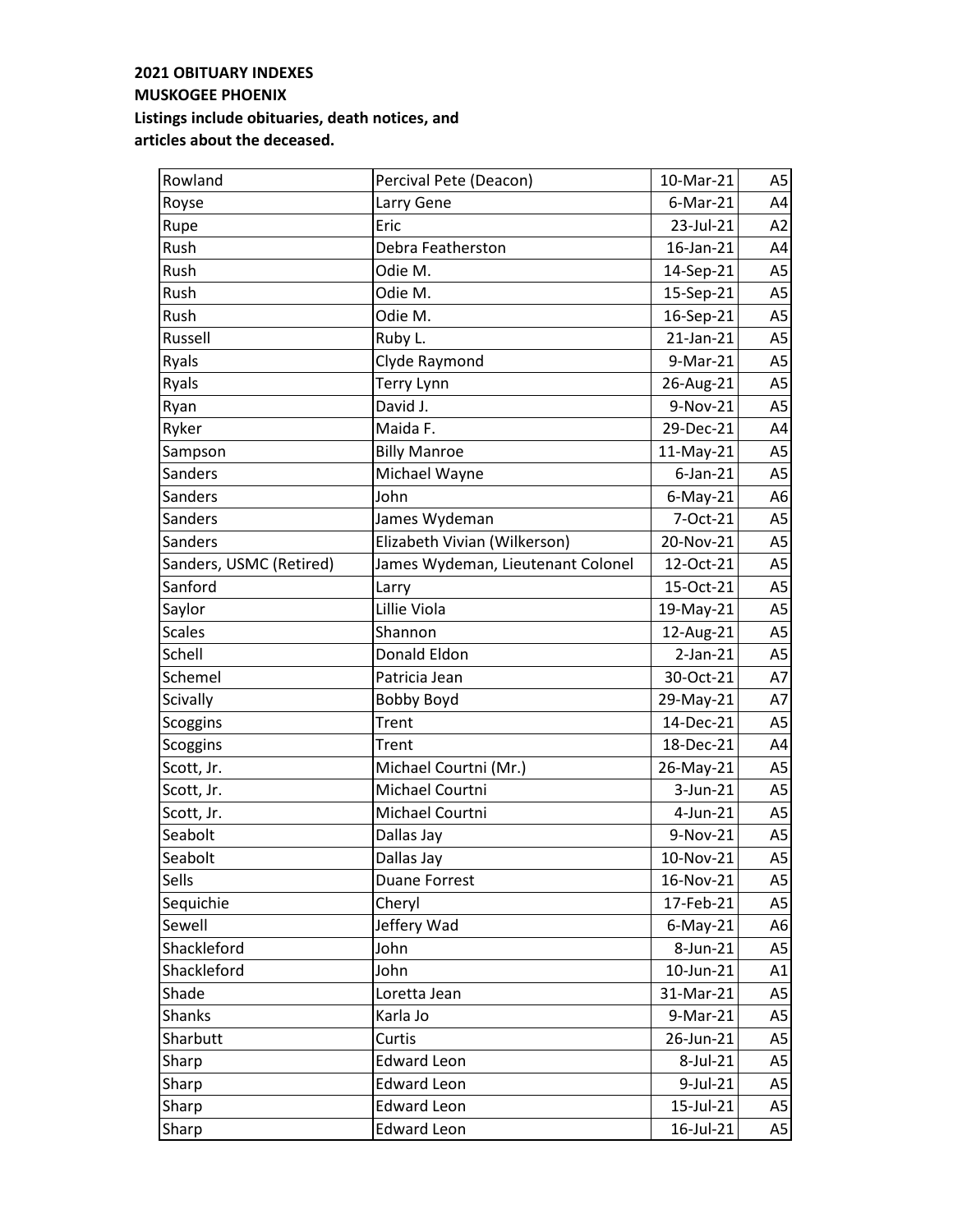| Rowland                 | Percival Pete (Deacon)            | 10-Mar-21   | A5             |
|-------------------------|-----------------------------------|-------------|----------------|
| Royse                   | Larry Gene                        | $6$ -Mar-21 | A4             |
| Rupe                    | Eric                              | 23-Jul-21   | A2             |
| Rush                    | Debra Featherston                 | 16-Jan-21   | A4             |
| Rush                    | Odie M.                           | 14-Sep-21   | A <sub>5</sub> |
| Rush                    | Odie M.                           | 15-Sep-21   | A <sub>5</sub> |
| Rush                    | Odie M.                           | 16-Sep-21   | A <sub>5</sub> |
| Russell                 | Ruby L.                           | 21-Jan-21   | A <sub>5</sub> |
| Ryals                   | Clyde Raymond                     | 9-Mar-21    | A <sub>5</sub> |
| Ryals                   | <b>Terry Lynn</b>                 | 26-Aug-21   | A5             |
| Ryan                    | David J.                          | 9-Nov-21    | A <sub>5</sub> |
| Ryker                   | Maida F.                          | 29-Dec-21   | A4             |
| Sampson                 | <b>Billy Manroe</b>               | 11-May-21   | A <sub>5</sub> |
| Sanders                 | Michael Wayne                     | $6$ -Jan-21 | A <sub>5</sub> |
| <b>Sanders</b>          | John                              | $6$ -May-21 | A <sub>6</sub> |
| Sanders                 | James Wydeman                     | 7-Oct-21    | A <sub>5</sub> |
| Sanders                 | Elizabeth Vivian (Wilkerson)      | 20-Nov-21   | A <sub>5</sub> |
| Sanders, USMC (Retired) | James Wydeman, Lieutenant Colonel | 12-Oct-21   | A <sub>5</sub> |
| Sanford                 | Larry                             | 15-Oct-21   | A <sub>5</sub> |
| Saylor                  | Lillie Viola                      | 19-May-21   | A <sub>5</sub> |
| <b>Scales</b>           | Shannon                           | 12-Aug-21   | A <sub>5</sub> |
| Schell                  | Donald Eldon                      | $2-Jan-21$  | A <sub>5</sub> |
| Schemel                 | Patricia Jean                     | 30-Oct-21   | A7             |
| Scivally                | Bobby Boyd                        | 29-May-21   | A7             |
| <b>Scoggins</b>         | Trent                             | 14-Dec-21   | A <sub>5</sub> |
| Scoggins                | Trent                             | 18-Dec-21   | A4             |
| Scott, Jr.              | Michael Courtni (Mr.)             | 26-May-21   | A <sub>5</sub> |
| Scott, Jr.              | Michael Courtni                   | 3-Jun-21    | A <sub>5</sub> |
| Scott, Jr.              | Michael Courtni                   | 4-Jun-21    | A <sub>5</sub> |
| Seabolt                 | Dallas Jay                        | 9-Nov-21    | A <sub>5</sub> |
| Seabolt                 | Dallas Jay                        | 10-Nov-21   | A5             |
| Sells                   | <b>Duane Forrest</b>              | 16-Nov-21   | A5             |
| Sequichie               | Cheryl                            | 17-Feb-21   | A <sub>5</sub> |
| Sewell                  | Jeffery Wad                       | $6$ -May-21 | A6             |
| Shackleford             | John                              | 8-Jun-21    | A5             |
| Shackleford             | John                              | 10-Jun-21   | A1             |
| Shade                   | Loretta Jean                      | 31-Mar-21   | A5             |
| Shanks                  | Karla Jo                          | 9-Mar-21    | A5             |
| Sharbutt                | Curtis                            | 26-Jun-21   | A5             |
| Sharp                   | <b>Edward Leon</b>                | 8-Jul-21    | A5             |
| Sharp                   | <b>Edward Leon</b>                | 9-Jul-21    | A5             |
| Sharp                   | <b>Edward Leon</b>                | 15-Jul-21   | A5             |
| Sharp                   | <b>Edward Leon</b>                | 16-Jul-21   | A5             |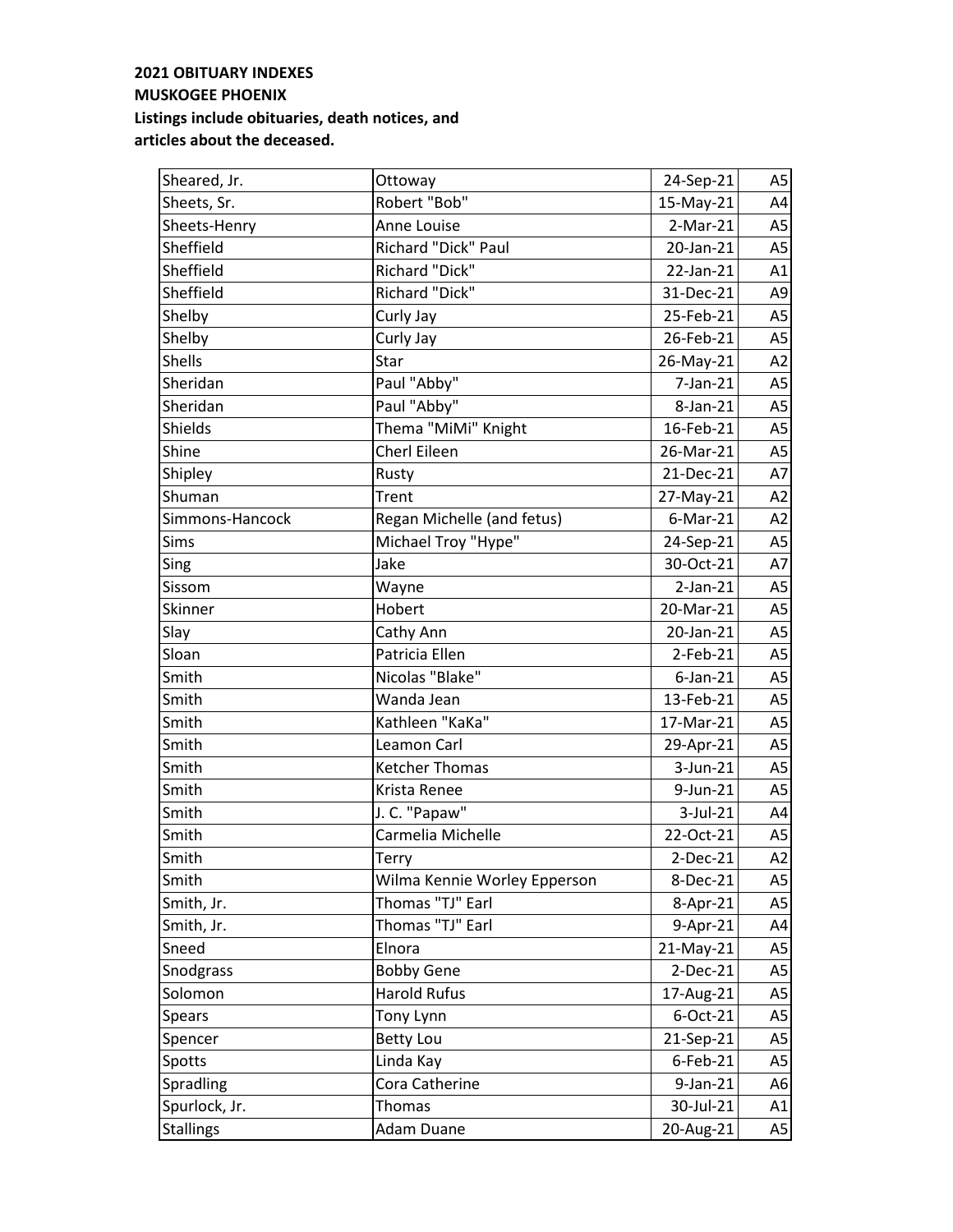| Sheared, Jr.     | Ottoway                      | 24-Sep-21      | A <sub>5</sub> |
|------------------|------------------------------|----------------|----------------|
| Sheets, Sr.      | Robert "Bob"                 | 15-May-21      | A4             |
| Sheets-Henry     | Anne Louise                  | $2-Mar-21$     | A <sub>5</sub> |
| Sheffield        | Richard "Dick" Paul          | 20-Jan-21      | A <sub>5</sub> |
| Sheffield        | Richard "Dick"               | 22-Jan-21      | A1             |
| Sheffield        | Richard "Dick"               | 31-Dec-21      | A <sub>9</sub> |
| Shelby           | Curly Jay                    | 25-Feb-21      | A <sub>5</sub> |
| Shelby           | Curly Jay                    | 26-Feb-21      | A <sub>5</sub> |
| <b>Shells</b>    | Star                         | 26-May-21      | A2             |
| Sheridan         | Paul "Abby"                  | 7-Jan-21       | A <sub>5</sub> |
| Sheridan         | Paul "Abby"                  | 8-Jan-21       | A <sub>5</sub> |
| Shields          | Thema "MiMi" Knight          | 16-Feb-21      | A <sub>5</sub> |
| Shine            | Cherl Eileen                 | 26-Mar-21      | A <sub>5</sub> |
| Shipley          | Rusty                        | 21-Dec-21      | A7             |
| Shuman           | Trent                        | 27-May-21      | A2             |
| Simmons-Hancock  | Regan Michelle (and fetus)   | $6$ -Mar-21    | A2             |
| Sims             | Michael Troy "Hype"          | 24-Sep-21      | A <sub>5</sub> |
| Sing             | Jake                         | 30-Oct-21      | A7             |
| Sissom           | Wayne                        | $2$ -Jan- $21$ | A <sub>5</sub> |
| Skinner          | Hobert                       | 20-Mar-21      | A <sub>5</sub> |
| Slay             | Cathy Ann                    | 20-Jan-21      | A <sub>5</sub> |
| Sloan            | Patricia Ellen               | 2-Feb-21       | A <sub>5</sub> |
| Smith            | Nicolas "Blake"              | $6$ -Jan-21    | A <sub>5</sub> |
| Smith            | Wanda Jean                   | 13-Feb-21      | A <sub>5</sub> |
| Smith            | Kathleen "KaKa"              | 17-Mar-21      | A <sub>5</sub> |
| Smith            | Leamon Carl                  | 29-Apr-21      | A <sub>5</sub> |
| Smith            | <b>Ketcher Thomas</b>        | 3-Jun-21       | A <sub>5</sub> |
| Smith            | Krista Renee                 | 9-Jun-21       | A <sub>5</sub> |
| Smith            | J. C. "Papaw"                | 3-Jul-21       | A4             |
| Smith            | Carmelia Michelle            | 22-Oct-21      | A <sub>5</sub> |
| Smith            | Terry                        | $2-Dec-21$     | A2             |
| Smith            | Wilma Kennie Worley Epperson | 8-Dec-21       | A <sub>5</sub> |
| Smith, Jr.       | Thomas "TJ" Earl             | 8-Apr-21       | A <sub>5</sub> |
| Smith, Jr.       | Thomas "TJ" Earl             | 9-Apr-21       | A4             |
| Sneed            | Elnora                       | 21-May-21      | A5             |
| Snodgrass        | <b>Bobby Gene</b>            | $2-Dec-21$     | A <sub>5</sub> |
| Solomon          | Harold Rufus                 | 17-Aug-21      | A <sub>5</sub> |
| Spears           | Tony Lynn                    | 6-Oct-21       | A <sub>5</sub> |
| Spencer          | <b>Betty Lou</b>             | 21-Sep-21      | A <sub>5</sub> |
| Spotts           | Linda Kay                    | 6-Feb-21       | A <sub>5</sub> |
| Spradling        | Cora Catherine               | 9-Jan-21       | A6             |
| Spurlock, Jr.    | Thomas                       | 30-Jul-21      | A1             |
| <b>Stallings</b> | Adam Duane                   | 20-Aug-21      | A5             |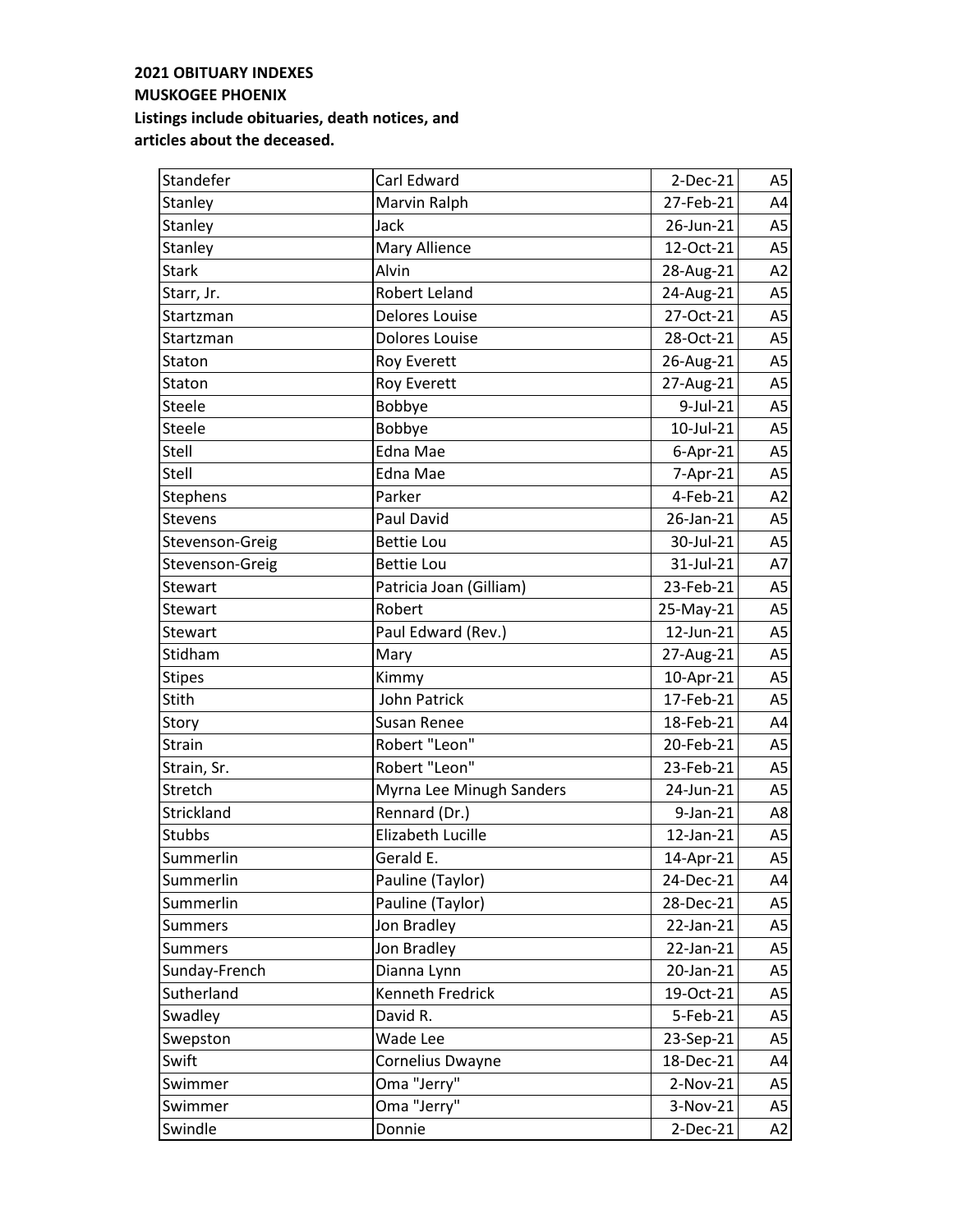| Standefer       | Carl Edward              | $2-Dec-21$ | A5             |
|-----------------|--------------------------|------------|----------------|
| Stanley         | Marvin Ralph             | 27-Feb-21  | A4             |
| Stanley         | Jack                     | 26-Jun-21  | A <sub>5</sub> |
| Stanley         | Mary Allience            | 12-Oct-21  | A <sub>5</sub> |
| <b>Stark</b>    | Alvin                    | 28-Aug-21  | A2             |
| Starr, Jr.      | Robert Leland            | 24-Aug-21  | A <sub>5</sub> |
| Startzman       | <b>Delores Louise</b>    | 27-Oct-21  | A <sub>5</sub> |
| Startzman       | <b>Dolores Louise</b>    | 28-Oct-21  | A <sub>5</sub> |
| Staton          | <b>Roy Everett</b>       | 26-Aug-21  | A <sub>5</sub> |
| Staton          | <b>Roy Everett</b>       | 27-Aug-21  | A <sub>5</sub> |
| Steele          | Bobbye                   | 9-Jul-21   | A <sub>5</sub> |
| <b>Steele</b>   | Bobbye                   | 10-Jul-21  | A5             |
| Stell           | Edna Mae                 | $6-Apr-21$ | A <sub>5</sub> |
| Stell           | Edna Mae                 | 7-Apr-21   | A <sub>5</sub> |
| Stephens        | Parker                   | 4-Feb-21   | A2             |
| <b>Stevens</b>  | Paul David               | 26-Jan-21  | A <sub>5</sub> |
| Stevenson-Greig | <b>Bettie Lou</b>        | 30-Jul-21  | A <sub>5</sub> |
| Stevenson-Greig | <b>Bettie Lou</b>        | 31-Jul-21  | A7             |
| Stewart         | Patricia Joan (Gilliam)  | 23-Feb-21  | A <sub>5</sub> |
| Stewart         | Robert                   | 25-May-21  | A <sub>5</sub> |
| <b>Stewart</b>  | Paul Edward (Rev.)       | 12-Jun-21  | A <sub>5</sub> |
| Stidham         | Mary                     | 27-Aug-21  | A <sub>5</sub> |
| <b>Stipes</b>   | Kimmy                    | 10-Apr-21  | A <sub>5</sub> |
| Stith           | John Patrick             | 17-Feb-21  | A <sub>5</sub> |
| Story           | Susan Renee              | 18-Feb-21  | A4             |
| Strain          | Robert "Leon"            | 20-Feb-21  | A <sub>5</sub> |
| Strain, Sr.     | Robert "Leon"            | 23-Feb-21  | A <sub>5</sub> |
| Stretch         | Myrna Lee Minugh Sanders | 24-Jun-21  | A <sub>5</sub> |
| Strickland      | Rennard (Dr.)            | 9-Jan-21   | A8             |
| Stubbs          | Elizabeth Lucille        | 12-Jan-21  | A <sub>5</sub> |
| Summerlin       | Gerald E.                | 14-Apr-21  | A5             |
| Summerlin       | Pauline (Taylor)         | 24-Dec-21  | A4             |
| Summerlin       | Pauline (Taylor)         | 28-Dec-21  | A5             |
| Summers         | Jon Bradley              | 22-Jan-21  | A <sub>5</sub> |
| <b>Summers</b>  | Jon Bradley              | 22-Jan-21  | A5             |
| Sunday-French   | Dianna Lynn              | 20-Jan-21  | A <sub>5</sub> |
| Sutherland      | Kenneth Fredrick         | 19-Oct-21  | A <sub>5</sub> |
| Swadley         | David R.                 | 5-Feb-21   | A5             |
| Swepston        | Wade Lee                 | 23-Sep-21  | A5             |
| Swift           | Cornelius Dwayne         | 18-Dec-21  | A4             |
| Swimmer         | Oma "Jerry"              | $2-Nov-21$ | A5             |
| Swimmer         | Oma "Jerry"              | 3-Nov-21   | A5             |
| Swindle         | Donnie                   | 2-Dec-21   | A2             |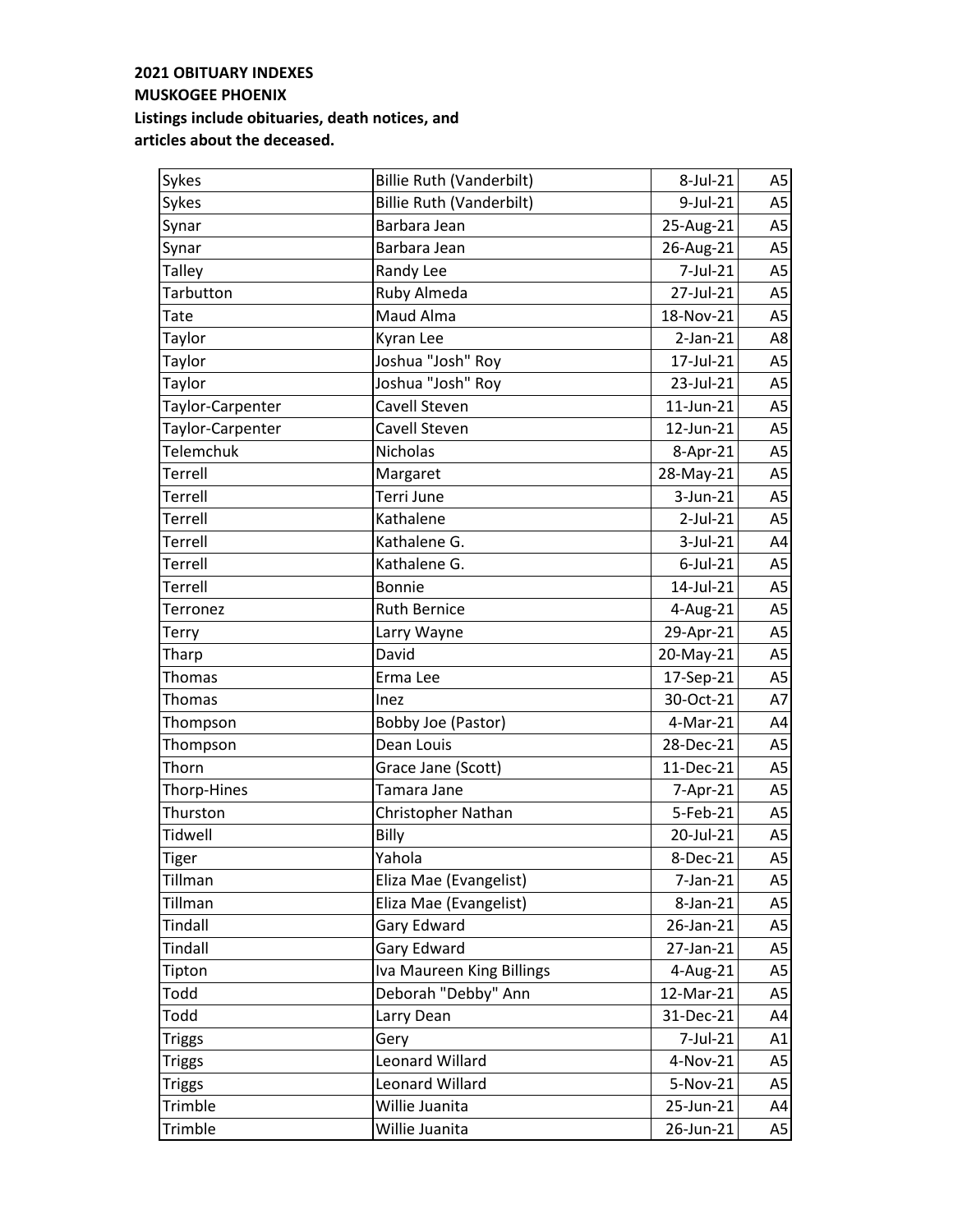| Sykes            | <b>Billie Ruth (Vanderbilt)</b> | 8-Jul-21    | A5             |
|------------------|---------------------------------|-------------|----------------|
| Sykes            | <b>Billie Ruth (Vanderbilt)</b> | 9-Jul-21    | A <sub>5</sub> |
| Synar            | Barbara Jean                    | 25-Aug-21   | A <sub>5</sub> |
| Synar            | Barbara Jean                    | 26-Aug-21   | A <sub>5</sub> |
| <b>Talley</b>    | Randy Lee                       | 7-Jul-21    | A <sub>5</sub> |
| <b>Tarbutton</b> | Ruby Almeda                     | 27-Jul-21   | A <sub>5</sub> |
| Tate             | Maud Alma                       | 18-Nov-21   | A <sub>5</sub> |
| Taylor           | Kyran Lee                       | $2-Jan-21$  | A8             |
| Taylor           | Joshua "Josh" Roy               | 17-Jul-21   | A <sub>5</sub> |
| Taylor           | Joshua "Josh" Roy               | 23-Jul-21   | A <sub>5</sub> |
| Taylor-Carpenter | Cavell Steven                   | 11-Jun-21   | A <sub>5</sub> |
| Taylor-Carpenter | Cavell Steven                   | 12-Jun-21   | A5             |
| <b>Telemchuk</b> | Nicholas                        | 8-Apr-21    | A <sub>5</sub> |
| Terrell          | Margaret                        | 28-May-21   | A <sub>5</sub> |
| <b>Terrell</b>   | Terri June                      | 3-Jun-21    | A <sub>5</sub> |
| Terrell          | Kathalene                       | $2$ -Jul-21 | A <sub>5</sub> |
| Terrell          | Kathalene G.                    | 3-Jul-21    | A4             |
| Terrell          | Kathalene G.                    | $6$ -Jul-21 | A <sub>5</sub> |
| Terrell          | <b>Bonnie</b>                   | 14-Jul-21   | A <sub>5</sub> |
| Terronez         | <b>Ruth Bernice</b>             | 4-Aug-21    | A <sub>5</sub> |
| Terry            | Larry Wayne                     | 29-Apr-21   | A <sub>5</sub> |
| Tharp            | David                           | 20-May-21   | A <sub>5</sub> |
| Thomas           | Erma Lee                        | 17-Sep-21   | A <sub>5</sub> |
| Thomas           | Inez                            | 30-Oct-21   | A7             |
| Thompson         | Bobby Joe (Pastor)              | 4-Mar-21    | A4             |
| Thompson         | Dean Louis                      | 28-Dec-21   | A <sub>5</sub> |
| Thorn            | Grace Jane (Scott)              | 11-Dec-21   | A <sub>5</sub> |
| Thorp-Hines      | Tamara Jane                     | 7-Apr-21    | A <sub>5</sub> |
| Thurston         | Christopher Nathan              | 5-Feb-21    | A <sub>5</sub> |
| <b>Tidwell</b>   | Billy                           | 20-Jul-21   | A5             |
| <b>Tiger</b>     | Yahola                          | 8-Dec-21    | A5             |
| Tillman          | Eliza Mae (Evangelist)          | 7-Jan-21    | A5             |
| Tillman          | Eliza Mae (Evangelist)          | 8-Jan-21    | A5             |
| Tindall          | Gary Edward                     | 26-Jan-21   | A <sub>5</sub> |
| Tindall          | Gary Edward                     | 27-Jan-21   | A5             |
| Tipton           | Iva Maureen King Billings       | 4-Aug-21    | A <sub>5</sub> |
| Todd             | Deborah "Debby" Ann             | 12-Mar-21   | A <sub>5</sub> |
| Todd             | Larry Dean                      | 31-Dec-21   | A4             |
| <b>Triggs</b>    | Gery                            | 7-Jul-21    | A1             |
| <b>Triggs</b>    | Leonard Willard                 | 4-Nov-21    | A <sub>5</sub> |
| <b>Triggs</b>    | Leonard Willard                 | 5-Nov-21    | A5             |
| Trimble          | Willie Juanita                  | 25-Jun-21   | A4             |
| Trimble          | Willie Juanita                  | 26-Jun-21   | A5             |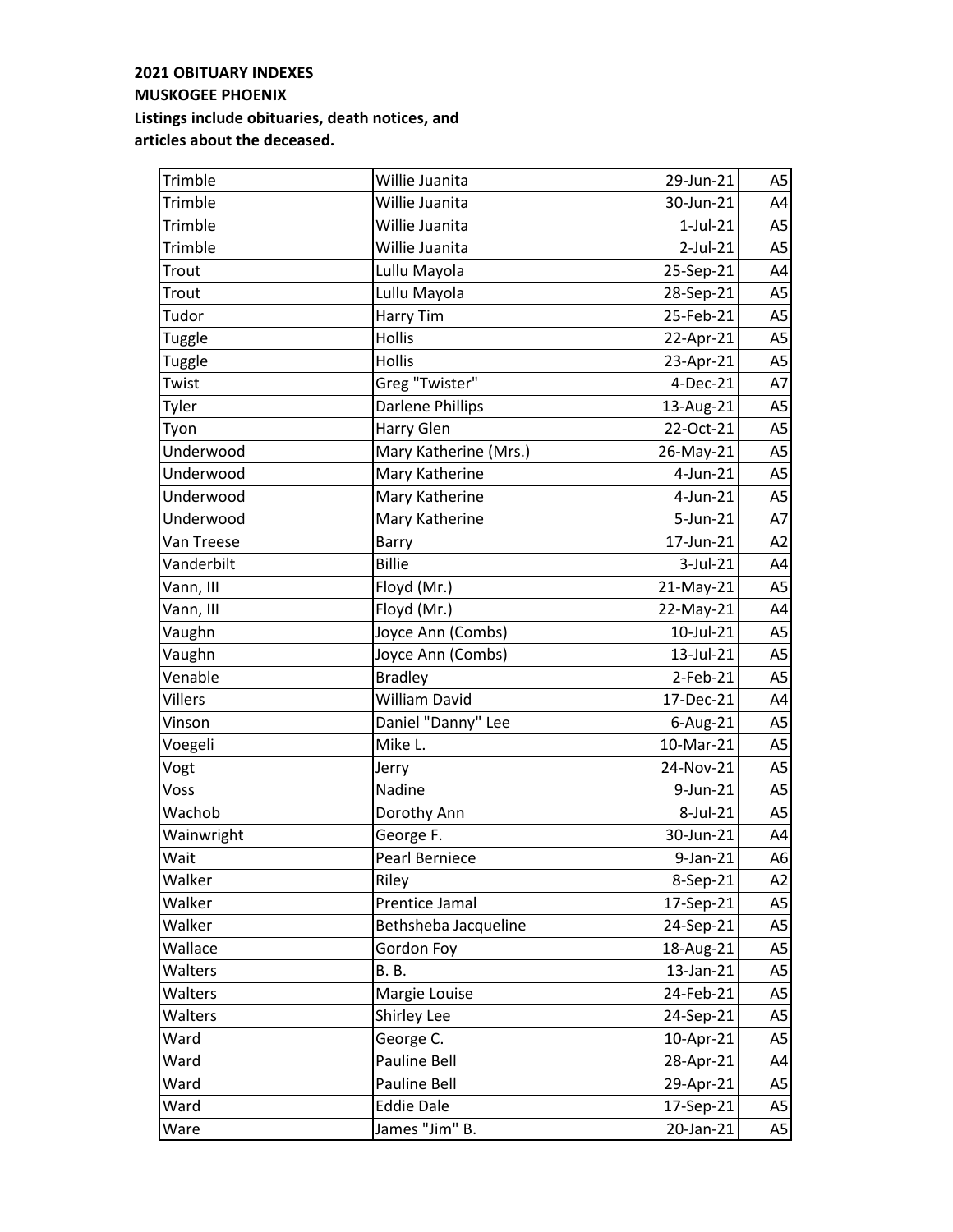| Trimble        | Willie Juanita        | 29-Jun-21      | A5             |
|----------------|-----------------------|----------------|----------------|
| Trimble        | Willie Juanita        | 30-Jun-21      | A4             |
| Trimble        | Willie Juanita        | $1$ -Jul- $21$ | A5             |
| Trimble        | Willie Juanita        | 2-Jul-21       | A <sub>5</sub> |
| Trout          | Lullu Mayola          | 25-Sep-21      | A4             |
| Trout          | Lullu Mayola          | 28-Sep-21      | A <sub>5</sub> |
| Tudor          | Harry Tim             | 25-Feb-21      | A <sub>5</sub> |
| Tuggle         | <b>Hollis</b>         | 22-Apr-21      | A <sub>5</sub> |
| Tuggle         | Hollis                | 23-Apr-21      | A5             |
| Twist          | Greg "Twister"        | 4-Dec-21       | A7             |
| Tyler          | Darlene Phillips      | 13-Aug-21      | A <sub>5</sub> |
| Tyon           | Harry Glen            | 22-Oct-21      | A <sub>5</sub> |
| Underwood      | Mary Katherine (Mrs.) | 26-May-21      | A <sub>5</sub> |
| Underwood      | Mary Katherine        | $4$ -Jun-21    | A <sub>5</sub> |
| Underwood      | Mary Katherine        | 4-Jun-21       | A <sub>5</sub> |
| Underwood      | Mary Katherine        | 5-Jun-21       | A7             |
| Van Treese     | Barry                 | 17-Jun-21      | A2             |
| Vanderbilt     | <b>Billie</b>         | 3-Jul-21       | A4             |
| Vann, III      | Floyd (Mr.)           | 21-May-21      | A <sub>5</sub> |
| Vann, III      | Floyd (Mr.)           | 22-May-21      | A4             |
| Vaughn         | Joyce Ann (Combs)     | 10-Jul-21      | A <sub>5</sub> |
| Vaughn         | Joyce Ann (Combs)     | 13-Jul-21      | A <sub>5</sub> |
| Venable        | <b>Bradley</b>        | 2-Feb-21       | A <sub>5</sub> |
| <b>Villers</b> | William David         | 17-Dec-21      | A4             |
| Vinson         | Daniel "Danny" Lee    | $6$ -Aug-21    | A <sub>5</sub> |
| Voegeli        | Mike L.               | 10-Mar-21      | A <sub>5</sub> |
| Vogt           | Jerry                 | 24-Nov-21      | A <sub>5</sub> |
| Voss           | Nadine                | 9-Jun-21       | A5             |
| Wachob         | Dorothy Ann           | 8-Jul-21       | A <sub>5</sub> |
| Wainwright     | George F.             | 30-Jun-21      | A4             |
| Wait           | Pearl Berniece        | 9-Jan-21       | A6             |
| Walker         | Riley                 | 8-Sep-21       | A2             |
| Walker         | Prentice Jamal        | 17-Sep-21      | A5             |
| Walker         | Bethsheba Jacqueline  | 24-Sep-21      | A5             |
| Wallace        | Gordon Foy            | 18-Aug-21      | A5             |
| Walters        | <b>B.</b> B.          | 13-Jan-21      | A5             |
| Walters        | Margie Louise         | 24-Feb-21      | A5             |
| Walters        | Shirley Lee           | 24-Sep-21      | A <sub>5</sub> |
| Ward           | George C.             | 10-Apr-21      | A <sub>5</sub> |
| Ward           | Pauline Bell          | 28-Apr-21      | A4             |
| Ward           | Pauline Bell          | 29-Apr-21      | A <sub>5</sub> |
| Ward           | <b>Eddie Dale</b>     | 17-Sep-21      | A5             |
| Ware           | James "Jim" B.        | 20-Jan-21      | A5             |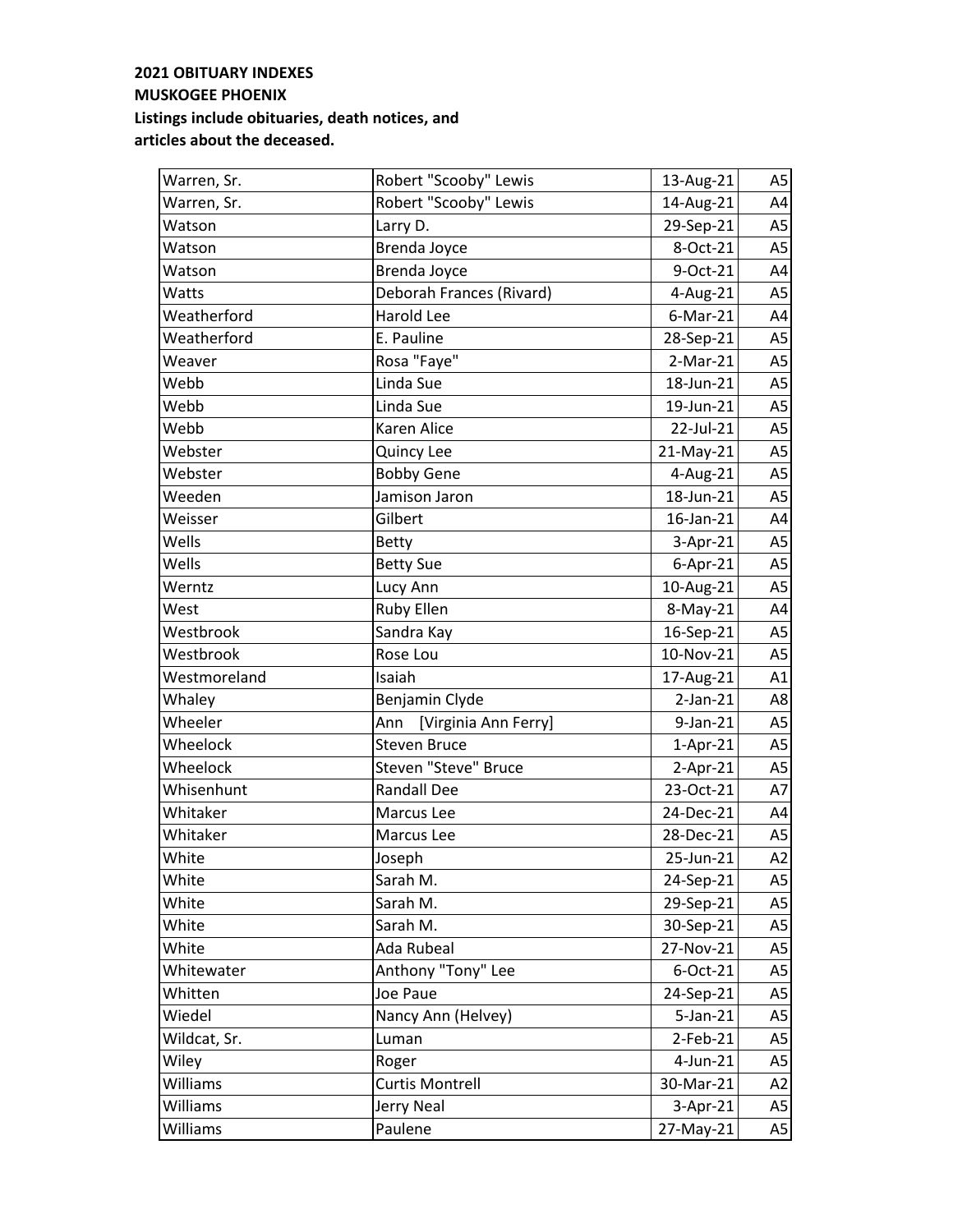| Warren, Sr.  | Robert "Scooby" Lewis       | 13-Aug-21   | A <sub>5</sub> |
|--------------|-----------------------------|-------------|----------------|
| Warren, Sr.  | Robert "Scooby" Lewis       | 14-Aug-21   | A4             |
| Watson       | Larry D.                    | 29-Sep-21   | A <sub>5</sub> |
| Watson       | Brenda Joyce                | 8-Oct-21    | A <sub>5</sub> |
| Watson       | <b>Brenda Joyce</b>         | 9-Oct-21    | A4             |
| Watts        | Deborah Frances (Rivard)    | 4-Aug-21    | A <sub>5</sub> |
| Weatherford  | Harold Lee                  | $6$ -Mar-21 | A4             |
| Weatherford  | E. Pauline                  | 28-Sep-21   | A <sub>5</sub> |
| Weaver       | Rosa "Faye"                 | $2-Mar-21$  | A <sub>5</sub> |
| Webb         | Linda Sue                   | 18-Jun-21   | A5             |
| Webb         | Linda Sue                   | 19-Jun-21   | A <sub>5</sub> |
| Webb         | Karen Alice                 | 22-Jul-21   | A <sub>5</sub> |
| Webster      | Quincy Lee                  | 21-May-21   | A <sub>5</sub> |
| Webster      | <b>Bobby Gene</b>           | 4-Aug-21    | A <sub>5</sub> |
| Weeden       | Jamison Jaron               | 18-Jun-21   | A <sub>5</sub> |
| Weisser      | Gilbert                     | 16-Jan-21   | A4             |
| Wells        | <b>Betty</b>                | 3-Apr-21    | A <sub>5</sub> |
| Wells        | <b>Betty Sue</b>            | $6-Apr-21$  | A <sub>5</sub> |
| Werntz       | Lucy Ann                    | 10-Aug-21   | A <sub>5</sub> |
| West         | <b>Ruby Ellen</b>           | 8-May-21    | A4             |
| Westbrook    | Sandra Kay                  | 16-Sep-21   | A <sub>5</sub> |
| Westbrook    | Rose Lou                    | 10-Nov-21   | A <sub>5</sub> |
| Westmoreland | Isaiah                      | 17-Aug-21   | A1             |
| Whaley       | Benjamin Clyde              | $2-Jan-21$  | A8             |
| Wheeler      | [Virginia Ann Ferry]<br>Ann | 9-Jan-21    | A <sub>5</sub> |
| Wheelock     | <b>Steven Bruce</b>         | $1-Apr-21$  | A <sub>5</sub> |
| Wheelock     | Steven "Steve" Bruce        | $2-Apr-21$  | A <sub>5</sub> |
| Whisenhunt   | <b>Randall Dee</b>          | 23-Oct-21   | A7             |
| Whitaker     | Marcus Lee                  | 24-Dec-21   | A4             |
| Whitaker     | Marcus Lee                  | 28-Dec-21   | A <sub>5</sub> |
| White        | Joseph                      | 25-Jun-21   | A2             |
| White        | Sarah M.                    | 24-Sep-21   | A5             |
| White        | Sarah M.                    | 29-Sep-21   | A5             |
| White        | Sarah M.                    | 30-Sep-21   | A5             |
| White        | Ada Rubeal                  | 27-Nov-21   | A <sub>5</sub> |
| Whitewater   | Anthony "Tony" Lee          | 6-Oct-21    | A <sub>5</sub> |
| Whitten      | Joe Paue                    | 24-Sep-21   | A <sub>5</sub> |
| Wiedel       | Nancy Ann (Helvey)          | 5-Jan-21    | A <sub>5</sub> |
| Wildcat, Sr. | Luman                       | 2-Feb-21    | A <sub>5</sub> |
| Wiley        | Roger                       | 4-Jun-21    | A <sub>5</sub> |
| Williams     | <b>Curtis Montrell</b>      | 30-Mar-21   | A2             |
| Williams     | Jerry Neal                  | 3-Apr-21    | A5             |
| Williams     | Paulene                     | 27-May-21   | A5             |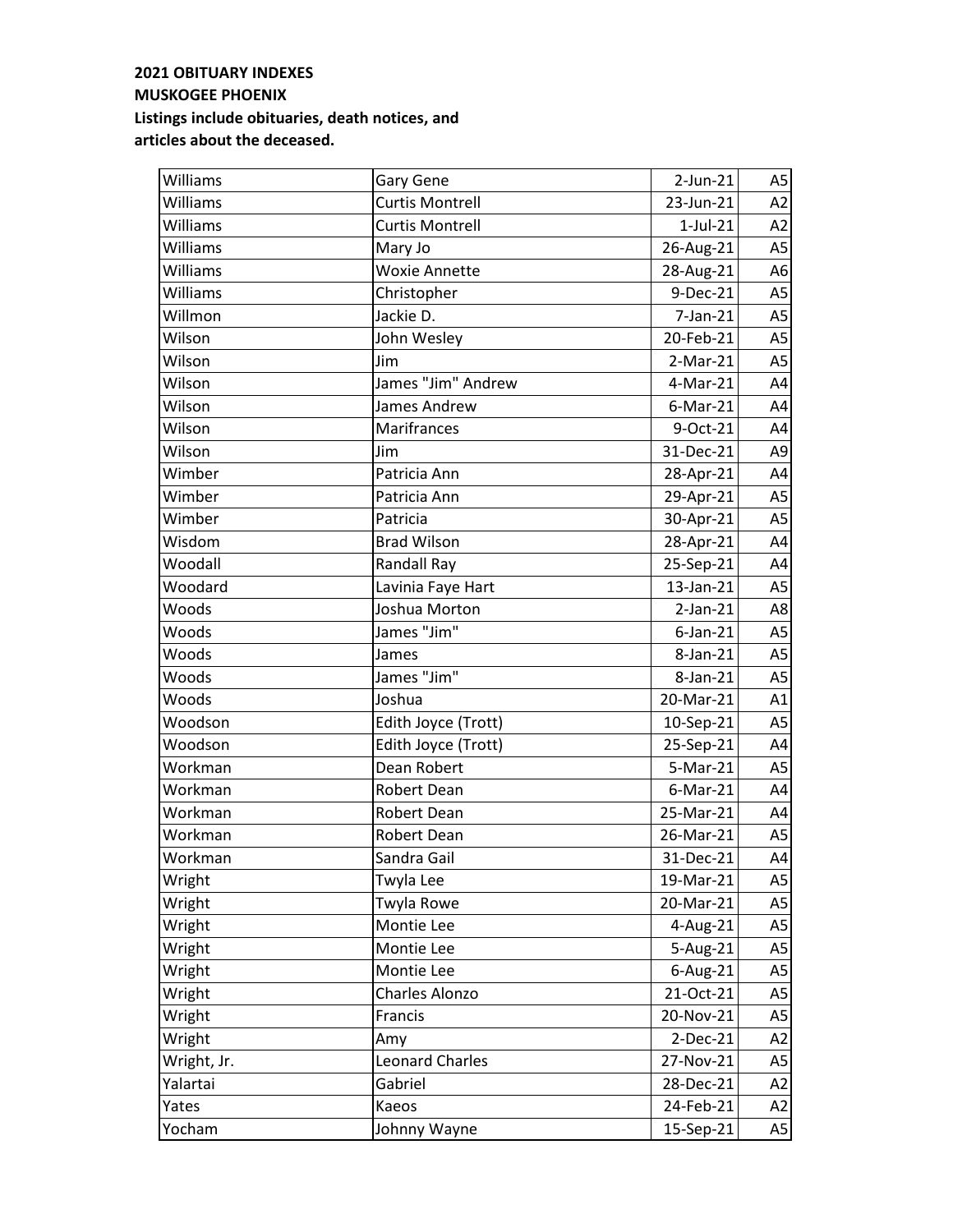| Williams    | <b>Gary Gene</b>       | $2$ -Jun- $21$ | A5             |
|-------------|------------------------|----------------|----------------|
| Williams    | <b>Curtis Montrell</b> | 23-Jun-21      | A2             |
| Williams    | <b>Curtis Montrell</b> | $1$ -Jul- $21$ | A2             |
| Williams    | Mary Jo                | 26-Aug-21      | A <sub>5</sub> |
| Williams    | <b>Woxie Annette</b>   | 28-Aug-21      | A <sub>6</sub> |
| Williams    | Christopher            | 9-Dec-21       | A <sub>5</sub> |
| Willmon     | Jackie D.              | $7$ -Jan- $21$ | A <sub>5</sub> |
| Wilson      | John Wesley            | 20-Feb-21      | A <sub>5</sub> |
| Wilson      | Jim                    | $2-Mar-21$     | A <sub>5</sub> |
| Wilson      | James "Jim" Andrew     | 4-Mar-21       | A4             |
| Wilson      | James Andrew           | $6$ -Mar-21    | A4             |
| Wilson      | Marifrances            | 9-Oct-21       | A4             |
| Wilson      | Jim                    | 31-Dec-21      | A <sub>9</sub> |
| Wimber      | Patricia Ann           | 28-Apr-21      | A4             |
| Wimber      | Patricia Ann           | 29-Apr-21      | A <sub>5</sub> |
| Wimber      | Patricia               | 30-Apr-21      | A <sub>5</sub> |
| Wisdom      | <b>Brad Wilson</b>     | 28-Apr-21      | A4             |
| Woodall     | Randall Ray            | 25-Sep-21      | A4             |
| Woodard     | Lavinia Faye Hart      | 13-Jan-21      | A <sub>5</sub> |
| Woods       | Joshua Morton          | $2-Jan-21$     | A8             |
| Woods       | James "Jim"            | $6$ -Jan-21    | A <sub>5</sub> |
| Woods       | James                  | 8-Jan-21       | A <sub>5</sub> |
| Woods       | James "Jim"            | 8-Jan-21       | A <sub>5</sub> |
| Woods       | Joshua                 | 20-Mar-21      | A1             |
| Woodson     | Edith Joyce (Trott)    | 10-Sep-21      | A <sub>5</sub> |
| Woodson     | Edith Joyce (Trott)    | 25-Sep-21      | A4             |
| Workman     | Dean Robert            | 5-Mar-21       | A <sub>5</sub> |
| Workman     | Robert Dean            | $6$ -Mar-21    | A4             |
| Workman     | Robert Dean            | 25-Mar-21      | A4             |
| Workman     | Robert Dean            | 26-Mar-21      | A <sub>5</sub> |
| Workman     | Sandra Gail            | 31-Dec-21      | A4             |
| Wright      | Twyla Lee              | 19-Mar-21      | A5             |
| Wright      | Twyla Rowe             | 20-Mar-21      | A <sub>5</sub> |
| Wright      | Montie Lee             | 4-Aug-21       | A5             |
| Wright      | Montie Lee             | 5-Aug-21       | A5             |
| Wright      | Montie Lee             | 6-Aug-21       | A5             |
| Wright      | Charles Alonzo         | 21-Oct-21      | A5             |
| Wright      | Francis                | 20-Nov-21      | A <sub>5</sub> |
| Wright      | Amy                    | 2-Dec-21       | A2             |
| Wright, Jr. | <b>Leonard Charles</b> | 27-Nov-21      | A5             |
| Yalartai    | Gabriel                | 28-Dec-21      | A2             |
| Yates       | Kaeos                  | 24-Feb-21      | A2             |
| Yocham      | Johnny Wayne           | 15-Sep-21      | A5             |